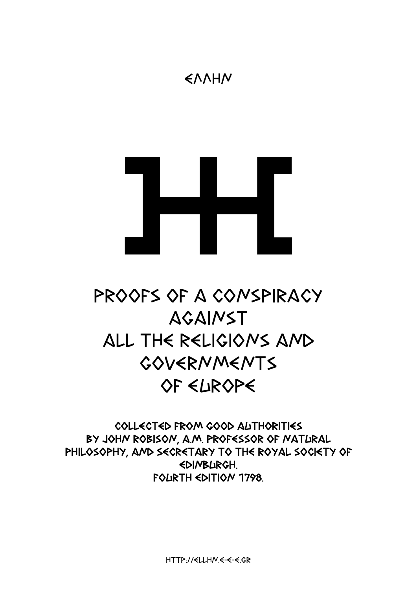# Eλλην

# Proofs of a Conspiracy Against all the Religions and Governments of Europe

Collected from Good Authorities by John Robison, A.M. Professor of Natural Philosophy, and Secretary to the Royal Society of Edinburgh. Fourth edition 1798.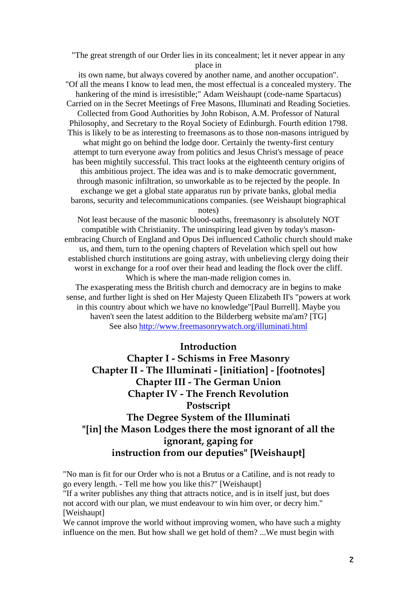"The great strength of our Order lies in its concealment; let it never appear in any place in

its own name, but always covered by another name, and another occupation". "Of all the means I know to lead men, the most effectual is a concealed mystery. The hankering of the mind is irresistible;" Adam Weishaupt (code-name Spartacus) Carried on in the Secret Meetings of Free Masons, Illuminati and Reading Societies. Collected from Good Authorities by John Robison, A.M. Professor of Natural Philosophy, and Secretary to the Royal Society of Edinburgh. Fourth edition 1798. This is likely to be as interesting to freemasons as to those non-masons intrigued by what might go on behind the lodge door. Certainly the twenty-first century attempt to turn everyone away from politics and Jesus Christ's message of peace has been mightily successful. This tract looks at the eighteenth century origins of this ambitious project. The idea was and is to make democratic government, through masonic infiltration, so unworkable as to be rejected by the people. In exchange we get a global state apparatus run by private banks, global media barons, security and telecommunications companies. (see Weishaupt biographical notes)

Not least because of the masonic blood-oaths, freemasonry is absolutely NOT compatible with Christianity. The uninspiring lead given by today's masonembracing Church of England and Opus Dei influenced Catholic church should make us, and them, turn to the opening chapters of Revelation which spell out how established church institutions are going astray, with unbelieving clergy doing their worst in exchange for a roof over their head and leading the flock over the cliff. Which is where the man-made religion comes in.

The exasperating mess the British church and democracy are in begins to make sense, and further light is shed on Her Majesty Queen Elizabeth II's "powers at work in this country about which we have no knowledge"[Paul Burrell]. Maybe you haven't seen the latest addition to the Bilderberg website ma'am? [TG] See also <http://www.freemasonrywatch.org/illuminati.html>

### **Introduction**

**Chapter I - Schisms in Free Masonry Chapter II - The Illuminati - [initiation] - [footnotes] Chapter III - The German Union Chapter IV - The French Revolution Postscript The Degree System of the Illuminati "[in] the Mason Lodges there the most ignorant of all the ignorant, gaping for instruction from our deputies" [Weishaupt]** 

"No man is fit for our Order who is not a Brutus or a Catiline, and is not ready to go every length. - Tell me how you like this?" [Weishaupt]

"If a writer publishes any thing that attracts notice, and is in itself just, but does not accord with our plan, we must endeavour to win him over, or decry him." [Weishaupt]

We cannot improve the world without improving women, who have such a mighty influence on the men. But how shall we get hold of them? ...We must begin with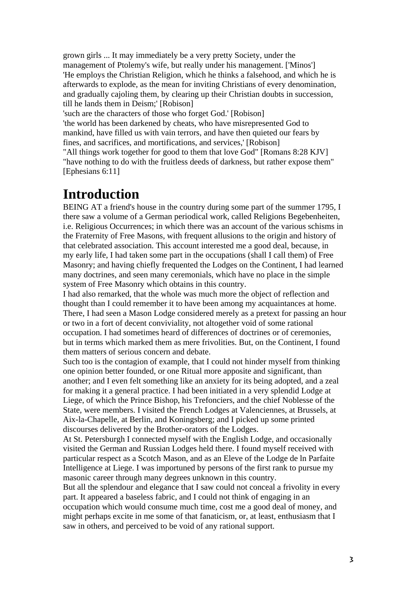grown girls ... It may immediately be a very pretty Society, under the management of Ptolemy's wife, but really under his management. ['Minos'] 'He employs the Christian Religion, which he thinks a falsehood, and which he is afterwards to explode, as the mean for inviting Christians of every denomination, and gradually cajoling them, by clearing up their Christian doubts in succession, till he lands them in Deism;' [Robison]

'such are the characters of those who forget God.' [Robison] 'the world has been darkened by cheats, who have misrepresented God to mankind, have filled us with vain terrors, and have then quieted our fears by fines, and sacrifices, and mortifications, and services,' [Robison] "All things work together for good to them that love God" [Romans 8:28 KJV] "have nothing to do with the fruitless deeds of darkness, but rather expose them" [Ephesians 6:11]

# **Introduction**

BEING AT a friend's house in the country during some part of the summer 1795, I there saw a volume of a German periodical work, called Religions Begebenheiten, i.e. Religious Occurrences; in which there was an account of the various schisms in the Fraternity of Free Masons, with frequent allusions to the origin and history of that celebrated association. This account interested me a good deal, because, in my early life, I had taken some part in the occupations (shall I call them) of Free Masonry; and having chiefly frequented the Lodges on the Continent, I had learned many doctrines, and seen many ceremonials, which have no place in the simple system of Free Masonry which obtains in this country.

I had also remarked, that the whole was much more the object of reflection and thought than I could remember it to have been among my acquaintances at home. There, I had seen a Mason Lodge considered merely as a pretext for passing an hour or two in a fort of decent conviviality, not altogether void of some rational occupation. I had sometimes heard of differences of doctrines or of ceremonies, but in terms which marked them as mere frivolities. But, on the Continent, I found them matters of serious concern and debate.

Such too is the contagion of example, that I could not hinder myself from thinking one opinion better founded, or one Ritual more apposite and significant, than another; and I even felt something like an anxiety for its being adopted, and a zeal for making it a general practice. I had been initiated in a very splendid Lodge at Liege, of which the Prince Bishop, his Trefonciers, and the chief Noblesse of the State, were members. I visited the French Lodges at Valenciennes, at Brussels, at Aix-la-Chapelle, at Berlin, and Koningsberg; and I picked up some printed discourses delivered by the Brother-orators of the Lodges.

At St. Petersburgh I connected myself with the English Lodge, and occasionally visited the German and Russian Lodges held there. I found myself received with particular respect as a Scotch Mason, and as an Eleve of the Lodge de ln Parfaite Intelligence at Liege. I was importuned by persons of the first rank to pursue my masonic career through many degrees unknown in this country.

But all the splendour and elegance that I saw could not conceal a frivolity in every part. It appeared a baseless fabric, and I could not think of engaging in an occupation which would consume much time, cost me a good deal of money, and might perhaps excite in me some of that fanaticism, or, at least, enthusiasm that I saw in others, and perceived to be void of any rational support.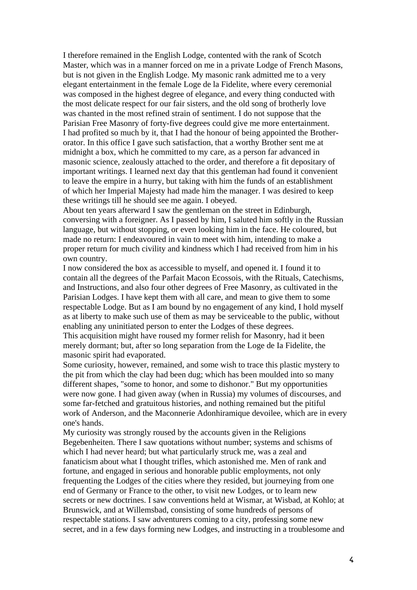I therefore remained in the English Lodge, contented with the rank of Scotch Master, which was in a manner forced on me in a private Lodge of French Masons, but is not given in the English Lodge. My masonic rank admitted me to a very elegant entertainment in the female Loge de la Fidelite, where every ceremonial was composed in the highest degree of elegance, and every thing conducted with the most delicate respect for our fair sisters, and the old song of brotherly love was chanted in the most refined strain of sentiment. I do not suppose that the Parisian Free Masonry of forty-five degrees could give me more entertainment. I had profited so much by it, that I had the honour of being appointed the Brotherorator. In this office I gave such satisfaction, that a worthy Brother sent me at midnight a box, which he committed to my care, as a person far advanced in masonic science, zealously attached to the order, and therefore a fit depositary of important writings. I learned next day that this gentleman had found it convenient to leave the empire in a hurry, but taking with him the funds of an establishment of which her Imperial Majesty had made him the manager. I was desired to keep these writings till he should see me again. I obeyed.

About ten years afterward I saw the gentleman on the street in Edinburgh, conversing with a foreigner. As I passed by him, I saluted him softly in the Russian language, but without stopping, or even looking him in the face. He coloured, but made no return: I endeavoured in vain to meet with him, intending to make a proper return for much civility and kindness which I had received from him in his own country.

I now considered the box as accessible to myself, and opened it. I found it to contain all the degrees of the Parfait Macon Ecossois, with the Rituals, Catechisms, and Instructions, and also four other degrees of Free Masonry, as cultivated in the Parisian Lodges. I have kept them with all care, and mean to give them to some respectable Lodge. But as I am bound by no engagement of any kind, I hold myself as at liberty to make such use of them as may be serviceable to the public, without enabling any uninitiated person to enter the Lodges of these degrees.

This acquisition might have roused my former relish for Masonry, had it been merely dormant; but, after so long separation from the Loge de Ia Fidelite, the masonic spirit had evaporated.

Some curiosity, however, remained, and some wish to trace this plastic mystery to the pit from which the clay had been dug; which has been moulded into so many different shapes, "some to honor, and some to dishonor." But my opportunities were now gone. I had given away (when in Russia) my volumes of discourses, and some far-fetched and gratuitous histories, and nothing remained but the pitiful work of Anderson, and the Maconnerie Adonhiramique devoilee, which are in every one's hands.

My curiosity was strongly roused by the accounts given in the Religions Begebenheiten. There I saw quotations without number; systems and schisms of which I had never heard; but what particularly struck me, was a zeal and fanaticism about what I thought trifles, which astonished me. Men of rank and fortune, and engaged in serious and honorable public employments, not only frequenting the Lodges of the cities where they resided, but journeying from one end of Germany or France to the other, to visit new Lodges, or to learn new secrets or new doctrines. I saw conventions held at Wismar, at Wisbad, at Kohlo; at Brunswick, and at Willemsbad, consisting of some hundreds of persons of respectable stations. I saw adventurers coming to a city, professing some new secret, and in a few days forming new Lodges, and instructing in a troublesome and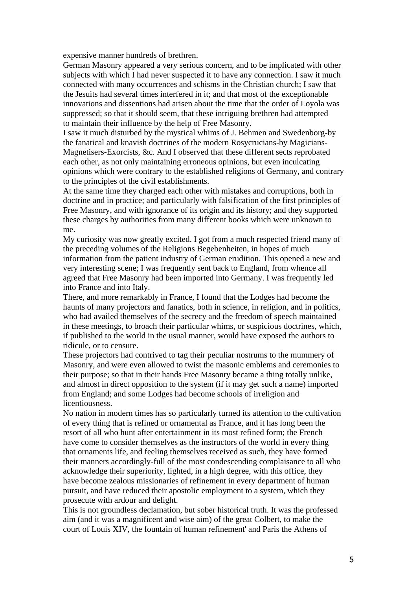expensive manner hundreds of brethren.

German Masonry appeared a very serious concern, and to be implicated with other subjects with which I had never suspected it to have any connection. I saw it much connected with many occurrences and schisms in the Christian church; I saw that the Jesuits had several times interfered in it; and that most of the exceptionable innovations and dissentions had arisen about the time that the order of Loyola was suppressed; so that it should seem, that these intriguing brethren had attempted to maintain their influence by the help of Free Masonry.

I saw it much disturbed by the mystical whims of J. Behmen and Swedenborg-by the fanatical and knavish doctrines of the modern Rosycrucians-by Magicians-Magnetisers-Exorcists, &c. And I observed that these different sects reprobated each other, as not only maintaining erroneous opinions, but even inculcating opinions which were contrary to the established religions of Germany, and contrary to the principles of the civil establishments.

At the same time they charged each other with mistakes and corruptions, both in doctrine and in practice; and particularly with falsification of the first principles of Free Masonry, and with ignorance of its origin and its history; and they supported these charges by authorities from many different books which were unknown to me.

My curiosity was now greatly excited. I got from a much respected friend many of the preceding volumes of the Religions Begebenheiten, in hopes of much information from the patient industry of German erudition. This opened a new and very interesting scene; I was frequently sent back to England, from whence all agreed that Free Masonry had been imported into Germany. I was frequently led into France and into Italy.

There, and more remarkably in France, I found that the Lodges had become the haunts of many projectors and fanatics, both in science, in religion, and in politics, who had availed themselves of the secrecy and the freedom of speech maintained in these meetings, to broach their particular whims, or suspicious doctrines, which, if published to the world in the usual manner, would have exposed the authors to ridicule, or to censure.

These projectors had contrived to tag their peculiar nostrums to the mummery of Masonry, and were even allowed to twist the masonic emblems and ceremonies to their purpose; so that in their hands Free Masonry became a thing totally unlike, and almost in direct opposition to the system (if it may get such a name) imported from England; and some Lodges had become schools of irreligion and licentiousness.

No nation in modern times has so particularly turned its attention to the cultivation of every thing that is refined or ornamental as France, and it has long been the resort of all who hunt after entertainment in its most refined form; the French have come to consider themselves as the instructors of the world in every thing that ornaments life, and feeling themselves received as such, they have formed their manners accordingly-full of the most condescending complaisance to all who acknowledge their superiority, lighted, in a high degree, with this office, they have become zealous missionaries of refinement in every department of human pursuit, and have reduced their apostolic employment to a system, which they prosecute with ardour and delight.

This is not groundless declamation, but sober historical truth. It was the professed aim (and it was a magnificent and wise aim) of the great Colbert, to make the court of Louis XIV, the fountain of human refinement' and Paris the Athens of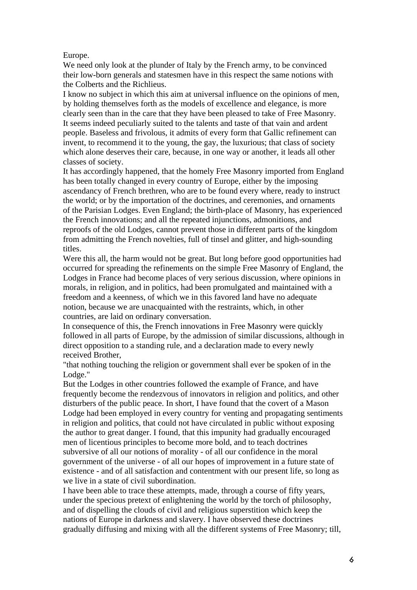#### Europe.

We need only look at the plunder of Italy by the French army, to be convinced their low-born generals and statesmen have in this respect the same notions with the Colberts and the Richlieus.

I know no subject in which this aim at universal influence on the opinions of men, by holding themselves forth as the models of excellence and elegance, is more clearly seen than in the care that they have been pleased to take of Free Masonry. It seems indeed peculiarly suited to the talents and taste of that vain and ardent people. Baseless and frivolous, it admits of every form that Gallic refinement can invent, to recommend it to the young, the gay, the luxurious; that class of society which alone deserves their care, because, in one way or another, it leads all other classes of society.

It has accordingly happened, that the homely Free Masonry imported from England has been totally changed in every country of Europe, either by the imposing ascendancy of French brethren, who are to be found every where, ready to instruct the world; or by the importation of the doctrines, and ceremonies, and ornaments of the Parisian Lodges. Even England; the birth-place of Masonry, has experienced the French innovations; and all the repeated injunctions, admonitions, and reproofs of the old Lodges, cannot prevent those in different parts of the kingdom from admitting the French novelties, full of tinsel and glitter, and high-sounding titles.

Were this all, the harm would not be great. But long before good opportunities had occurred for spreading the refinements on the simple Free Masonry of England, the Lodges in France had become places of very serious discussion, where opinions in morals, in religion, and in politics, had been promulgated and maintained with a freedom and a keenness, of which we in this favored land have no adequate notion, because we are unacquainted with the restraints, which, in other countries, are laid on ordinary conversation.

In consequence of this, the French innovations in Free Masonry were quickly followed in all parts of Europe, by the admission of similar discussions, although in direct opposition to a standing rule, and a declaration made to every newly received Brother,

"that nothing touching the religion or government shall ever be spoken of in the Lodge."

But the Lodges in other countries followed the example of France, and have frequently become the rendezvous of innovators in religion and politics, and other disturbers of the public peace. In short, I have found that the covert of a Mason Lodge had been employed in every country for venting and propagating sentiments in religion and politics, that could not have circulated in public without exposing the author to great danger. I found, that this impunity had gradually encouraged men of licentious principles to become more bold, and to teach doctrines subversive of all our notions of morality - of all our confidence in the moral government of the universe - of all our hopes of improvement in a future state of existence - and of all satisfaction and contentment with our present life, so long as we live in a state of civil subordination.

I have been able to trace these attempts, made, through a course of fifty years, under the specious pretext of enlightening the world by the torch of philosophy, and of dispelling the clouds of civil and religious superstition which keep the nations of Europe in darkness and slavery. I have observed these doctrines gradually diffusing and mixing with all the different systems of Free Masonry; till,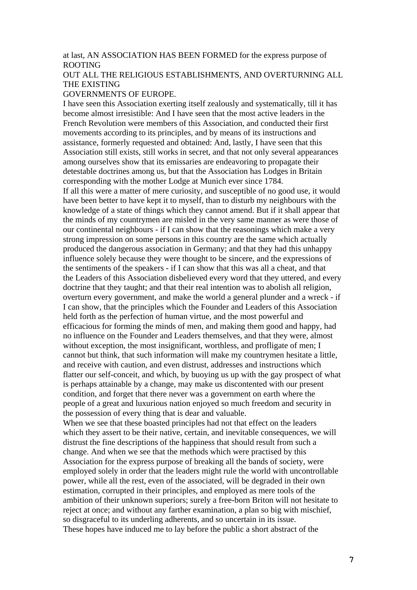#### at last, AN ASSOCIATION HAS BEEN FORMED for the express purpose of ROOTING

#### OUT ALL THE RELIGIOUS ESTABLISHMENTS, AND OVERTURNING ALL THE EXISTING

#### GOVERNMENTS OF EUROPE.

I have seen this Association exerting itself zealously and systematically, till it has become almost irresistible: And I have seen that the most active leaders in the French Revolution were members of this Association, and conducted their first movements according to its principles, and by means of its instructions and assistance, formerly requested and obtained: And, lastly, I have seen that this Association still exists, still works in secret, and that not only several appearances among ourselves show that its emissaries are endeavoring to propagate their detestable doctrines among us, but that the Association has Lodges in Britain corresponding with the mother Lodge at Munich ever since 1784. If all this were a matter of mere curiosity, and susceptible of no good use, it would have been better to have kept it to myself, than to disturb my neighbours with the knowledge of a state of things which they cannot amend. But if it shall appear that the minds of my countrymen are misled in the very same manner as were those of our continental neighbours - if I can show that the reasonings which make a very strong impression on some persons in this country are the same which actually produced the dangerous association in Germany; and that they had this unhappy influence solely because they were thought to be sincere, and the expressions of the sentiments of the speakers - if I can show that this was all a cheat, and that the Leaders of this Association disbelieved every word that they uttered, and every doctrine that they taught; and that their real intention was to abolish all religion, overturn every government, and make the world a general plunder and a wreck - if I can show, that the principles which the Founder and Leaders of this Association held forth as the perfection of human virtue, and the most powerful and efficacious for forming the minds of men, and making them good and happy, had no influence on the Founder and Leaders themselves, and that they were, almost without exception, the most insignificant, worthless, and profligate of men; I cannot but think, that such information will make my countrymen hesitate a little, and receive with caution, and even distrust, addresses and instructions which flatter our self-conceit, and which, by buoying us up with the gay prospect of what is perhaps attainable by a change, may make us discontented with our present condition, and forget that there never was a government on earth where the people of a great and luxurious nation enjoyed so much freedom and security in the possession of every thing that is dear and valuable.

When we see that these boasted principles had not that effect on the leaders which they assert to be their native, certain, and inevitable consequences, we will distrust the fine descriptions of the happiness that should result from such a change. And when we see that the methods which were practised by this Association for the express purpose of breaking all the bands of society, were employed solely in order that the leaders might rule the world with uncontrollable power, while all the rest, even of the associated, will be degraded in their own estimation, corrupted in their principles, and employed as mere tools of the ambition of their unknown superiors; surely a free-born Briton will not hesitate to reject at once; and without any farther examination, a plan so big with mischief, so disgraceful to its underling adherents, and so uncertain in its issue. These hopes have induced me to lay before the public a short abstract of the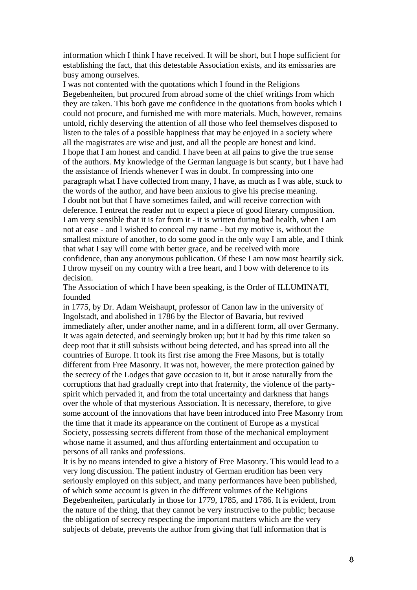information which I think I have received. It will be short, but I hope sufficient for establishing the fact, that this detestable Association exists, and its emissaries are busy among ourselves.

I was not contented with the quotations which I found in the Religions Begebenheiten, but procured from abroad some of the chief writings from which they are taken. This both gave me confidence in the quotations from books which I could not procure, and furnished me with more materials. Much, however, remains untold, richly deserving the attention of all those who feel themselves disposed to listen to the tales of a possible happiness that may be enjoyed in a society where all the magistrates are wise and just, and all the people are honest and kind. I hope that I am honest and candid. I have been at all pains to give the true sense of the authors. My knowledge of the German language is but scanty, but I have had the assistance of friends whenever I was in doubt. In compressing into one paragraph what I have collected from many, I have, as much as I was able, stuck to the words of the author, and have been anxious to give his precise meaning. I doubt not but that I have sometimes failed, and will receive correction with deference. I entreat the reader not to expect a piece of good literary composition. I am very sensible that it is far from it - it is written during bad health, when I am not at ease - and I wished to conceal my name - but my motive is, without the smallest mixture of another, to do some good in the only way I am able, and I think that what I say will come with better grace, and be received with more confidence, than any anonymous publication. Of these I am now most heartily sick. I throw myseif on my country with a free heart, and I bow with deference to its decision.

The Association of which I have been speaking, is the Order of ILLUMINATI, founded

in 1775, by Dr. Adam Weishaupt, professor of Canon law in the university of Ingolstadt, and abolished in 1786 by the Elector of Bavaria, but revived immediately after, under another name, and in a different form, all over Germany. It was again detected, and seemingly broken up; but it had by this time taken so deep root that it still subsists without being detected, and has spread into all the countries of Europe. It took its first rise among the Free Masons, but is totally different from Free Masonry. It was not, however, the mere protection gained by the secrecy of the Lodges that gave occasion to it, but it arose naturally from the corruptions that had gradually crept into that fraternity, the violence of the partyspirit which pervaded it, and from the total uncertainty and darkness that hangs over the whole of that mysterious Association. It is necessary, therefore, to give some account of the innovations that have been introduced into Free Masonry from the time that it made its appearance on the continent of Europe as a mystical Society, possessing secrets different from those of the mechanical employment whose name it assumed, and thus affording entertainment and occupation to persons of all ranks and professions.

It is by no means intended to give a history of Free Masonry. This would lead to a very long discussion. The patient industry of German erudition has been very seriously employed on this subject, and many performances have been published, of which some account is given in the different volumes of the Religions Begebenheiten, particularly in those for 1779, 1785, and 1786. It is evident, from the nature of the thing, that they cannot be very instructive to the public; because the obligation of secrecy respecting the important matters which are the very subjects of debate, prevents the author from giving that full information that is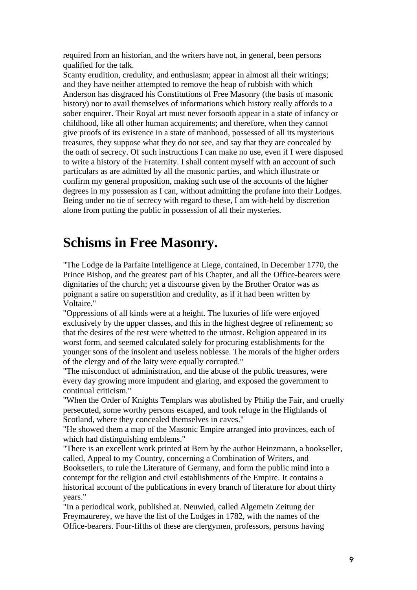required from an historian, and the writers have not, in general, been persons qualified for the talk.

Scanty erudition, credulity, and enthusiasm; appear in almost all their writings; and they have neither attempted to remove the heap of rubbish with which Anderson has disgraced his Constitutions of Free Masonry (the basis of masonic history) nor to avail themselves of informations which history really affords to a sober enquirer. Their Royal art must never forsooth appear in a state of infancy or childhood, like all other human acquirements; and therefore, when they cannot give proofs of its existence in a state of manhood, possessed of all its mysterious treasures, they suppose what they do not see, and say that they are concealed by the oath of secrecy. Of such instructions I can make no use, even if I were disposed to write a history of the Fraternity. I shall content myself with an account of such particulars as are admitted by all the masonic parties, and which illustrate or confirm my general proposition, making such use of the accounts of the higher degrees in my possession as I can, without admitting the profane into their Lodges. Being under no tie of secrecy with regard to these, I am with-held by discretion alone from putting the public in possession of all their mysteries.

# **Schisms in Free Masonry.**

"The Lodge de la Parfaite Intelligence at Liege, contained, in December 1770, the Prince Bishop, and the greatest part of his Chapter, and all the Office-bearers were dignitaries of the church; yet a discourse given by the Brother Orator was as poignant a satire on superstition and credulity, as if it had been written by Voltaire."

"Oppressions of all kinds were at a height. The luxuries of life were enjoyed exclusively by the upper classes, and this in the highest degree of refinement; so that the desires of the rest were whetted to the utmost. Religion appeared in its worst form, and seemed calculated solely for procuring establishments for the younger sons of the insolent and useless noblesse. The morals of the higher orders of the clergy and of the laity were equally corrupted."

"The misconduct of administration, and the abuse of the public treasures, were every day growing more impudent and glaring, and exposed the government to continual criticism."

"When the Order of Knights Templars was abolished by Philip the Fair, and cruelly persecuted, some worthy persons escaped, and took refuge in the Highlands of Scotland, where they concealed themselves in caves."

"He showed them a map of the Masonic Empire arranged into provinces, each of which had distinguishing emblems."

"There is an excellent work printed at Bern by the author Heinzmann, a bookseller, called, Appeal to my Country, concerning a Combination of Writers, and Booksetlers, to rule the Literature of Germany, and form the public mind into a contempt for the religion and civil establishments of the Empire. It contains a historical account of the publications in every branch of literature for about thirty years."

"In a periodical work, published at. Neuwied, called Algemein Zeitung der Freymaurerey, we have the list of the Lodges in 1782, with the names of the Office-bearers. Four-fifths of these are clergymen, professors, persons having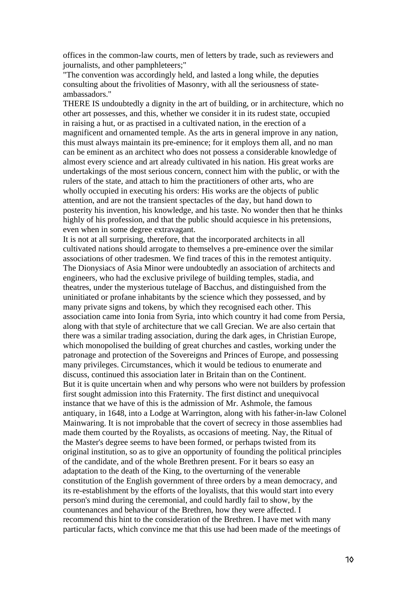offices in the common-law courts, men of letters by trade, such as reviewers and journalists, and other pamphleteers;"

"The convention was accordingly held, and lasted a long while, the deputies consulting about the frivolities of Masonry, with all the seriousness of stateambassadors."

THERE IS undoubtedly a dignity in the art of building, or in architecture, which no other art possesses, and this, whether we consider it in its rudest state, occupied in raising a hut, or as practised in a cultivated nation, in the erection of a magnificent and ornamented temple. As the arts in general improve in any nation, this must always maintain its pre-eminence; for it employs them all, and no man can be eminent as an architect who does not possess a considerable knowledge of almost every science and art already cultivated in his nation. His great works are undertakings of the most serious concern, connect him with the public, or with the rulers of the state, and attach to him the practitioners of other arts, who are wholly occupied in executing his orders: His works are the objects of public attention, and are not the transient spectacles of the day, but hand down to posterity his invention, his knowledge, and his taste. No wonder then that he thinks highly of his profession, and that the public should acquiesce in his pretensions, even when in some degree extravagant.

It is not at all surprising, therefore, that the incorporated architects in all cultivated nations should arrogate to themselves a pre-eminence over the similar associations of other tradesmen. We find traces of this in the remotest antiquity. The Dionysiacs of Asia Minor were undoubtedly an association of architects and engineers, who had the exclusive privilege of building temples, stadia, and theatres, under the mysterious tutelage of Bacchus, and distinguished from the uninitiated or profane inhabitants by the science which they possessed, and by many private signs and tokens, by which they recognised each other. This association came into Ionia from Syria, into which country it had come from Persia, along with that style of architecture that we call Grecian. We are also certain that there was a similar trading association, during the dark ages, in Christian Europe, which monopolised the building of great churches and castles, working under the patronage and protection of the Sovereigns and Princes of Europe, and possessing many privileges. Circumstances, which it would be tedious to enumerate and discuss, continued this association later in Britain than on the Continent. But it is quite uncertain when and why persons who were not builders by profession first sought admission into this Fraternity. The first distinct and unequivocal instance that we have of this is the admission of Mr. Ashmole, the famous antiquary, in 1648, into a Lodge at Warrington, along with his father-in-law Colonel Mainwaring. It is not improbable that the covert of secrecy in those assemblies had made them courted by the Royalists, as occasions of meeting. Nay, the Ritual of the Master's degree seems to have been formed, or perhaps twisted from its original institution, so as to give an opportunity of founding the political principles of the candidate, and of the whole Brethren present. For it bears so easy an adaptation to the death of the King, to the overturning of the venerable constitution of the English government of three orders by a mean democracy, and its re-establishment by the efforts of the loyalists, that this would start into every person's mind during the ceremonial, and could hardly fail to show, by the countenances and behaviour of the Brethren, how they were affected. I recommend this hint to the consideration of the Brethren. I have met with many particular facts, which convince me that this use had been made of the meetings of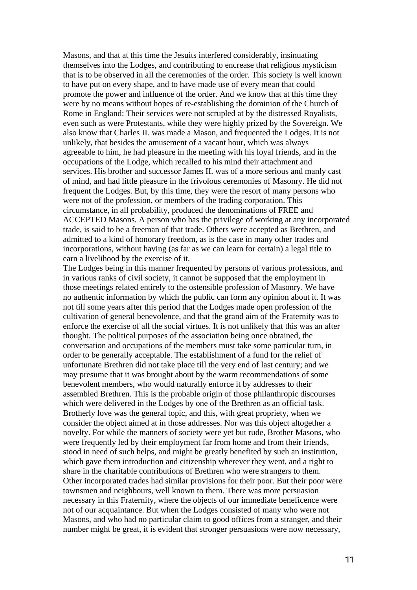Masons, and that at this time the Jesuits interfered considerably, insinuating themselves into the Lodges, and contributing to encrease that religious mysticism that is to be observed in all the ceremonies of the order. This society is well known to have put on every shape, and to have made use of every mean that could promote the power and influence of the order. And we know that at this time they were by no means without hopes of re-establishing the dominion of the Church of Rome in England: Their services were not scrupled at by the distressed Royalists, even such as were Protestants, while they were highly prized by the Sovereign. We also know that Charles II. was made a Mason, and frequented the Lodges. It is not unlikely, that besides the amusement of a vacant hour, which was always agreeable to him, he had pleasure in the meeting with his loyal friends, and in the occupations of the Lodge, which recalled to his mind their attachment and services. His brother and successor James II. was of a more serious and manly cast of mind, and had little pleasure in the frivolous ceremonies of Masonry. He did not frequent the Lodges. But, by this time, they were the resort of many persons who were not of the profession, or members of the trading corporation. This circumstance, in all probability, produced the denominations of FREE and ACCEPTED Masons. A person who has the privilege of working at any incorporated trade, is said to be a freeman of that trade. Others were accepted as Brethren, and admitted to a kind of honorary freedom, as is the case in many other trades and incorporations, without having (as far as we can learn for certain) a legal title to earn a livelihood by the exercise of it.

The Lodges being in this manner frequented by persons of various professions, and in various ranks of civil society, it cannot be supposed that the employment in those meetings related entirely to the ostensible profession of Masonry. We have no authentic information by which the public can form any opinion about it. It was not till some years after this period that the Lodges made open profession of the cultivation of general benevolence, and that the grand aim of the Fraternity was to enforce the exercise of all the social virtues. It is not unlikely that this was an after thought. The political purposes of the association being once obtained, the conversation and occupations of the members must take some particular turn, in order to be generally acceptable. The establishment of a fund for the relief of unfortunate Brethren did not take place till the very end of last century; and we may presume that it was brought about by the warm recommendations of some benevolent members, who would naturally enforce it by addresses to their assembled Brethren. This is the probable origin of those philanthropic discourses which were delivered in the Lodges by one of the Brethren as an official task. Brotherly love was the general topic, and this, with great propriety, when we consider the object aimed at in those addresses. Nor was this object altogether a novelty. For while the manners of society were yet but rude, Brother Masons, who were frequently led by their employment far from home and from their friends, stood in need of such helps, and might be greatly benefited by such an institution, which gave them introduction and citizenship wherever they went, and a right to share in the charitable contributions of Brethren who were strangers to them. Other incorporated trades had similar provisions for their poor. But their poor were townsmen and neighbours, well known to them. There was more persuasion necessary in this Fraternity, where the objects of our immediate beneficence were not of our acquaintance. But when the Lodges consisted of many who were not Masons, and who had no particular claim to good offices from a stranger, and their number might be great, it is evident that stronger persuasions were now necessary,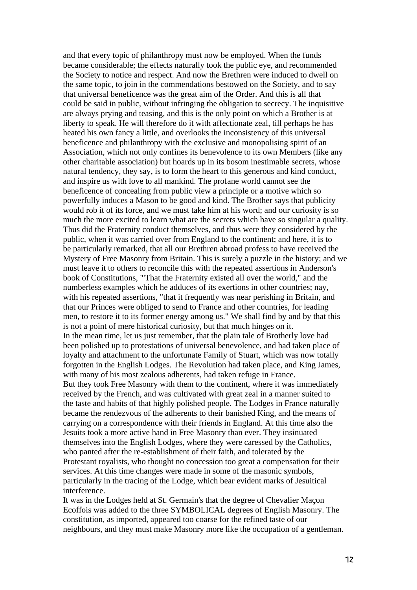and that every topic of philanthropy must now be employed. When the funds became considerable; the effects naturally took the public eye, and recommended the Society to notice and respect. And now the Brethren were induced to dwell on the same topic, to join in the commendations bestowed on the Society, and to say that universal beneficence was the great aim of the Order. And this is all that could be said in public, without infringing the obligation to secrecy. The inquisitive are always prying and teasing, and this is the only point on which a Brother is at liberty to speak. He will therefore do it with affectionate zeal, till perhaps he has heated his own fancy a little, and overlooks the inconsistency of this universal beneficence and philanthropy with the exclusive and monopolising spirit of an Association, which not only confines its benevolence to its own Members (like any other charitable association) but hoards up in its bosom inestimable secrets, whose natural tendency, they say, is to form the heart to this generous and kind conduct, and inspire us with love to all mankind. The profane world cannot see the beneficence of concealing from public view a principle or a motive which so powerfully induces a Mason to be good and kind. The Brother says that publicity would rob it of its force, and we must take him at his word; and our curiosity is so much the more excited to learn what are the secrets which have so singular a quality. Thus did the Fraternity conduct themselves, and thus were they considered by the public, when it was carried over from England to the continent; and here, it is to be particularly remarked, that all our Brethren abroad profess to have received the Mystery of Free Masonry from Britain. This is surely a puzzle in the history; and we must leave it to others to reconcile this with the repeated assertions in Anderson's book of Constitutions, "'That the Fraternity existed all over the world," and the numberless examples which he adduces of its exertions in other countries; nay, with his repeated assertions, "that it frequently was near perishing in Britain, and that our Princes were obliged to send to France and other countries, for leading men, to restore it to its former energy among us." We shall find by and by that this is not a point of mere historical curiosity, but that much hinges on it. In the mean time, let us just remember, that the plain tale of Brotherly love had been polished up to protestations of universal benevolence, and had taken place of loyalty and attachment to the unfortunate Family of Stuart, which was now totally forgotten in the English Lodges. The Revolution had taken place, and King James, with many of his most zealous adherents, had taken refuge in France. But they took Free Masonry with them to the continent, where it was immediately received by the French, and was cultivated with great zeal in a manner suited to the taste and habits of that highly polished people. The Lodges in France naturally became the rendezvous of the adherents to their banished King, and the means of carrying on a correspondence with their friends in England. At this time also the Jesuits took a more active hand in Free Masonry than ever. They insinuated themselves into the English Lodges, where they were caressed by the Catholics, who panted after the re-establishment of their faith, and tolerated by the Protestant royalists, who thought no concession too great a compensation for their services. At this time changes were made in some of the masonic symbols, particularly in the tracing of the Lodge, which bear evident marks of Jesuitical interference.

It was in the Lodges held at St. Germain's that the degree of Chevalier Maçon Ecoffois was added to the three SYMBOLICAL degrees of English Masonry. The constitution, as imported, appeared too coarse for the refined taste of our neighbours, and they must make Masonry more like the occupation of a gentleman.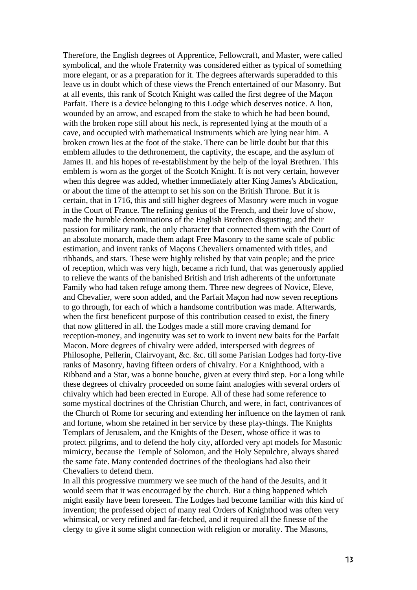Therefore, the English degrees of Apprentice, Fellowcraft, and Master, were called symbolical, and the whole Fraternity was considered either as typical of something more elegant, or as a preparation for it. The degrees afterwards superadded to this leave us in doubt which of these views the French entertained of our Masonry. But at all events, this rank of Scotch Knight was called the first degree of the Maçon Parfait. There is a device belonging to this Lodge which deserves notice. A lion, wounded by an arrow, and escaped from the stake to which he had been bound, with the broken rope still about his neck, is represented lying at the mouth of a cave, and occupied with mathematical instruments which are lying near him. A broken crown lies at the foot of the stake. There can be little doubt but that this emblem alludes to the dethronement, the captivity, the escape, and the asylum of James II. and his hopes of re-establishment by the help of the loyal Brethren. This emblem is worn as the gorget of the Scotch Knight. It is not very certain, however when this degree was added, whether immediately after King James's Abdication, or about the time of the attempt to set his son on the British Throne. But it is certain, that in 1716, this and still higher degrees of Masonry were much in vogue in the Court of France. The refining genius of the French, and their love of show, made the humble denominations of the English Brethren disgusting; and their passion for military rank, the only character that connected them with the Court of an absolute monarch, made them adapt Free Masonry to the same scale of public estimation, and invent ranks of Maçons Chevaliers ornamented with titles, and ribbands, and stars. These were highly relished by that vain people; and the price of reception, which was very high, became a rich fund, that was generously applied to relieve the wants of the banished British and Irish adherents of the unfortunate Family who had taken refuge among them. Three new degrees of Novice, Eleve, and Chevalier, were soon added, and the Parfait Maçon had now seven receptions to go through, for each of which a handsome contribution was made. Afterwards, when the first beneficent purpose of this contribution ceased to exist, the finery that now glittered in all. the Lodges made a still more craving demand for reception-money, and ingenuity was set to work to invent new baits for the Parfait Macon. More degrees of chivalry were added, interspersed with degrees of Philosophe, Pellerin, Clairvoyant, &c. &c. till some Parisian Lodges had forty-five ranks of Masonry, having fifteen orders of chivalry. For a Knighthood, with a Ribband and a Star, was a bonne bouche, given at every third step. For a long while these degrees of chivalry proceeded on some faint analogies with several orders of chivalry which had been erected in Europe. All of these had some reference to some mystical doctrines of the Christian Church, and were, in fact, contrivances of the Church of Rome for securing and extending her influence on the laymen of rank and fortune, whom she retained in her service by these play-things. The Knights Templars of Jerusalem, and the Knights of the Desert, whose office it was to protect pilgrims, and to defend the holy city, afforded very apt models for Masonic mimicry, because the Temple of Solomon, and the Holy Sepulchre, always shared the same fate. Many contended doctrines of the theologians had also their Chevaliers to defend them.

In all this progressive mummery we see much of the hand of the Jesuits, and it would seem that it was encouraged by the church. But a thing happened which might easily have been foreseen. The Lodges had become familiar with this kind of invention; the professed object of many real Orders of Knighthood was often very whimsical, or very refined and far-fetched, and it required all the finesse of the clergy to give it some slight connection with religion or morality. The Masons,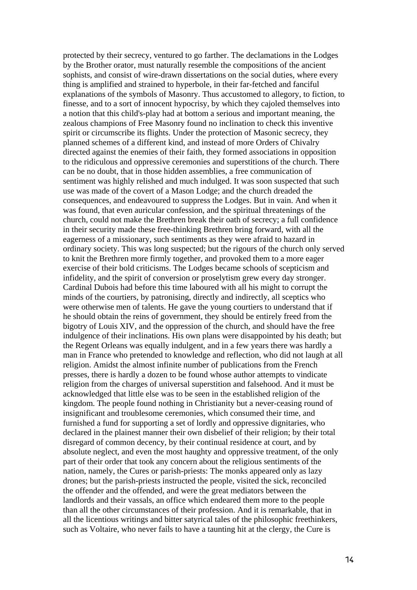protected by their secrecy, ventured to go farther. The declamations in the Lodges by the Brother orator, must naturally resemble the compositions of the ancient sophists, and consist of wire-drawn dissertations on the social duties, where every thing is amplified and strained to hyperbole, in their far-fetched and fanciful explanations of the symbols of Masonry. Thus accustomed to allegory, to fiction, to finesse, and to a sort of innocent hypocrisy, by which they cajoled themselves into a notion that this child's-play had at bottom a serious and important meaning, the zealous champions of Free Masonry found no inclination to check this inventive spirit or circumscribe its flights. Under the protection of Masonic secrecy, they planned schemes of a different kind, and instead of more Orders of Chivalry directed against the enemies of their faith, they formed associations in opposition to the ridiculous and oppressive ceremonies and superstitions of the church. There can be no doubt, that in those hidden assemblies, a free communication of sentiment was highly relished and much indulged. It was soon suspected that such use was made of the covert of a Mason Lodge; and the church dreaded the consequences, and endeavoured to suppress the Lodges. But in vain. And when it was found, that even auricular confession, and the spiritual threatenings of the church, could not make the Brethren break their oath of secrecy; a full confidence in their security made these free-thinking Brethren bring forward, with all the eagerness of a missionary, such sentiments as they were afraid to hazard in ordinary society. This was long suspected; but the rigours of the church only served to knit the Brethren more firmly together, and provoked them to a more eager exercise of their bold criticisms. The Lodges became schools of scepticism and infidelity, and the spirit of conversion or proselytism grew every day stronger. Cardinal Dubois had before this time laboured with all his might to corrupt the minds of the courtiers, by patronising, directly and indirectly, all sceptics who were otherwise men of talents. He gave the young courtiers to understand that if he should obtain the reins of government, they should be entirely freed from the bigotry of Louis XIV, and the oppression of the church, and should have the free indulgence of their inclinations. His own plans were disappointed by his death; but the Regent Orleans was equally indulgent, and in a few years there was hardly a man in France who pretended to knowledge and reflection, who did not laugh at all religion. Amidst the almost infinite number of publications from the French presses, there is hardly a dozen to be found whose author attempts to vindicate religion from the charges of universal superstition and falsehood. And it must be acknowledged that little else was to be seen in the established religion of the kingdom. The people found nothing in Christianity but a never-ceasing round of insignificant and troublesome ceremonies, which consumed their time, and furnished a fund for supporting a set of lordly and oppressive dignitaries, who declared in the plainest manner their own disbelief of their religion; by their total disregard of common decency, by their continual residence at court, and by absolute neglect, and even the most haughty and oppressive treatment, of the only part of their order that took any concern about the religious sentiments of the nation, namely, the Cures or parish-priests: The monks appeared only as lazy drones; but the parish-priests instructed the people, visited the sick, reconciled the offender and the offended, and were the great mediators between the landlords and their vassals, an office which endeared them more to the people than all the other circumstances of their profession. And it is remarkable, that in all the licentious writings and bitter satyrical tales of the philosophic freethinkers, such as Voltaire, who never fails to have a taunting hit at the clergy, the Cure is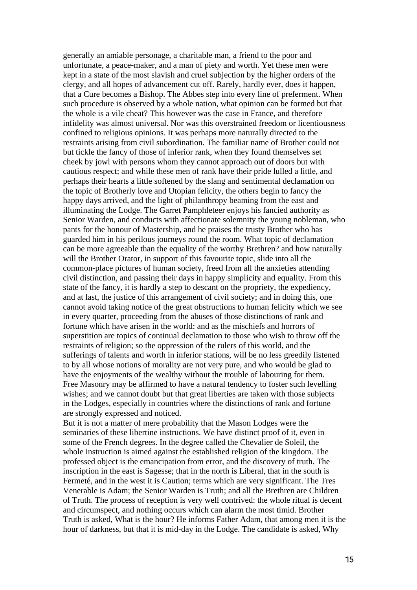generally an amiable personage, a charitable man, a friend to the poor and unfortunate, a peace-maker, and a man of piety and worth. Yet these men were kept in a state of the most slavish and cruel subjection by the higher orders of the clergy, and all hopes of advancement cut off. Rarely, hardly ever, does it happen, that a Cure becomes a Bishop. The Abbes step into every line of preferment. When such procedure is observed by a whole nation, what opinion can be formed but that the whole is a vile cheat? This however was the case in France, and therefore infidelity was almost universal. Nor was this overstrained freedom or licentiousness confined to religious opinions. It was perhaps more naturally directed to the restraints arising from civil subordination. The familiar name of Brother could not but tickle the fancy of those of inferior rank, when they found themselves set cheek by jowl with persons whom they cannot approach out of doors but with cautious respect; and while these men of rank have their pride lulled a little, and perhaps their hearts a little softened by the slang and sentimental declamation on the topic of Brotherly love and Utopian felicity, the others begin to fancy the happy days arrived, and the light of philanthropy beaming from the east and illuminating the Lodge. The Garret Pamphleteer enjoys his fancied authority as Senior Warden, and conducts with affectionate solemnity the young nobleman, who pants for the honour of Mastership, and he praises the trusty Brother who has guarded him in his perilous journeys round the room. What topic of declamation can be more agreeable than the equality of the worthy Brethren? and how naturally will the Brother Orator, in support of this favourite topic, slide into all the common-place pictures of human society, freed from all the anxieties attending civil distinction, and passing their days in happy simplicity and equality. From this state of the fancy, it is hardly a step to descant on the propriety, the expediency, and at last, the justice of this arrangement of civil society; and in doing this, one cannot avoid taking notice of the great obstructions to human felicity which we see in every quarter, proceeding from the abuses of those distinctions of rank and fortune which have arisen in the world: and as the mischiefs and horrors of superstition are topics of continual declamation to those who wish to throw off the restraints of religion; so the oppression of the rulers of this world, and the sufferings of talents and worth in inferior stations, will be no less greedily listened to by all whose notions of morality are not very pure, and who would be glad to have the enjoyments of the wealthy without the trouble of labouring for them. Free Masonry may be affirmed to have a natural tendency to foster such levelling wishes; and we cannot doubt but that great liberties are taken with those subjects in the Lodges, especially in countries where the distinctions of rank and fortune are strongly expressed and noticed.

But it is not a matter of mere probability that the Mason Lodges were the seminaries of these libertine instructions. We have distinct proof of it, even in some of the French degrees. In the degree called the Chevalier de Soleil, the whole instruction is aimed against the established religion of the kingdom. The professed object is the emancipation from error, and the discovery of truth. The inscription in the east is Sagesse; that in the north is Liberal, that in the south is Fermeté, and in the west it is Caution; terms which are very significant. The Tres Venerable is Adam; the Senior Warden is Truth; and all the Brethren are Children of Truth. The process of reception is very well contrived: the whole ritual is decent and circumspect, and nothing occurs which can alarm the most timid. Brother Truth is asked, What is the hour? He informs Father Adam, that among men it is the hour of darkness, but that it is mid-day in the Lodge. The candidate is asked, Why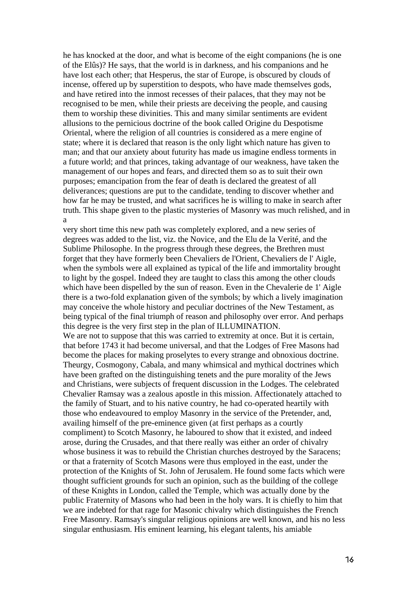he has knocked at the door, and what is become of the eight companions (he is one of the Elûs)? He says, that the world is in darkness, and his companions and he have lost each other; that Hesperus, the star of Europe, is obscured by clouds of incense, offered up by superstition to despots, who have made themselves gods, and have retired into the inmost recesses of their palaces, that they may not be recognised to be men, while their priests are deceiving the people, and causing them to worship these divinities. This and many similar sentiments are evident allusions to the pernicious doctrine of the book called Origine du Despotisme Oriental, where the religion of all countries is considered as a mere engine of state; where it is declared that reason is the only light which nature has given to man; and that our anxiety about futurity has made us imagine endless torments in a future world; and that princes, taking advantage of our weakness, have taken the management of our hopes and fears, and directed them so as to suit their own purposes; emancipation from the fear of death is declared the greatest of all deliverances; questions are put to the candidate, tending to discover whether and how far he may be trusted, and what sacrifices he is willing to make in search after truth. This shape given to the plastic mysteries of Masonry was much relished, and in a

very short time this new path was completely explored, and a new series of degrees was added to the list, viz. the Novice, and the Elu de la Verité, and the Sublime Philosophe. In the progress through these degrees, the Brethren must forget that they have formerly been Chevaliers de l'Orient, Chevaliers de l' Aigle, when the symbols were all explained as typical of the life and immortality brought to light by the gospel. Indeed they are taught to class this among the other clouds which have been dispelled by the sun of reason. Even in the Chevalerie de 1' Aigle there is a two-fold explanation given of the symbols; by which a lively imagination may conceive the whole history and peculiar doctrines of the New Testament, as being typical of the final triumph of reason and philosophy over error. And perhaps this degree is the very first step in the plan of ILLUMINATION.

We are not to suppose that this was carried to extremity at once. But it is certain, that before 1743 it had become universal, and that the Lodges of Free Masons had become the places for making proselytes to every strange and obnoxious doctrine. Theurgy, Cosmogony, Cabala, and many whimsical and mythical doctrines which have been grafted on the distinguishing tenets and the pure morality of the Jews and Christians, were subjects of frequent discussion in the Lodges. The celebrated Chevalier Ramsay was a zealous apostle in this mission. Affectionately attached to the family of Stuart, and to his native country, he had co-operated heartily with those who endeavoured to employ Masonry in the service of the Pretender, and, availing himself of the pre-eminence given (at first perhaps as a courtly compliment) to Scotch Masonry, he laboured to show that it existed, and indeed arose, during the Crusades, and that there really was either an order of chivalry whose business it was to rebuild the Christian churches destroyed by the Saracens: or that a fraternity of Scotch Masons were thus employed in the east, under the protection of the Knights of St. John of Jerusalem. He found some facts which were thought sufficient grounds for such an opinion, such as the building of the college of these Knights in London, called the Temple, which was actually done by the public Fraternity of Masons who had been in the holy wars. It is chiefly to him that we are indebted for that rage for Masonic chivalry which distinguishes the French Free Masonry. Ramsay's singular religious opinions are well known, and his no less singular enthusiasm. His eminent learning, his elegant talents, his amiable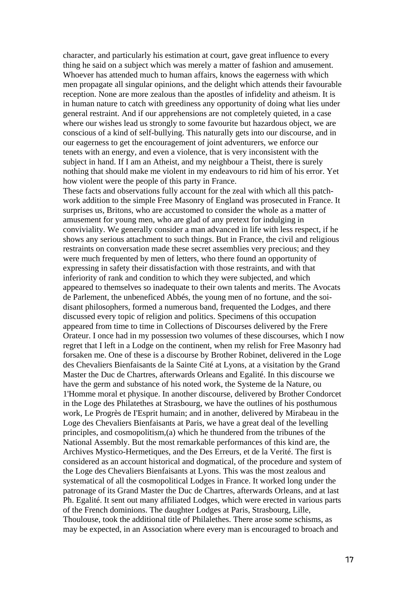character, and particularly his estimation at court, gave great influence to every thing he said on a subject which was merely a matter of fashion and amusement. Whoever has attended much to human affairs, knows the eagerness with which men propagate all singular opinions, and the delight which attends their favourable reception. None are more zealous than the apostles of infidelity and atheism. It is in human nature to catch with greediness any opportunity of doing what lies under general restraint. And if our apprehensions are not completely quieted, in a case where our wishes lead us strongly to some favourite but hazardous object, we are conscious of a kind of self-bullying. This naturally gets into our discourse, and in our eagerness to get the encouragement of joint adventurers, we enforce our tenets with an energy, and even a violence, that is very inconsistent with the subject in hand. If I am an Atheist, and my neighbour a Theist, there is surely nothing that should make me violent in my endeavours to rid him of his error. Yet how violent were the people of this party in France.

These facts and observations fully account for the zeal with which all this patchwork addition to the simple Free Masonry of England was prosecuted in France. It surprises us, Britons, who are accustomed to consider the whole as a matter of amusement for young men, who are glad of any pretext for indulging in conviviality. We generally consider a man advanced in life with less respect, if he shows any serious attachment to such things. But in France, the civil and religious restraints on conversation made these secret assemblies very precious; and they were much frequented by men of letters, who there found an opportunity of expressing in safety their dissatisfaction with those restraints, and with that inferiority of rank and condition to which they were subjected, and which appeared to themselves so inadequate to their own talents and merits. The Avocats de Parlement, the unbeneficed Abbés, the young men of no fortune, and the soidisant philosophers, formed a numerous band, frequented the Lodges, and there discussed every topic of religion and politics. Specimens of this occupation appeared from time to time in Collections of Discourses delivered by the Frere Orateur. I once had in my possession two volumes of these discourses, which I now regret that I left in a Lodge on the continent, when my relish for Free Masonry had forsaken me. One of these is a discourse by Brother Robinet, delivered in the Loge des Chevaliers Bienfaisants de la Sainte Cité at Lyons, at a visitation by the Grand Master the Duc de Chartres, afterwards Orleans and Egalité. In this discourse we have the germ and substance of his noted work, the Systeme de la Nature, ou 1'Homme moral et physique. In another discourse, delivered by Brother Condorcet in the Loge des Philatethes at Strasbourg, we have the outlines of his posthumous work, Le Progrès de I'Esprit humain; and in another, delivered by Mirabeau in the Loge des Chevaliers Bienfaisants at Paris, we have a great deal of the levelling principles, and cosmopolitism,(a) which he thundered from the tribunes of the National Assembly. But the most remarkable performances of this kind are, the Archives Mystico-Hermetiques, and the Des Erreurs, et de la Verité. The first is considered as an account historical and dogmatical, of the procedure and system of the Loge des Chevaliers Bienfaisants at Lyons. This was the most zealous and systematical of all the cosmopolitical Lodges in France. It worked long under the patronage of its Grand Master the Duc de Chartres, afterwards Orleans, and at last Ph. Egalité. It sent out many affiliated Lodges, which were erected in various parts of the French dominions. The daughter Lodges at Paris, Strasbourg, Lille, Thoulouse, took the additional title of Philalethes. There arose some schisms, as may be expected, in an Association where every man is encouraged to broach and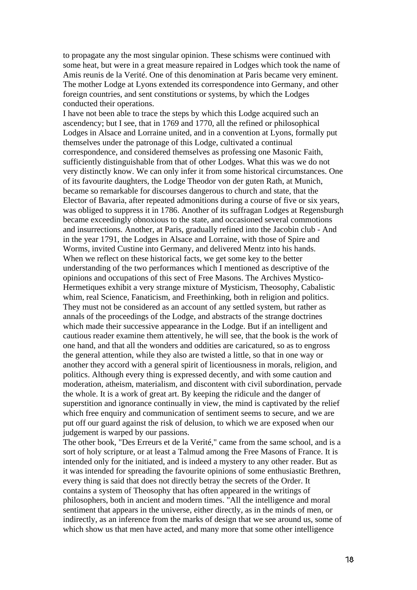to propagate any the most singular opinion. These schisms were continued with some heat, but were in a great measure repaired in Lodges which took the name of Amis reunis de la Verité. One of this denomination at Paris became very eminent. The mother Lodge at Lyons extended its correspondence into Germany, and other foreign countries, and sent constitutions or systems, by which the Lodges conducted their operations.

I have not been able to trace the steps by which this Lodge acquired such an ascendency; but I see, that in 1769 and 1770, all the refined or philosophical Lodges in Alsace and Lorraine united, and in a convention at Lyons, formally put themselves under the patronage of this Lodge, cultivated a continual correspondence, and considered themselves as professing one Masonic Faith, sufficiently distinguishable from that of other Lodges. What this was we do not very distinctly know. We can only infer it from some historical circumstances. One of its favourite daughters, the Lodge Theodor von der guten Rath, at Munich, became so remarkable for discourses dangerous to church and state, that the Elector of Bavaria, after repeated admonitions during a course of five or six years, was obliged to suppress it in 1786. Another of its suffragan Lodges at Regensburgh became exceedingly obnoxious to the state, and occasioned several commotions and insurrections. Another, at Paris, gradually refined into the Jacobin club - And in the year 1791, the Lodges in Alsace and Lorraine, with those of Spire and Worms, invited Custine into Germany, and delivered Mentz into his hands. When we reflect on these historical facts, we get some key to the better understanding of the two performances which I mentioned as descriptive of the opinions and occupations of this sect of Free Masons. The Archives Mystico-Hermetiques exhibit a very strange mixture of Mysticism, Theosophy, Cabalistic whim, real Science, Fanaticism, and Freethinking, both in religion and politics. They must not be considered as an account of any settled system, but rather as annals of the proceedings of the Lodge, and abstracts of the strange doctrines which made their successive appearance in the Lodge. But if an intelligent and cautious reader examine them attentively, he will see, that the book is the work of one hand, and that all the wonders and oddities are caricatured, so as to engross the general attention, while they also are twisted a little, so that in one way or another they accord with a general spirit of licentiousness in morals, religion, and politics. Although every thing is expressed decently, and with some caution and moderation, atheism, materialism, and discontent with civil subordination, pervade the whole. It is a work of great art. By keeping the ridicule and the danger of superstition and ignorance continually in view, the mind is captivated by the relief which free enquiry and communication of sentiment seems to secure, and we are put off our guard against the risk of delusion, to which we are exposed when our judgement is warped by our passions.

The other book, "Des Erreurs et de la Verité," came from the same school, and is a sort of holy scripture, or at least a Talmud among the Free Masons of France. It is intended only for the initiated, and is indeed a mystery to any other reader. But as it was intended for spreading the favourite opinions of some enthusiastic Brethren, every thing is said that does not directly betray the secrets of the Order. It contains a system of Theosophy that has often appeared in the writings of philosophers, both in ancient and modern times. "All the intelligence and moral sentiment that appears in the universe, either directly, as in the minds of men, or indirectly, as an inference from the marks of design that we see around us, some of which show us that men have acted, and many more that some other intelligence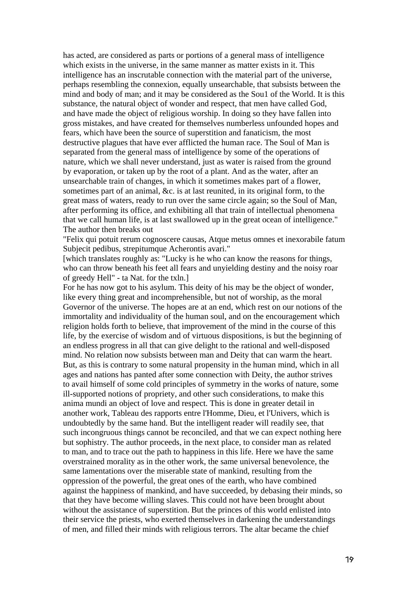has acted, are considered as parts or portions of a general mass of intelligence which exists in the universe, in the same manner as matter exists in it. This intelligence has an inscrutable connection with the material part of the universe, perhaps resembling the connexion, equally unsearchable, that subsists between the mind and body of man; and it may be considered as the Sou1 of the World. It is this substance, the natural object of wonder and respect, that men have called God, and have made the object of religious worship. In doing so they have fallen into gross mistakes, and have created for themselves numberless unfounded hopes and fears, which have been the source of superstition and fanaticism, the most destructive plagues that have ever afflicted the human race. The Soul of Man is separated from the general mass of intelligence by some of the operations of nature, which we shall never understand, just as water is raised from the ground by evaporation, or taken up by the root of a plant. And as the water, after an unsearchable train of changes, in which it sometimes makes part of a flower, sometimes part of an animal, &c. is at last reunited, in its original form, to the great mass of waters, ready to run over the same circle again; so the Soul of Man, after performing its office, and exhibiting all that train of intellectual phenomena that we call human life, is at last swallowed up in the great ocean of intelligence." The author then breaks out

"Felix qui potuit rerum cognoscere causas, Atque metus omnes et inexorabile fatum Subjecit pedibus, strepitumque Acherontis avari."

[which translates roughly as: "Lucky is he who can know the reasons for things, who can throw beneath his feet all fears and unyielding destiny and the noisy roar of greedy Hell" - ta Nat. for the txln.]

For he has now got to his asylum. This deity of his may be the object of wonder, like every thing great and incomprehensible, but not of worship, as the moral Governor of the universe. The hopes are at an end, which rest on our notions of the immortality and individuality of the human soul, and on the encouragement which religion holds forth to believe, that improvement of the mind in the course of this life, by the exercise of wisdom and of virtuous dispositions, is but the beginning of an endless progress in all that can give delight to the rational and well-disposed mind. No relation now subsists between man and Deity that can warm the heart. But, as this is contrary to some natural propensity in the human mind, which in all ages and nations has panted after some connection with Deity, the author strives to avail himself of some cold principles of symmetry in the works of nature, some ill-supported notions of propriety, and other such considerations, to make this anima mundi an object of love and respect. This is done in greater detail in another work, Tableau des rapports entre l'Homme, Dieu, et l'Univers, which is undoubtedly by the same hand. But the intelligent reader will readily see, that such incongruous things cannot be reconciled, and that we can expect nothing here but sophistry. The author proceeds, in the next place, to consider man as related to man, and to trace out the path to happiness in this life. Here we have the same overstrained morality as in the other work, the same universal benevolence, the same lamentations over the miserable state of mankind, resulting from the oppression of the powerful, the great ones of the earth, who have combined against the happiness of mankind, and have succeeded, by debasing their minds, so that they have become willing slaves. This could not have been brought about without the assistance of superstition. But the princes of this world enlisted into their service the priests, who exerted themselves in darkening the understandings of men, and filled their minds with religious terrors. The altar became the chief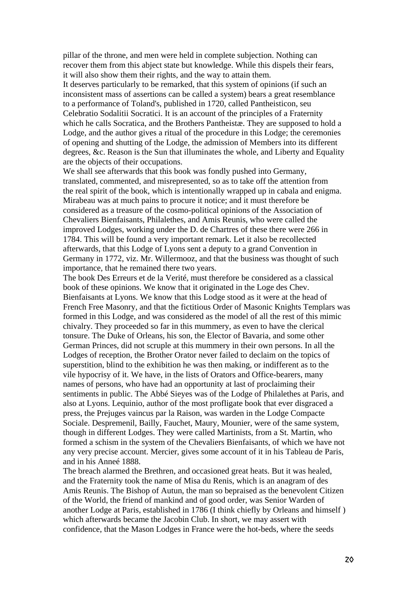pillar of the throne, and men were held in complete subjection. Nothing can recover them from this abject state but knowledge. While this dispels their fears, it will also show them their rights, and the way to attain them.

It deserves particularly to be remarked, that this system of opinions (if such an inconsistent mass of assertions can be called a system) bears a great resemblance to a performance of Toland's, published in 1720, called Pantheisticon, seu Celebratio Sodalitii Socratici. It is an account of the principles of a Fraternity which he calls Socratica, and the Brothers Pantheistæ. They are supposed to hold a Lodge, and the author gives a ritual of the procedure in this Lodge; the ceremonies of opening and shutting of the Lodge, the admission of Members into its different degrees, &c. Reason is the Sun that illuminates the whole, and Liberty and Equality are the objects of their occupations.

We shall see afterwards that this book was fondly pushed into Germany, translated, commented, and misrepresented, so as to take off the attention from the real spirit of the book, which is intentionally wrapped up in cabala and enigma. Mirabeau was at much pains to procure it notice; and it must therefore be considered as a treasure of the cosmo-political opinions of the Association of Chevaliers Bienfaisants, Philalethes, and Amis Reunis, who were called the improved Lodges, working under the D. de Chartres of these there were 266 in 1784. This will be found a very important remark. Let it also be recollected afterwards, that this Lodge of Lyons sent a deputy to a grand Convention in Germany in 1772, viz. Mr. Willermooz, and that the business was thought of such importance, that he remained there two years.

The book Des Erreurs et de la Verité, must therefore be considered as a classical book of these opinions. We know that it originated in the Loge des Chev. Bienfaisants at Lyons. We know that this Lodge stood as it were at the head of French Free Masonry, and that the fictitious Order of Masonic Knights Templars was formed in this Lodge, and was considered as the model of all the rest of this mimic chivalry. They proceeded so far in this mummery, as even to have the clerical tonsure. The Duke of Orleans, his son, the Elector of Bavaria, and some other German Princes, did not scruple at this mummery in their own persons. In all the Lodges of reception, the Brother Orator never failed to declaim on the topics of superstition, blind to the exhibition he was then making, or indifferent as to the vile hypocrisy of it. We have, in the lists of Orators and Office-bearers, many names of persons, who have had an opportunity at last of proclaiming their sentiments in public. The Abbé Sieyes was of the Lodge of Philalethes at Paris, and also at Lyons. Lequinio, author of the most profligate book that ever disgraced a press, the Prejuges vaincus par la Raison, was warden in the Lodge Compacte Sociale. Despremenil, Bailly, Fauchet, Maury, Mounier, were of the same system, though in different Lodges. They were called Martinists, from a St. Martin, who formed a schism in the system of the Chevaliers Bienfaisants, of which we have not any very precise account. Mercier, gives some account of it in his Tableau de Paris, and in his Anneé 1888.

The breach alarmed the Brethren, and occasioned great heats. But it was healed, and the Fraternity took the name of Misa du Renis, which is an anagram of des Amis Reunis. The Bishop of Autun, the man so bepraised as the benevolent Citizen of the World, the friend of mankind and of good order, was Senior Warden of another Lodge at Paris, established in 1786 (I think chiefly by Orleans and himself ) which afterwards became the Jacobin Club. In short, we may assert with confidence, that the Mason Lodges in France were the hot-beds, where the seeds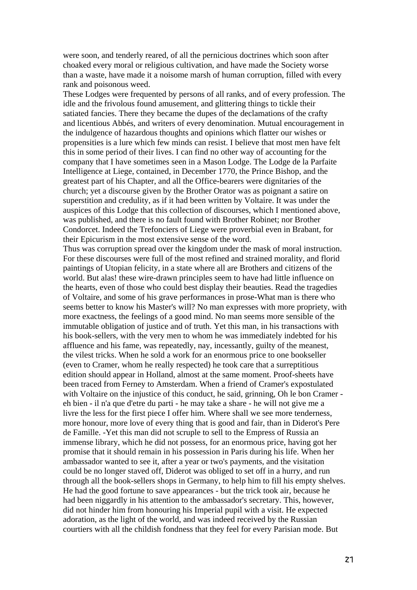were soon, and tenderly reared, of all the pernicious doctrines which soon after choaked every moral or religious cultivation, and have made the Society worse than a waste, have made it a noisome marsh of human corruption, filled with every rank and poisonous weed.

These Lodges were frequented by persons of all ranks, and of every profession. The idle and the frivolous found amusement, and glittering things to tickle their satiated fancies. There they became the dupes of the declamations of the crafty and licentious Abbés, and writers of every denomination. Mutual encouragement in the indulgence of hazardous thoughts and opinions which flatter our wishes or propensities is a lure which few minds can resist. I believe that most men have felt this in some period of their lives. I can find no other way of accounting for the company that I have sometimes seen in a Mason Lodge. The Lodge de la Parfaite Intelligence at Liege, contained, in December 1770, the Prince Bishop, and the greatest part of his Chapter, and all the Office-bearers were dignitaries of the church; yet a discourse given by the Brother Orator was as poignant a satire on superstition and credulity, as if it had been written by Voltaire. It was under the auspices of this Lodge that this collection of discourses, which I mentioned above, was published, and there is no fault found with Brother Robinet; nor Brother Condorcet. Indeed the Trefonciers of Liege were proverbial even in Brabant, for their Epicurism in the most extensive sense of the word.

Thus was corruption spread over the kingdom under the mask of moral instruction. For these discourses were full of the most refined and strained morality, and florid paintings of Utopian felicity, in a state where all are Brothers and citizens of the world. But alas! these wire-drawn principles seem to have had little influence on the hearts, even of those who could best display their beauties. Read the tragedies of Voltaire, and some of his grave performances in prose-What man is there who seems better to know his Master's will? No man expresses with more propriety, with more exactness, the feelings of a good mind. No man seems more sensible of the immutable obligation of justice and of truth. Yet this man, in his transactions with his book-sellers, with the very men to whom he was immediately indebted for his affluence and his fame, was repeatedly, nay, incessantly, guilty of the meanest, the vilest tricks. When he sold a work for an enormous price to one bookseller (even to Cramer, whom he really respected) he took care that a surreptitious edition should appear in Holland, almost at the same moment. Proof-sheets have been traced from Ferney to Amsterdam. When a friend of Cramer's expostulated with Voltaire on the injustice of this conduct, he said, grinning, Oh le bon Cramer eh bien - il n'a que d'etre du parti - he may take a share - he will not give me a livre the less for the first piece I offer him. Where shall we see more tenderness, more honour, more love of every thing that is good and fair, than in Diderot's Pere de Famille. -Yet this man did not scruple to sell to the Empress of Russia an immense library, which he did not possess, for an enormous price, having got her promise that it should remain in his possession in Paris during his life. When her ambassador wanted to see it, after a year or two's payments, and the visitation could be no longer staved off, Diderot was obliged to set off in a hurry, and run through all the book-sellers shops in Germany, to help him to fill his empty shelves. He had the good fortune to save appearances - but the trick took air, because he had been niggardly in his attention to the ambassador's secretary. This, however, did not hinder him from honouring his Imperial pupil with a visit. He expected adoration, as the light of the world, and was indeed received by the Russian courtiers with all the childish fondness that they feel for every Parisian mode. But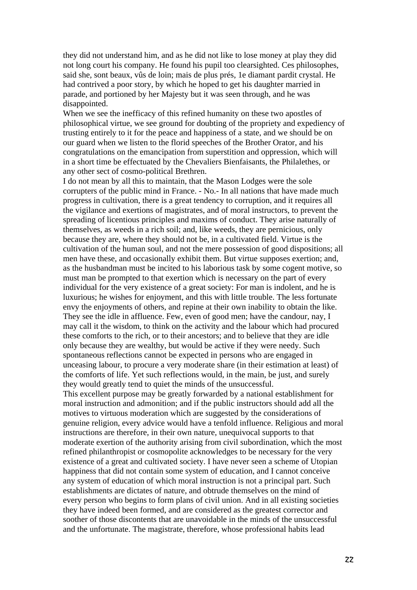they did not understand him, and as he did not like to lose money at play they did not long court his company. He found his pupil too clearsighted. Ces philosophes, said she, sont beaux, vûs de loin; mais de plus prés, 1e diamant pardit crystal. He had contrived a poor story, by which he hoped to get his daughter married in parade, and portioned by her Majesty but it was seen through, and he was disappointed.

When we see the inefficacy of this refined humanity on these two apostles of philosophical virtue, we see ground for doubting of the propriety and expediency of trusting entirely to it for the peace and happiness of a state, and we should be on our guard when we listen to the florid speeches of the Brother Orator, and his congratulations on the emancipation from superstition and oppression, which will in a short time be effectuated by the Chevaliers Bienfaisants, the Philalethes, or any other sect of cosmo-political Brethren.

I do not mean by all this to maintain, that the Mason Lodges were the sole corrupters of the public mind in France. - No.- In all nations that have made much progress in cultivation, there is a great tendency to corruption, and it requires all the vigilance and exertions of magistrates, and of moral instructors, to prevent the spreading of licentious principles and maxims of conduct. They arise naturally of themselves, as weeds in a rich soil; and, like weeds, they are pernicious, only because they are, where they should not be, in a cultivated field. Virtue is the cultivation of the human soul, and not the mere possession of good dispositions; all men have these, and occasionally exhibit them. But virtue supposes exertion; and, as the husbandman must be incited to his laborious task by some cogent motive, so must man be prompted to that exertion which is necessary on the part of every individual for the very existence of a great society: For man is indolent, and he is luxurious; he wishes for enjoyment, and this with little trouble. The less fortunate envy the enjoyments of others, and repine at their own inability to obtain the like. They see the idle in affluence. Few, even of good men; have the candour, nay, I may call it the wisdom, to think on the activity and the labour which had procured these comforts to the rich, or to their ancestors; and to believe that they are idle only because they are wealthy, but would be active if they were needy. Such spontaneous reflections cannot be expected in persons who are engaged in unceasing labour, to procure a very moderate share (in their estimation at least) of the comforts of life. Yet such reflections would, in the main, be just, and surely they would greatly tend to quiet the minds of the unsuccessful. This excellent purpose may be greatly forwarded by a national establishment for moral instruction and admonition; and if the public instructors should add all the motives to virtuous moderation which are suggested by the considerations of genuine religion, every advice would have a tenfold influence. Religious and moral instructions are therefore, in their own nature, unequivocal supports to that moderate exertion of the authority arising from civil subordination, which the most refined philanthropist or cosmopolite acknowledges to be necessary for the very existence of a great and cultivated society. I have never seen a scheme of Utopian happiness that did not contain some system of education, and I cannot conceive any system of education of which moral instruction is not a principal part. Such establishments are dictates of nature, and obtrude themselves on the mind of every person who begins to form plans of civil union. And in all existing societies they have indeed been formed, and are considered as the greatest corrector and soother of those discontents that are unavoidable in the minds of the unsuccessful

and the unfortunate. The magistrate, therefore, whose professional habits lead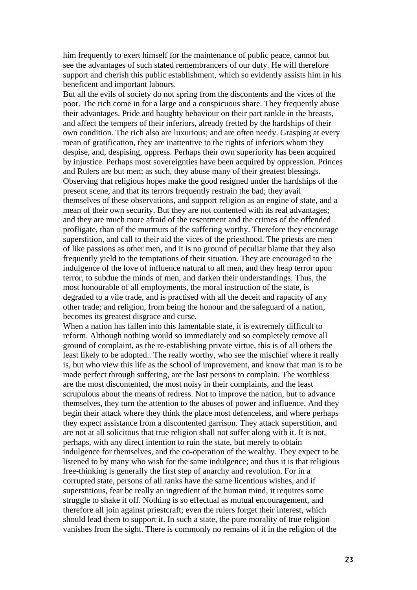him frequently to exert himself for the maintenance of public peace, cannot but see the advantages of such stated remembrancers of our duty. He will therefore support and cherish this public establishment, which so evidently assists him in his beneficent and important labours.

But all the evils of society do not spring from the discontents and the vices of the poor. The rich come in for a large and a conspicuous share. They frequently abuse their advantages. Pride and haughty behaviour on their part rankle in the breasts, and affect the tempers of their inferiors, already fretted by the hardships of their own condition. The rich also are luxurious; and are often needy. Grasping at every mean of gratification, they are inattentive to the rights of inferiors whom they despise, and, despising, oppress. Perhaps their own superiority has been acquired by injustice. Perhaps most sovereignties have been acquired by oppression. Princes and Rulers are but men; as such, they abuse many of their greatest blessings. Observing that religious hopes make the good resigned under the hardships of the present scene, and that its terrors frequently restrain the bad; they avail themselves of these observations, and support religion as an engine of state, and a mean of their own security. But they are not contented with its real advantages; and they are much more afraid of the resentment and the crimes of the offended profligate, than of the murmurs of the suffering worthy. Therefore they encourage superstition, and call to their aid the vices of the priesthood. The priests are men of like passions as other men, and it is no ground of peculiar blame that they also frequently yield to the temptations of their situation. They are encouraged to the indulgence of the love of influence natural to all men, and they heap terror upon terror, to subdue the minds of men, and darken their understandings. Thus, the most honourable of all employments, the moral instruction of the state, is degraded to a vile trade, and is practised with all the deceit and rapacity of any other trade; and religion, from being the honour and the safeguard of a nation, becomes its greatest disgrace and curse.

When a nation has fallen into this lamentable state, it is extremely difficult to reform. Although nothing would so immediately and so completely remove all ground of complaint, as the re-establishing private virtue, this is of all others the least likely to be adopted.. The really worthy, who see the mischief where it really is, but who view this life as the school of improvement, and know that man is to be made perfect through suffering, are the last persons to complain. The worthless are the most discontented, the most noisy in their complaints, and the least scrupulous about the means of redress. Not to improve the nation, but to advance themselves, they turn the attention to the abuses of power and influence. And they begin their attack where they think the place most defenceless, and where perhaps they expect assistance from a discontented garrison. They attack superstition, and are not at all solicitous that true religion shall not suffer along with it. It is not, perhaps, with any direct intention to ruin the state, but merely to obtain indulgence for themselves, and the co-operation of the wealthy. They expect to be listened to by many who wish for the same indulgence; and thus it is that religious free-thinking is generally the first step of anarchy and revolution. For in a corrupted state, persons of all ranks have the same licentious wishes, and if superstitious, fear be really an ingredient of the human mind, it requires some struggle to shake it off. Nothing is so effectual as mutual encouragement, and therefore all join against priestcraft; even the rulers forget their interest, which should lead them to support it. In such a state, the pure morality of true religion vanishes from the sight. There is commonly no remains of it in the religion of the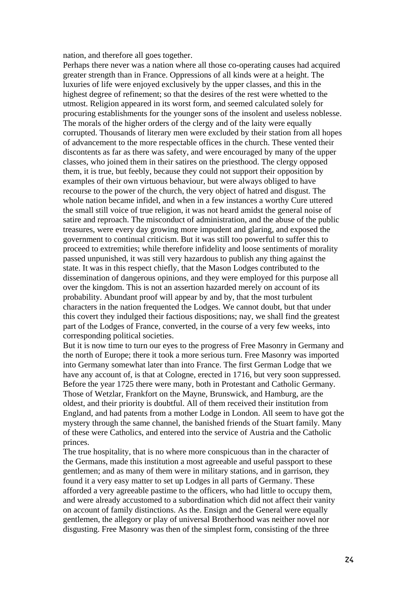nation, and therefore all goes together.

Perhaps there never was a nation where all those co-operating causes had acquired greater strength than in France. Oppressions of all kinds were at a height. The luxuries of life were enjoyed exclusively by the upper classes, and this in the highest degree of refinement; so that the desires of the rest were whetted to the utmost. Religion appeared in its worst form, and seemed calculated solely for procuring establishments for the younger sons of the insolent and useless noblesse. The morals of the higher orders of the clergy and of the laity were equally corrupted. Thousands of literary men were excluded by their station from all hopes of advancement to the more respectable offices in the church. These vented their discontents as far as there was safety, and were encouraged by many of the upper classes, who joined them in their satires on the priesthood. The clergy opposed them, it is true, but feebly, because they could not support their opposition by examples of their own virtuous behaviour, but were always obliged to have recourse to the power of the church, the very object of hatred and disgust. The whole nation became infidel, and when in a few instances a worthy Cure uttered the small still voice of true religion, it was not heard amidst the general noise of satire and reproach. The misconduct of administration, and the abuse of the public treasures, were every day growing more impudent and glaring, and exposed the government to continual criticism. But it was still too powerful to suffer this to proceed to extremities; while therefore infidelity and loose sentiments of morality passed unpunished, it was still very hazardous to publish any thing against the state. It was in this respect chiefly, that the Mason Lodges contributed to the dissemination of dangerous opinions, and they were employed for this purpose all over the kingdom. This is not an assertion hazarded merely on account of its probability. Abundant proof will appear by and by, that the most turbulent characters in the nation frequented the Lodges. We cannot doubt, but that under this covert they indulged their factious dispositions; nay, we shall find the greatest part of the Lodges of France, converted, in the course of a very few weeks, into corresponding political societies.

But it is now time to turn our eyes to the progress of Free Masonry in Germany and the north of Europe; there it took a more serious turn. Free Masonry was imported into Germany somewhat later than into France. The first German Lodge that we have any account of, is that at Cologne, erected in 1716, but very soon suppressed. Before the year 1725 there were many, both in Protestant and Catholic Germany. Those of Wetzlar, Frankfort on the Mayne, Brunswick, and Hamburg, are the oldest, and their priority is doubtful. All of them received their institution from England, and had patents from a mother Lodge in London. All seem to have got the mystery through the same channel, the banished friends of the Stuart family. Many of these were Catholics, and entered into the service of Austria and the Catholic princes.

The true hospitality, that is no where more conspicuous than in the character of the Germans, made this institution a most agreeable and useful passport to these gentlemen; and as many of them were in military stations, and in garrison, they found it a very easy matter to set up Lodges in all parts of Germany. These afforded a very agreeable pastime to the officers, who had little to occupy them, and were already accustomed to a subordination which did not affect their vanity on account of family distinctions. As the. Ensign and the General were equally gentlemen, the allegory or play of universal Brotherhood was neither novel nor disgusting. Free Masonry was then of the simplest form, consisting of the three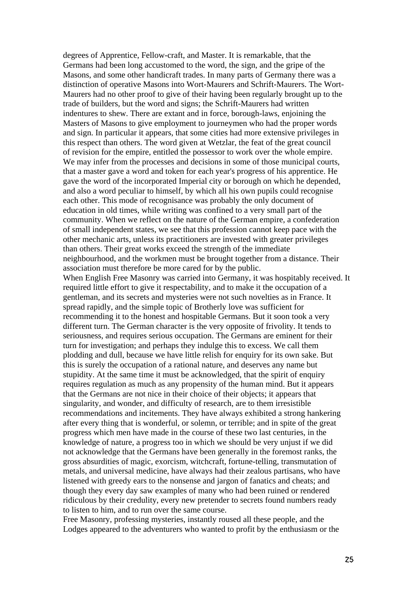degrees of Apprentice, Fellow-craft, and Master. It is remarkable, that the Germans had been long accustomed to the word, the sign, and the gripe of the Masons, and some other handicraft trades. In many parts of Germany there was a distinction of operative Masons into Wort-Maurers and Schrift-Maurers. The Wort-Maurers had no other proof to give of their having been regularly brought up to the trade of builders, but the word and signs; the Schrift-Maurers had written indentures to shew. There are extant and in force, borough-laws, enjoining the Masters of Masons to give employment to journeymen who had the proper words and sign. In particular it appears, that some cities had more extensive privileges in this respect than others. The word given at Wetzlar, the feat of the great council of revision for the empire, entitled the possessor to work over the whole empire. We may infer from the processes and decisions in some of those municipal courts, that a master gave a word and token for each year's progress of his apprentice. He gave the word of the incorporated Imperial city or borough on which he depended, and also a word peculiar to himself, by which all his own pupils could recognise each other. This mode of recognisance was probably the only document of education in old times, while writing was confined to a very small part of the community. When we reflect on the nature of the German empire, a confederation of small independent states, we see that this profession cannot keep pace with the other mechanic arts, unless its practitioners are invested with greater privileges than others. Their great works exceed the strength of the immediate neighbourhood, and the workmen must be brought together from a distance. Their association must therefore be more cared for by the public. When English Free Masonry was carried into Germany, it was hospitably received. It required little effort to give it respectability, and to make it the occupation of a gentleman, and its secrets and mysteries were not such novelties as in France. It spread rapidly, and the simple topic of Brotherly love was sufficient for recommending it to the honest and hospitable Germans. But it soon took a very different turn. The German character is the very opposite of frivolity. It tends to seriousness, and requires serious occupation. The Germans are eminent for their

turn for investigation; and perhaps they indulge this to excess. We call them plodding and dull, because we have little relish for enquiry for its own sake. But this is surely the occupation of a rational nature, and deserves any name but stupidity. At the same time it must be acknowledged, that the spirit of enquiry requires regulation as much as any propensity of the human mind. But it appears that the Germans are not nice in their choice of their objects; it appears that singularity, and wonder, and difficulty of research, are to them irresistible recommendations and incitements. They have always exhibited a strong hankering after every thing that is wonderful, or solemn, or terrible; and in spite of the great progress which men have made in the course of these two last centuries, in the knowledge of nature, a progress too in which we should be very unjust if we did not acknowledge that the Germans have been generally in the foremost ranks, the gross absurdities of magic, exorcism, witchcraft, fortune-telling, transmutation of metals, and universal medicine, have always had their zealous partisans, who have listened with greedy ears to the nonsense and jargon of fanatics and cheats; and though they every day saw examples of many who had been ruined or rendered ridiculous by their credulity, every new pretender to secrets found numbers ready to listen to him, and to run over the same course.

Free Masonry, professing mysteries, instantly roused all these people, and the Lodges appeared to the adventurers who wanted to profit by the enthusiasm or the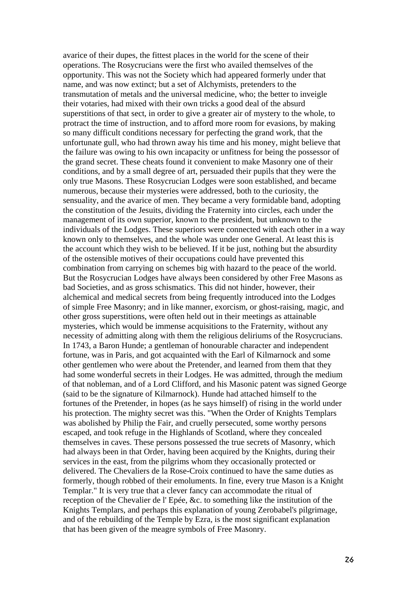avarice of their dupes, the fittest places in the world for the scene of their operations. The Rosycrucians were the first who availed themselves of the opportunity. This was not the Society which had appeared formerly under that name, and was now extinct; but a set of Alchymists, pretenders to the transmutation of metals and the universal medicine, who; the better to inveigle their votaries, had mixed with their own tricks a good deal of the absurd superstitions of that sect, in order to give a greater air of mystery to the whole, to protract the time of instruction, and to afford more room for evasions, by making so many difficult conditions necessary for perfecting the grand work, that the unfortunate gull, who had thrown away his time and his money, might believe that the failure was owing to his own incapacity or unfitness for being the possessor of the grand secret. These cheats found it convenient to make Masonry one of their conditions, and by a small degree of art, persuaded their pupils that they were the only true Masons. These Rosycrucian Lodges were soon established, and became numerous, because their mysteries were addressed, both to the curiosity, the sensuality, and the avarice of men. They became a very formidable band, adopting the constitution of the Jesuits, dividing the Fraternity into circles, each under the management of its own superior, known to the president, but unknown to the individuals of the Lodges. These superiors were connected with each other in a way known only to themselves, and the whole was under one General. At least this is the account which they wish to be believed. If it be just, nothing but the absurdity of the ostensible motives of their occupations could have prevented this combination from carrying on schemes big with hazard to the peace of the world. But the Rosycrucian Lodges have always been considered by other Free Masons as bad Societies, and as gross schismatics. This did not hinder, however, their alchemical and medical secrets from being frequently introduced into the Lodges of simple Free Masonry; and in like manner, exorcism, or ghost-raising, magic, and other gross superstitions, were often held out in their meetings as attainable mysteries, which would be immense acquisitions to the Fraternity, without any necessity of admitting along with them the religious deliriums of the Rosycrucians. In 1743, a Baron Hunde; a gentleman of honourable character and independent fortune, was in Paris, and got acquainted with the Earl of Kilmarnock and some other gentlemen who were about the Pretender, and learned from them that they had some wonderful secrets in their Lodges. He was admitted, through the medium of that nobleman, and of a Lord Clifford, and his Masonic patent was signed George (said to be the signature of Kilmarnock). Hunde had attached himself to the fortunes of the Pretender, in hopes (as he says himself) of rising in the world under his protection. The mighty secret was this. "When the Order of Knights Templars was abolished by Philip the Fair, and cruelly persecuted, some worthy persons escaped, and took refuge in the Highlands of Scotland, where they concealed themselves in caves. These persons possessed the true secrets of Masonry, which had always been in that Order, having been acquired by the Knights, during their services in the east, from the pilgrims whom they occasionally protected or delivered. The Chevaliers de la Rose-Croix continued to have the same duties as formerly, though robbed of their emoluments. In fine, every true Mason is a Knight Templar." It is very true that a clever fancy can accommodate the ritual of reception of the Chevalier de l' Epée, &c. to something like the institution of the Knights Templars, and perhaps this explanation of young Zerobabel's pilgrimage, and of the rebuilding of the Temple by Ezra, is the most significant explanation that has been given of the meagre symbols of Free Masonry.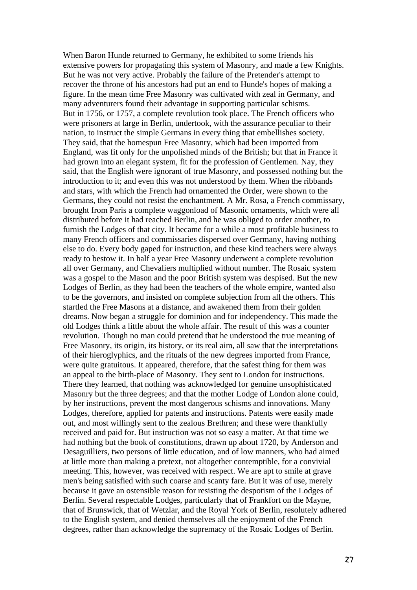When Baron Hunde returned to Germany, he exhibited to some friends his extensive powers for propagating this system of Masonry, and made a few Knights. But he was not very active. Probably the failure of the Pretender's attempt to recover the throne of his ancestors had put an end to Hunde's hopes of making a figure. In the mean time Free Masonry was cultivated with zeal in Germany, and many adventurers found their advantage in supporting particular schisms. But in 1756, or 1757, a complete revolution took place. The French officers who were prisoners at large in Berlin, undertook, with the assurance peculiar to their nation, to instruct the simple Germans in every thing that embellishes society. They said, that the homespun Free Masonry, which had been imported from England, was fit only for the unpolished minds of the British; but that in France it had grown into an elegant system, fit for the profession of Gentlemen. Nay, they said, that the English were ignorant of true Masonry, and possessed nothing but the introduction to it; and even this was not understood by them. When the ribbands and stars, with which the French had ornamented the Order, were shown to the Germans, they could not resist the enchantment. A Mr. Rosa, a French commissary, brought from Paris a complete waggonload of Masonic ornaments, which were all distributed before it had reached Berlin, and he was obliged to order another, to furnish the Lodges of that city. It became for a while a most profitable business to many French officers and commissaries dispersed over Germany, having nothing else to do. Every body gaped for instruction, and these kind teachers were always ready to bestow it. In half a year Free Masonry underwent a complete revolution all over Germany, and Chevaliers multiplied without number. The Rosaic system was a gospel to the Mason and the poor British system was despised. But the new Lodges of Berlin, as they had been the teachers of the whole empire, wanted also to be the governors, and insisted on complete subjection from all the others. This startled the Free Masons at a distance, and awakened them from their golden dreams. Now began a struggle for dominion and for independency. This made the old Lodges think a little about the whole affair. The result of this was a counter revolution. Though no man could pretend that he understood the true meaning of Free Masonry, its origin, its history, or its real aim, all saw that the interpretations of their hieroglyphics, and the rituals of the new degrees imported from France, were quite gratuitous. It appeared, therefore, that the safest thing for them was an appeal to the birth-place of Masonry. They sent to London for instructions. There they learned, that nothing was acknowledged for genuine unsophisticated Masonry but the three degrees; and that the mother Lodge of London alone could, by her instructions, prevent the most dangerous schisms and innovations. Many Lodges, therefore, applied for patents and instructions. Patents were easily made out, and most willingly sent to the zealous Brethren; and these were thankfully received and paid for. But instruction was not so easy a matter. At that time we had nothing but the book of constitutions, drawn up about 1720, by Anderson and Desaguilliers, two persons of little education, and of low manners, who had aimed at little more than making a pretext, not altogether contemptible, for a convivial meeting. This, however, was received with respect. We are apt to smile at grave men's being satisfied with such coarse and scanty fare. But it was of use, merely because it gave an ostensible reason for resisting the despotism of the Lodges of Berlin. Several respectable Lodges, particularly that of Frankfort on the Mayne, that of Brunswick, that of Wetzlar, and the Royal York of Berlin, resolutely adhered to the English system, and denied themselves all the enjoyment of the French degrees, rather than acknowledge the supremacy of the Rosaic Lodges of Berlin.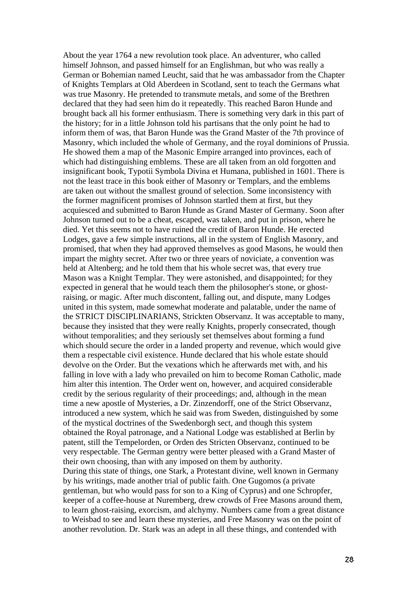About the year 1764 a new revolution took place. An adventurer, who called himself Johnson, and passed himself for an Englishman, but who was really a German or Bohemian named Leucht, said that he was ambassador from the Chapter of Knights Templars at Old Aberdeen in Scotland, sent to teach the Germans what was true Masonry. He pretended to transmute metals, and some of the Brethren declared that they had seen him do it repeatedly. This reached Baron Hunde and brought back all his former enthusiasm. There is something very dark in this part of the history; for in a little Johnson told his partisans that the only point he had to inform them of was, that Baron Hunde was the Grand Master of the 7th province of Masonry, which included the whole of Germany, and the royal dominions of Prussia. He showed them a map of the Masonic Empire arranged into provinces, each of which had distinguishing emblems. These are all taken from an old forgotten and insignificant book, Typotii Symbola Divina et Humana, published in 1601. There is not the least trace in this book either of Masonry or Templars, and the emblems are taken out without the smallest ground of selection. Some inconsistency with the former magnificent promises of Johnson startled them at first, but they acquiesced and submitted to Baron Hunde as Grand Master of Germany. Soon after Johnson turned out to be a cheat, escaped, was taken, and put in prison, where he died. Yet this seems not to have ruined the credit of Baron Hunde. He erected Lodges, gave a few simple instructions, all in the system of English Masonry, and promised, that when they had approved themselves as good Masons, he would then impart the mighty secret. After two or three years of noviciate, a convention was held at Altenberg; and he told them that his whole secret was, that every true Mason was a Knight Templar. They were astonished, and disappointed; for they expected in general that he would teach them the philosopher's stone, or ghostraising, or magic. After much discontent, falling out, and dispute, many Lodges united in this system, made somewhat moderate and palatable, under the name of the STRICT DISCIPLINARIANS, Strickten Observanz. It was acceptable to many, because they insisted that they were really Knights, properly consecrated, though without temporalities; and they seriously set themselves about forming a fund which should secure the order in a landed property and revenue, which would give them a respectable civil existence. Hunde declared that his whole estate should devolve on the Order. But the vexations which he afterwards met with, and his falling in love with a lady who prevailed on him to become Roman Catholic, made him alter this intention. The Order went on, however, and acquired considerable credit by the serious regularity of their proceedings; and, although in the mean time a new apostle of Mysteries, a Dr. Zinzendorff, one of the Strict Observanz, introduced a new system, which he said was from Sweden, distinguished by some of the mystical doctrines of the Swedenborgh sect, and though this system obtained the Royal patronage, and a National Lodge was established at Berlin by patent, still the Tempelorden, or Orden des Stricten Observanz, continued to be very respectable. The German gentry were better pleased with a Grand Master of their own choosing, than with any imposed on them by authority. During this state of things, one Stark, a Protestant divine, well known in Germany by his writings, made another trial of public faith. One Gugomos (a private gentleman, but who would pass for son to a King of Cyprus) and one Schropfer, keeper of a coffee-house at Nuremberg, drew crowds of Free Masons around them, to learn ghost-raising, exorcism, and alchymy. Numbers came from a great distance to Weisbad to see and learn these mysteries, and Free Masonry was on the point of another revolution. Dr. Stark was an adept in all these things, and contended with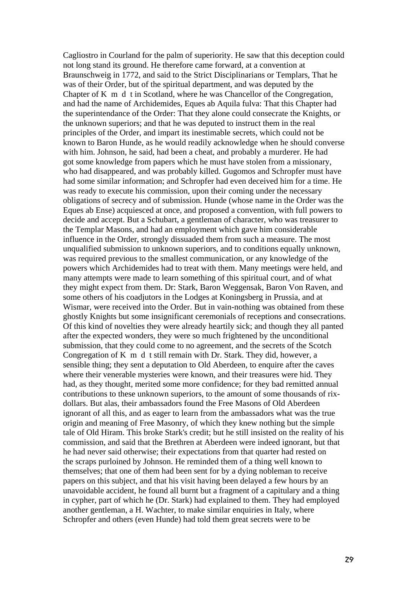Cagliostro in Courland for the palm of superiority. He saw that this deception could not long stand its ground. He therefore came forward, at a convention at Braunschweig in 1772, and said to the Strict Disciplinarians or Templars, That he was of their Order, but of the spiritual department, and was deputed by the Chapter of K m d t in Scotland, where he was Chancellor of the Congregation, and had the name of Archidemides, Eques ab Aquila fulva: That this Chapter had the superintendance of the Order: That they alone could consecrate the Knights, or the unknown superiors; and that he was deputed to instruct them in the real principles of the Order, and impart its inestimable secrets, which could not be known to Baron Hunde, as he would readily acknowledge when he should converse with him. Johnson, he said, had been a cheat, and probably a murderer. He had got some knowledge from papers which he must have stolen from a missionary, who had disappeared, and was probably killed. Gugomos and Schropfer must have had some similar information; and Schropfer had even deceived him for a time. He was ready to execute his commission, upon their coming under the necessary obligations of secrecy and of submission. Hunde (whose name in the Order was the Eques ab Ense) acquiesced at once, and proposed a convention, with full powers to decide and accept. But a Schubart, a gentleman of character, who was treasurer to the Templar Masons, and had an employment which gave him considerable influence in the Order, strongly dissuaded them from such a measure. The most unqualified submission to unknown superiors, and to conditions equally unknown, was required previous to the smallest communication, or any knowledge of the powers which Archidemides had to treat with them. Many meetings were held, and many attempts were made to learn something of this spiritual court, and of what they might expect from them. Dr: Stark, Baron Weggensak, Baron Von Raven, and some others of his coadjutors in the Lodges at Koningsberg in Prussia, and at Wismar, were received into the Order. But in vain-nothing was obtained from these ghostly Knights but some insignificant ceremonials of receptions and consecrations. Of this kind of novelties they were already heartily sick; and though they all panted after the expected wonders, they were so much frightened by the unconditional submission, that they could come to no agreement, and the secrets of the Scotch Congregation of K m d t still remain with Dr. Stark. They did, however, a sensible thing; they sent a deputation to Old Aberdeen, to enquire after the caves where their venerable mysteries were known, and their treasures were hid. They had, as they thought, merited some more confidence; for they bad remitted annual contributions to these unknown superiors, to the amount of some thousands of rixdollars. But alas, their ambassadors found the Free Masons of Old Aberdeen ignorant of all this, and as eager to learn from the ambassadors what was the true origin and meaning of Free Masonry, of which they knew nothing but the simple tale of Old Hiram. This broke Stark's credit; but he still insisted on the reality of his commission, and said that the Brethren at Aberdeen were indeed ignorant, but that he had never said otherwise; their expectations from that quarter had rested on the scraps purloined by Johnson. He reminded them of a thing well known to themselves; that one of them had been sent for by a dying nobleman to receive papers on this subject, and that his visit having been delayed a few hours by an unavoidable accident, he found all burnt but a fragment of a capitulary and a thing in cypher, part of which he (Dr. Stark) had explained to them. They had employed another gentleman, a H. Wachter, to make similar enquiries in Italy, where Schropfer and others (even Hunde) had told them great secrets were to be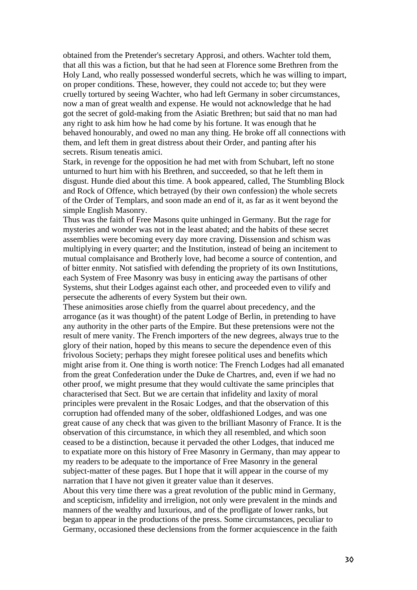obtained from the Pretender's secretary Approsi, and others. Wachter told them, that all this was a fiction, but that he had seen at Florence some Brethren from the Holy Land, who really possessed wonderful secrets, which he was willing to impart, on proper conditions. These, however, they could not accede to; but they were cruelly tortured by seeing Wachter, who had left Germany in sober circumstances, now a man of great wealth and expense. He would not acknowledge that he had got the secret of gold-making from the Asiatic Brethren; but said that no man had any right to ask him how he had come by his fortune. It was enough that he behaved honourably, and owed no man any thing. He broke off all connections with them, and left them in great distress about their Order, and panting after his secrets. Risum teneatis amici.

Stark, in revenge for the opposition he had met with from Schubart, left no stone unturned to hurt him with his Brethren, and succeeded, so that he left them in disgust. Hunde died about this time. A book appeared, called, The Stumbling Block and Rock of Offence, which betrayed (by their own confession) the whole secrets of the Order of Templars, and soon made an end of it, as far as it went beyond the simple English Masonry.

Thus was the faith of Free Masons quite unhinged in Germany. But the rage for mysteries and wonder was not in the least abated; and the habits of these secret assemblies were becoming every day more craving. Dissension and schism was multiplying in every quarter; and the Institution, instead of being an incitement to mutual complaisance and Brotherly love, had become a source of contention, and of bitter enmity. Not satisfied with defending the propriety of its own Institutions, each System of Free Masonry was busy in enticing away the partisans of other Systems, shut their Lodges against each other, and proceeded even to vilify and persecute the adherents of every System but their own.

These animosities arose chiefly from the quarrel about precedency, and the arrogance (as it was thought) of the patent Lodge of Berlin, in pretending to have any authority in the other parts of the Empire. But these pretensions were not the result of mere vanity. The French importers of the new degrees, always true to the glory of their nation, hoped by this means to secure the dependence even of this frivolous Society; perhaps they might foresee political uses and benefits which might arise from it. One thing is worth notice: The French Lodges had all emanated from the great Confederation under the Duke de Chartres, and, even if we had no other proof, we might presume that they would cultivate the same principles that characterised that Sect. But we are certain that infidelity and laxity of moral principles were prevalent in the Rosaic Lodges, and that the observation of this corruption had offended many of the sober, oldfashioned Lodges, and was one great cause of any check that was given to the brilliant Masonry of France. It is the observation of this circumstance, in which they all resembled, and which soon ceased to be a distinction, because it pervaded the other Lodges, that induced me to expatiate more on this history of Free Masonry in Germany, than may appear to my readers to be adequate to the importance of Free Masonry in the general subject-matter of these pages. But I hope that it will appear in the course of my narration that I have not given it greater value than it deserves.

About this very time there was a great revolution of the public mind in Germany, and scepticism, infidelity and irreligion, not only were prevalent in the minds and manners of the wealthy and luxurious, and of the profligate of lower ranks, but began to appear in the productions of the press. Some circumstances, peculiar to Germany, occasioned these declensions from the former acquiescence in the faith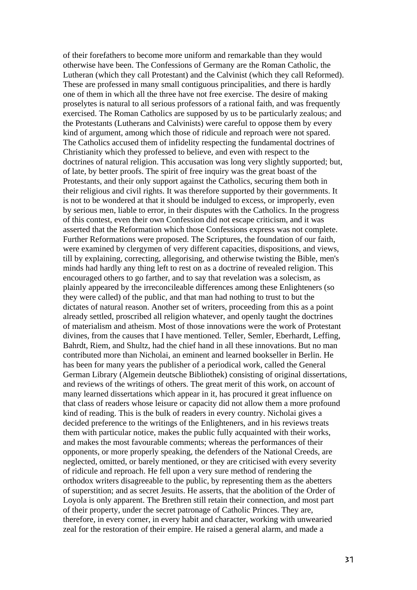of their forefathers to become more uniform and remarkable than they would otherwise have been. The Confessions of Germany are the Roman Catholic, the Lutheran (which they call Protestant) and the Calvinist (which they call Reformed). These are professed in many small contiguous principalities, and there is hardly one of them in which all the three have not free exercise. The desire of making proselytes is natural to all serious professors of a rational faith, and was frequently exercised. The Roman Catholics are supposed by us to be particularly zealous; and the Protestants (Lutherans and Calvinists) were careful to oppose them by every kind of argument, among which those of ridicule and reproach were not spared. The Catholics accused them of infidelity respecting the fundamental doctrines of Christianity which they professed to believe, and even with respect to the doctrines of natural religion. This accusation was long very slightly supported; but, of late, by better proofs. The spirit of free inquiry was the great boast of the Protestants, and their only support against the Catholics, securing them both in their religious and civil rights. It was therefore supported by their governments. It is not to be wondered at that it should be indulged to excess, or improperly, even by serious men, liable to error, in their disputes with the Catholics. In the progress of this contest, even their own Confession did not escape criticism, and it was asserted that the Reformation which those Confessions express was not complete. Further Reformations were proposed. The Scriptures, the foundation of our faith, were examined by clergymen of very different capacities, dispositions, and views, till by explaining, correcting, allegorising, and otherwise twisting the Bible, men's minds had hardly any thing left to rest on as a doctrine of revealed religion. This encouraged others to go farther, and to say that revelation was a solecism, as plainly appeared by the irreconcileable differences among these Enlighteners (so they were called) of the public, and that man had nothing to trust to but the dictates of natural reason. Another set of writers, proceeding from this as a point already settled, proscribed all religion whatever, and openly taught the doctrines of materialism and atheism. Most of those innovations were the work of Protestant divines, from the causes that I have mentioned. Teller, Semler, Eberhardt, Leffing, Bahrdt, Riem, and Shultz, had the chief hand in all these innovations. But no man contributed more than Nicholai, an eminent and learned bookseller in Berlin. He has been for many years the publisher of a periodical work, called the General German Library (Algemein deutsche Bibliothek) consisting of original dissertations, and reviews of the writings of others. The great merit of this work, on account of many learned dissertations which appear in it, has procured it great influence on that class of readers whose leisure or capacity did not allow them a more profound kind of reading. This is the bulk of readers in every country. Nicholai gives a decided preference to the writings of the Enlighteners, and in his reviews treats them with particular notice, makes the public fully acquainted with their works, and makes the most favourable comments; whereas the performances of their opponents, or more properly speaking, the defenders of the National Creeds, are neglected, omitted, or barely mentioned, or they are criticised with every severity of ridicule and reproach. He fell upon a very sure method of rendering the orthodox writers disagreeable to the public, by representing them as the abetters of superstition; and as secret Jesuits. He asserts, that the abolition of the Order of Loyola is only apparent. The Brethren still retain their connection, and most part of their property, under the secret patronage of Catholic Princes. They are, therefore, in every corner, in every habit and character, working with unwearied zeal for the restoration of their empire. He raised a general alarm, and made a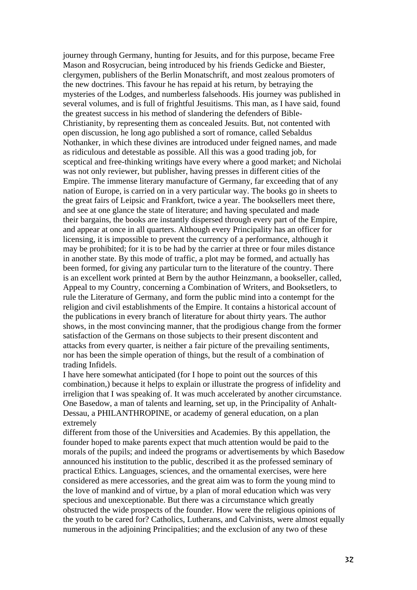journey through Germany, hunting for Jesuits, and for this purpose, became Free Mason and Rosycrucian, being introduced by his friends Gedicke and Biester, clergymen, publishers of the Berlin Monatschrift, and most zealous promoters of the new doctrines. This favour he has repaid at his return, by betraying the mysteries of the Lodges, and numberless falsehoods. His journey was published in several volumes, and is full of frightful Jesuitisms. This man, as I have said, found the greatest success in his method of slandering the defenders of Bible-Christianity, by representing them as concealed Jesuits. But, not contented with open discussion, he long ago published a sort of romance, called Sebaldus Nothanker, in which these divines are introduced under feigned names, and made as ridiculous and detestable as possible. All this was a good trading job, for sceptical and free-thinking writings have every where a good market; and Nicholai was not only reviewer, but publisher, having presses in different cities of the Empire. The immense literary manufacture of Germany, far exceeding that of any nation of Europe, is carried on in a very particular way. The books go in sheets to the great fairs of Leipsic and Frankfort, twice a year. The booksellers meet there, and see at one glance the state of literature; and having speculated and made their bargains, the books are instantly dispersed through every part of the Empire, and appear at once in all quarters. Although every Principality has an officer for licensing, it is impossible to prevent the currency of a performance, although it may be prohibited; for it is to be had by the carrier at three or four miles distance in another state. By this mode of traffic, a plot may be formed, and actually has been formed, for giving any particular turn to the literature of the country. There is an excellent work printed at Bern by the author Heinzmann, a bookseller, called, Appeal to my Country, concerning a Combination of Writers, and Booksetlers, to rule the Literature of Germany, and form the public mind into a contempt for the religion and civil establishments of the Empire. It contains a historical account of the publications in every branch of literature for about thirty years. The author shows, in the most convincing manner, that the prodigious change from the former satisfaction of the Germans on those subjects to their present discontent and attacks from every quarter, is neither a fair picture of the prevailing sentiments, nor has been the simple operation of things, but the result of a combination of trading Infidels.

I have here somewhat anticipated (for I hope to point out the sources of this combination,) because it helps to explain or illustrate the progress of infidelity and irreligion that I was speaking of. It was much accelerated by another circumstance. One Basedow, a man of talents and learning, set up, in the Principality of Anhalt-Dessau, a PHILANTHROPINE, or academy of general education, on a plan extremely

different from those of the Universities and Academies. By this appellation, the founder hoped to make parents expect that much attention would be paid to the morals of the pupils; and indeed the programs or advertisements by which Basedow announced his institution to the public, described it as the professed seminary of practical Ethics. Languages, sciences, and the ornamental exercises, were here considered as mere accessories, and the great aim was to form the young mind to the love of mankind and of virtue, by a plan of moral education which was very specious and unexceptionable. But there was a circumstance which greatly obstructed the wide prospects of the founder. How were the religious opinions of the youth to be cared for? Catholics, Lutherans, and Calvinists, were almost equally numerous in the adjoining Principalities; and the exclusion of any two of these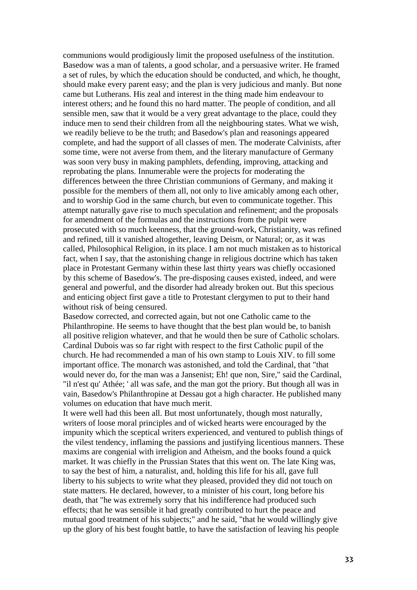communions would prodigiously limit the proposed usefulness of the institution. Basedow was a man of talents, a good scholar, and a persuasive writer. He framed a set of rules, by which the education should be conducted, and which, he thought, should make every parent easy; and the plan is very judicious and manly. But none came but Lutherans. His zeal and interest in the thing made him endeavour to interest others; and he found this no hard matter. The people of condition, and all sensible men, saw that it would be a very great advantage to the place, could they induce men to send their children from all the neighbouring states. What we wish, we readily believe to be the truth; and Basedow's plan and reasonings appeared complete, and had the support of all classes of men. The moderate Calvinists, after some time, were not averse from them, and the literary manufacture of Germany was soon very busy in making pamphlets, defending, improving, attacking and reprobating the plans. Innumerable were the projects for moderating the differences between the three Christian communions of Germany, and making it possible for the members of them all, not only to live amicably among each other, and to worship God in the same church, but even to communicate together. This attempt naturally gave rise to much speculation and refinement; and the proposals for amendment of the formulas and the instructions from the pulpit were prosecuted with so much keenness, that the ground-work, Christianity, was refined and refined, till it vanished altogether, leaving Deism, or Natural; or, as it was called, Philosophical Religion, in its place. I am not much mistaken as to historical fact, when I say, that the astonishing change in religious doctrine which has taken place in Protestant Germany within these last thirty years was chiefly occasioned by this scheme of Basedow's. The pre-disposing causes existed, indeed, and were general and powerful, and the disorder had already broken out. But this specious and enticing object first gave a title to Protestant clergymen to put to their hand without risk of being censured.

Basedow corrected, and corrected again, but not one Catholic came to the Philanthropine. He seems to have thought that the best plan would be, to banish all positive religion whatever, and that he would then be sure of Catholic scholars. Cardinal Dubois was so far right with respect to the first Catholic pupil of the church. He had recommended a man of his own stamp to Louis XIV. to fill some important office. The monarch was astonished, and told the Cardinal, that "that would never do, for the man was a Jansenist; Eh! que non, Sire," said the Cardinal, "il n'est qu' Athée; ' all was safe, and the man got the priory. But though all was in vain, Basedow's Philanthropine at Dessau got a high character. He published many volumes on education that have much merit.

It were well had this been all. But most unfortunately, though most naturally, writers of loose moral principles and of wicked hearts were encouraged by the impunity which the sceptical writers experienced, and ventured to publish things of the vilest tendency, inflaming the passions and justifying licentious manners. These maxims are congenial with irreligion and Atheism, and the books found a quick market. It was chiefly in the Prussian States that this went on. The late King was, to say the best of him, a naturalist, and, holding this life for his all, gave full liberty to his subjects to write what they pleased, provided they did not touch on state matters. He declared, however, to a minister of his court, long before his death, that "he was extremely sorry that his indifference had produced such effects; that he was sensible it had greatly contributed to hurt the peace and mutual good treatment of his subjects;" and he said, "that he would willingly give up the glory of his best fought battle, to have the satisfaction of leaving his people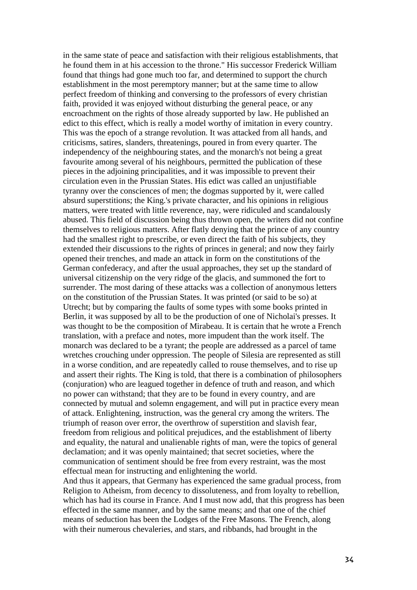in the same state of peace and satisfaction with their religious establishments, that he found them in at his accession to the throne." His successor Frederick William found that things had gone much too far, and determined to support the church establishment in the most peremptory manner; but at the same time to allow perfect freedom of thinking and conversing to the professors of every christian faith, provided it was enjoyed without disturbing the general peace, or any encroachment on the rights of those already supported by law. He published an edict to this effect, which is really a model worthy of imitation in every country. This was the epoch of a strange revolution. It was attacked from all hands, and criticisms, satires, slanders, threatenings, poured in from every quarter. The independency of the neighbouring states, and the monarch's not being a great favourite among several of his neighbours, permitted the publication of these pieces in the adjoining principalities, and it was impossible to prevent their circulation even in the Prussian States. His edict was called an unjustifiable tyranny over the consciences of men; the dogmas supported by it, were called absurd superstitions; the King.'s private character, and his opinions in religious matters, were treated with little reverence, nay, were ridiculed and scandalously abused. This field of discussion being thus thrown open, the writers did not confine themselves to religious matters. After flatly denying that the prince of any country had the smallest right to prescribe, or even direct the faith of his subjects, they extended their discussions to the rights of princes in general; and now they fairly opened their trenches, and made an attack in form on the constitutions of the German confederacy, and after the usual approaches, they set up the standard of universal citizenship on the very ridge of the glacis, and summoned the fort to surrender. The most daring of these attacks was a collection of anonymous letters on the constitution of the Prussian States. It was printed (or said to be so) at Utrecht; but by comparing the faults of some types with some books printed in Berlin, it was supposed by all to be the production of one of Nicholai's presses. It was thought to be the composition of Mirabeau. It is certain that he wrote a French translation, with a preface and notes, more impudent than the work itself. The monarch was declared to be a tyrant; the people are addressed as a parcel of tame wretches crouching under oppression. The people of Silesia are represented as still in a worse condition, and are repeatedly called to rouse themselves, and to rise up and assert their rights. The King is told, that there is a combination of philosophers (conjuration) who are leagued together in defence of truth and reason, and which no power can withstand; that they are to be found in every country, and are connected by mutual and solemn engagement, and will put in practice every mean of attack. Enlightening, instruction, was the general cry among the writers. The triumph of reason over error, the overthrow of superstition and slavish fear, freedom from religious and political prejudices, and the establishment of liberty and equality, the natural and unalienable rights of man, were the topics of general declamation; and it was openly maintained; that secret societies, where the communication of sentiment should be free from every restraint, was the most effectual mean for instructing and enlightening the world.

And thus it appears, that Germany has experienced the same gradual process, from Religion to Atheism, from decency to dissoluteness, and from loyalty to rebellion, which has had its course in France. And I must now add, that this progress has been effected in the same manner, and by the same means; and that one of the chief means of seduction has been the Lodges of the Free Masons. The French, along with their numerous chevaleries, and stars, and ribbands, had brought in the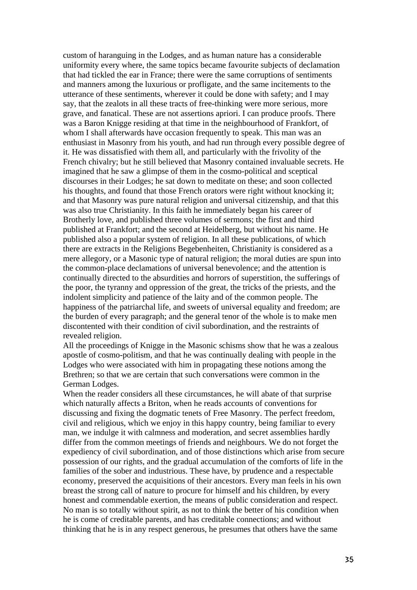custom of haranguing in the Lodges, and as human nature has a considerable uniformity every where, the same topics became favourite subjects of declamation that had tickled the ear in France; there were the same corruptions of sentiments and manners among the luxurious or profligate, and the same incitements to the utterance of these sentiments, wherever it could be done with safety; and I may say, that the zealots in all these tracts of free-thinking were more serious, more grave, and fanatical. These are not assertions apriori. I can produce proofs. There was a Baron Knigge residing at that time in the neighbourhood of Frankfort, of whom I shall afterwards have occasion frequently to speak. This man was an enthusiast in Masonry from his youth, and had run through every possible degree of it. He was dissatisfied with them all, and particularly with the frivolity of the French chivalry; but he still believed that Masonry contained invaluable secrets. He imagined that he saw a glimpse of them in the cosmo-political and sceptical discourses in their Lodges; he sat down to meditate on these; and soon collected his thoughts, and found that those French orators were right without knocking it; and that Masonry was pure natural religion and universal citizenship, and that this was also true Christianity. In this faith he immediately began his career of Brotherly love, and published three volumes of sermons; the first and third published at Frankfort; and the second at Heidelberg, but without his name. He published also a popular system of religion. In all these publications, of which there are extracts in the Religions Begebenheiten, Christianity is considered as a mere allegory, or a Masonic type of natural religion; the moral duties are spun into the common-place declamations of universal benevolence; and the attention is continually directed to the absurdities and horrors of superstition, the sufferings of the poor, the tyranny and oppression of the great, the tricks of the priests, and the indolent simplicity and patience of the laity and of the common people. The happiness of the patriarchal life, and sweets of universal equality and freedom; are the burden of every paragraph; and the general tenor of the whole is to make men discontented with their condition of civil subordination, and the restraints of revealed religion.

All the proceedings of Knigge in the Masonic schisms show that he was a zealous apostle of cosmo-politism, and that he was continually dealing with people in the Lodges who were associated with him in propagating these notions among the Brethren; so that we are certain that such conversations were common in the German Lodges.

When the reader considers all these circumstances, he will abate of that surprise which naturally affects a Briton, when he reads accounts of conventions for discussing and fixing the dogmatic tenets of Free Masonry. The perfect freedom, civil and religious, which we enjoy in this happy country, being familiar to every man, we indulge it with calmness and moderation, and secret assemblies hardly differ from the common meetings of friends and neighbours. We do not forget the expediency of civil subordination, and of those distinctions which arise from secure possession of our rights, and the gradual accumulation of the comforts of life in the families of the sober and industrious. These have, by prudence and a respectable economy, preserved the acquisitions of their ancestors. Every man feels in his own breast the strong call of nature to procure for himself and his children, by every honest and commendable exertion, the means of public consideration and respect. No man is so totally without spirit, as not to think the better of his condition when he is come of creditable parents, and has creditable connections; and without thinking that he is in any respect generous, he presumes that others have the same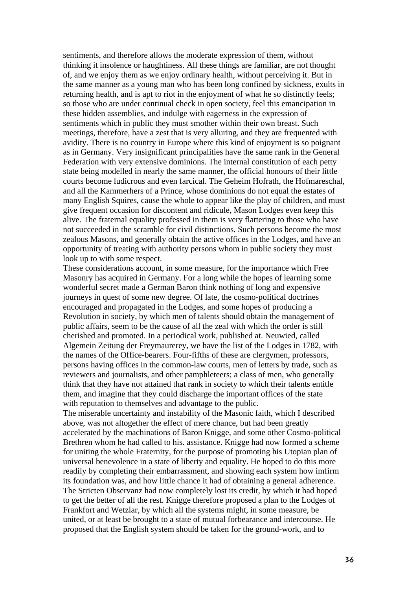sentiments, and therefore allows the moderate expression of them, without thinking it insolence or haughtiness. All these things are familiar, are not thought of, and we enjoy them as we enjoy ordinary health, without perceiving it. But in the same manner as a young man who has been long confined by sickness, exults in returning health, and is apt to riot in the enjoyment of what he so distinctly feels; so those who are under continual check in open society, feel this emancipation in these hidden assemblies, and indulge with eagerness in the expression of sentiments which in public they must smother within their own breast. Such meetings, therefore, have a zest that is very alluring, and they are frequented with avidity. There is no country in Europe where this kind of enjoyment is so poignant as in Germany. Very insignificant principalities have the same rank in the General Federation with very extensive dominions. The internal constitution of each petty state being modelled in nearly the same manner, the official honours of their little courts become ludicrous and even farcical. The Geheim Hofrath, the Hofmareschal, and all the Kammerhers of a Prince, whose dominions do not equal the estates of many English Squires, cause the whole to appear like the play of children, and must give frequent occasion for discontent and ridicule, Mason Lodges even keep this alive. The fraternal equality professed in them is very flattering to those who have not succeeded in the scramble for civil distinctions. Such persons become the most zealous Masons, and generally obtain the active offices in the Lodges, and have an opportunity of treating with authority persons whom in public society they must look up to with some respect.

These considerations account, in some measure, for the importance which Free Masonry has acquired in Germany. For a long while the hopes of learning some wonderful secret made a German Baron think nothing of long and expensive journeys in quest of some new degree. Of late, the cosmo-political doctrines encouraged and propagated in the Lodges, and some hopes of producing a Revolution in society, by which men of talents should obtain the management of public affairs, seem to be the cause of all the zeal with which the order is still cherished and promoted. In a periodical work, published at. Neuwied, called Algemein Zeitung der Freymaurerey, we have the list of the Lodges in 1782, with the names of the Office-bearers. Four-fifths of these are clergymen, professors, persons having offices in the common-law courts, men of letters by trade, such as reviewers and journalists, and other pamphleteers; a class of men, who generally think that they have not attained that rank in society to which their talents entitle them, and imagine that they could discharge the important offices of the state with reputation to themselves and advantage to the public.

The miserable uncertainty and instability of the Masonic faith, which I described above, was not altogether the effect of mere chance, but had been greatly accelerated by the machinations of Baron Knigge, and some other Cosmo-political Brethren whom he had called to his. assistance. Knigge had now formed a scheme for uniting the whole Fraternity, for the purpose of promoting his Utopian plan of universal benevolence in a state of liberty and equality. He hoped to do this more readily by completing their embarrassment, and showing each system how imfirm its foundation was, and how little chance it had of obtaining a general adherence. The Stricten Observanz had now completely lost its credit, by which it had hoped to get the better of all the rest. Knigge therefore proposed a plan to the Lodges of Frankfort and Wetzlar, by which all the systems might, in some measure, be united, or at least be brought to a state of mutual forbearance and intercourse. He proposed that the English system should be taken for the ground-work, and to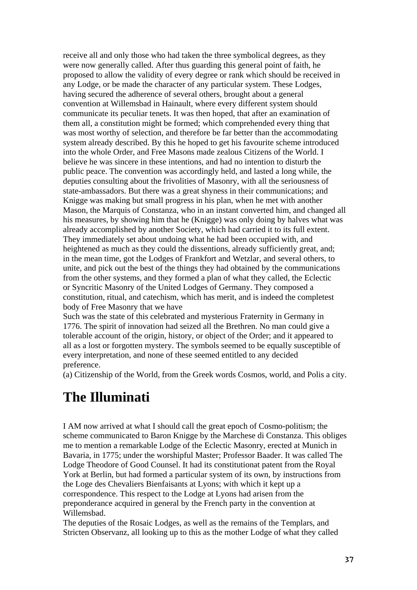receive all and only those who had taken the three symbolical degrees, as they were now generally called. After thus guarding this general point of faith, he proposed to allow the validity of every degree or rank which should be received in any Lodge, or be made the character of any particular system. These Lodges, having secured the adherence of several others, brought about a general convention at Willemsbad in Hainault, where every different system should communicate its peculiar tenets. It was then hoped, that after an examination of them all, a constitution might be formed; which comprehended every thing that was most worthy of selection, and therefore be far better than the accommodating system already described. By this he hoped to get his favourite scheme introduced into the whole Order, and Free Masons made zealous Citizens of the World. I believe he was sincere in these intentions, and had no intention to disturb the public peace. The convention was accordingly held, and lasted a long while, the deputies consulting about the frivolities of Masonry, with all the seriousness of state-ambassadors. But there was a great shyness in their communications; and Knigge was making but small progress in his plan, when he met with another Mason, the Marquis of Constanza, who in an instant converted him, and changed all his measures, by showing him that he (Knigge) was only doing by halves what was already accomplished by another Society, which had carried it to its full extent. They immediately set about undoing what he had been occupied with, and heightened as much as they could the dissentions, already sufficiently great, and; in the mean time, got the Lodges of Frankfort and Wetzlar, and several others, to unite, and pick out the best of the things they had obtained by the communications from the other systems, and they formed a plan of what they called, the Eclectic or Syncritic Masonry of the United Lodges of Germany. They composed a constitution, ritual, and catechism, which has merit, and is indeed the completest body of Free Masonry that we have

Such was the state of this celebrated and mysterious Fraternity in Germany in 1776. The spirit of innovation had seized all the Brethren. No man could give a tolerable account of the origin, history, or object of the Order; and it appeared to all as a lost or forgotten mystery. The symbols seemed to be equally susceptible of every interpretation, and none of these seemed entitled to any decided preference.

(a) Citizenship of the World, from the Greek words Cosmos, world, and Polis a city.

## **The Illuminati**

I AM now arrived at what I should call the great epoch of Cosmo-politism; the scheme communicated to Baron Knigge by the Marchese di Constanza. This obliges me to mention a remarkable Lodge of the Eclectic Masonry, erected at Munich in Bavaria, in 1775; under the worshipful Master; Professor Baader. It was called The Lodge Theodore of Good Counsel. It had its constitutionat patent from the Royal York at Berlin, but had formed a particular system of its own, by instructions from the Loge des Chevaliers Bienfaisants at Lyons; with which it kept up a correspondence. This respect to the Lodge at Lyons had arisen from the preponderance acquired in general by the French party in the convention at Willemsbad.

The deputies of the Rosaic Lodges, as well as the remains of the Templars, and Stricten Observanz, all looking up to this as the mother Lodge of what they called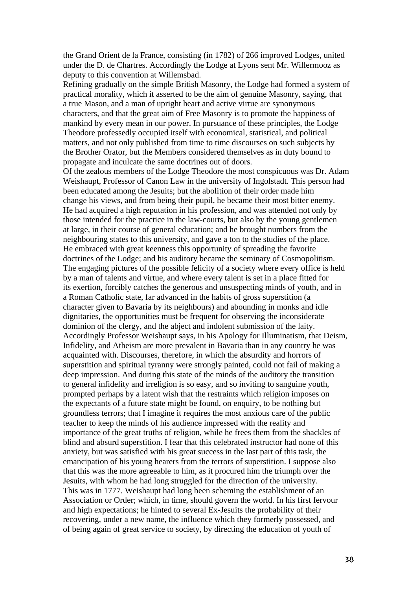the Grand Orient de la France, consisting (in 1782) of 266 improved Lodges, united under the D. de Chartres. Accordingly the Lodge at Lyons sent Mr. Willermooz as deputy to this convention at Willemsbad.

Refining gradually on the simple British Masonry, the Lodge had formed a system of practical morality, which it asserted to be the aim of genuine Masonry, saying, that a true Mason, and a man of upright heart and active virtue are synonymous characters, and that the great aim of Free Masonry is to promote the happiness of mankind by every mean in our power. In pursuance of these principles, the Lodge Theodore professedly occupied itself with economical, statistical, and political matters, and not only published from time to time discourses on such subjects by the Brother Orator, but the Members considered themselves as in duty bound to propagate and inculcate the same doctrines out of doors.

Of the zealous members of the Lodge Theodore the most conspicuous was Dr. Adam Weishaupt, Professor of Canon Law in the university of Ingolstadt. This person had been educated among the Jesuits; but the abolition of their order made him change his views, and from being their pupil, he became their most bitter enemy. He had acquired a high reputation in his profession, and was attended not only by those intended for the practice in the law-courts, but also by the young gentlemen at large, in their course of general education; and he brought numbers from the neighbouring states to this university, and gave a ton to the studies of the place. He embraced with great keenness this opportunity of spreading the favorite doctrines of the Lodge; and his auditory became the seminary of Cosmopolitism. The engaging pictures of the possible felicity of a society where every office is held by a man of talents and virtue, and where every talent is set in a place fitted for its exertion, forcibly catches the generous and unsuspecting minds of youth, and in a Roman Catholic state, far advanced in the habits of gross superstition (a character given to Bavaria by its neighbours) and abounding in monks and idle dignitaries, the opportunities must be frequent for observing the inconsiderate dominion of the clergy, and the abject and indolent submission of the laity. Accordingly Professor Weishaupt says, in his Apology for Illuminatism, that Deism, Infidelity, and Atheism are more prevalent in Bavaria than in any country he was acquainted with. Discourses, therefore, in which the absurdity and horrors of superstition and spiritual tyranny were strongly painted, could not fail of making a deep impression. And during this state of the minds of the auditory the transition to general infidelity and irreligion is so easy, and so inviting to sanguine youth, prompted perhaps by a latent wish that the restraints which religion imposes on the expectants of a future state might be found, on enquiry, to be nothing but groundless terrors; that I imagine it requires the most anxious care of the public teacher to keep the minds of his audience impressed with the reality and importance of the great truths of religion, while he frees them from the shackles of blind and absurd superstition. I fear that this celebrated instructor had none of this anxiety, but was satisfied with his great success in the last part of this task, the emancipation of his young hearers from the terrors of superstition. I suppose also that this was the more agreeable to him, as it procured him the triumph over the Jesuits, with whom he had long struggled for the direction of the university. This was in 1777. Weishaupt had long been scheming the establishment of an Association or Order; which, in time, should govern the world. In his first fervour and high expectations; he hinted to several Ex-Jesuits the probability of their recovering, under a new name, the influence which they formerly possessed, and of being again of great service to society, by directing the education of youth of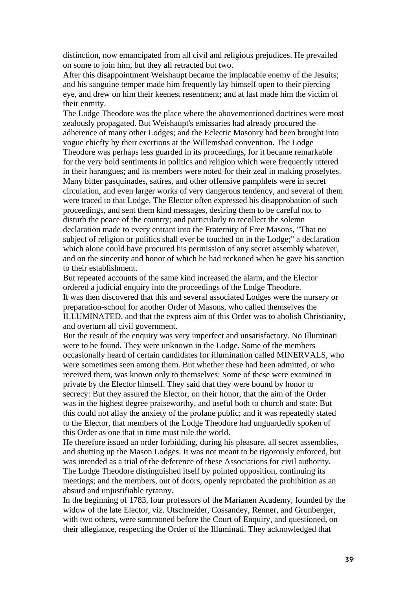distinction, now emancipated from all civil and religious prejudices. He prevailed on some to join him, but they all retracted but two.

After this disappointment Weishaupt became the implacable enemy of the Jesuits; and his sanguine temper made him frequently lay himself open to their piercing eye, and drew on him their keenest resentment; and at last made him the victim of their enmity.

The Lodge Theodore was the place where the abovementioned doctrines were most zealously propagated. But Weishaupt's emissaries had already procured the adherence of many other Lodges; and the Eclectic Masonry had been brought into vogue chiefty by their exertions at the Willemsbad convention. The Lodge Theodore was perhaps less guarded in its proceedings, for it became remarkable for the very bold sentiments in politics and religion which were frequently uttered in their harangues; and its members were noted for their zeal in making proselytes. Many bitter pasquinades, satires, and other offensive pamphlets were in secret circulation, and even larger works of very dangerous tendency, and several of them were traced to that Lodge. The Elector often expressed his disapprobation of such proceedings, and sent them kind messages, desiring them to be careful not to disturb the peace of the country; and particularly to recollect the solemn declaration made to every entrant into the Fraternity of Free Masons, "That no subject of religion or politics shall ever be touched on in the Lodge;" a declaration which alone could have procured his permission of any secret assembly whatever, and on the sincerity and honor of which he had reckoned when he gave his sanction to their establishment.

But repeated accounts of the same kind increased the alarm, and the Elector ordered a judicial enquiry into the proceedings of the Lodge Theodore. It was then discovered that this and several associated Lodges were the nursery or preparation-school for another Order of Masons, who called themselves the ILLUMINATED, and that the express aim of this Order was to abolish Christianity, and overturn all civil government.

But the result of the enquiry was very imperfect and unsatisfactory. No Illuminati were to be found. They were unknown in the Lodge. Some of the members occasionally heard of certain candidates for illumination called MINERVALS, who were sometimes seen among them. But whether these had been admitted, or who received them, was known only to themselves: Some of these were examined in private by the Elector himself. They said that they were bound by honor to secrecy: But they assured the Elector, on their honor, that the aim of the Order was in the highest degree praiseworthy, and useful both to church and state: But this could not allay the anxiety of the profane public; and it was repeatedly stated to the Elector, that members of the Lodge Theodore had unguardedly spoken of this Order as one that in time must rule the world.

He therefore issued an order forbidding, during his pleasure, all secret assemblies, and shutting up the Mason Lodges. It was not meant to be rigorously enforced, but was intended as a trial of the deference of these Associations for civil authority. The Lodge Theodore distinguished itself by pointed opposition, continuing its meetings; and the members, out of doors, openly reprobated the prohibition as an absurd and unjustifiable tyranny.

In the beginning of 1783, four professors of the Marianen Academy, founded by the widow of the late Elector, viz. Utschneider, Cossandey, Renner, and Grunberger, with two others, were summoned before the Court of Enquiry, and questioned, on their allegiance, respecting the Order of the Illuminati. They acknowledged that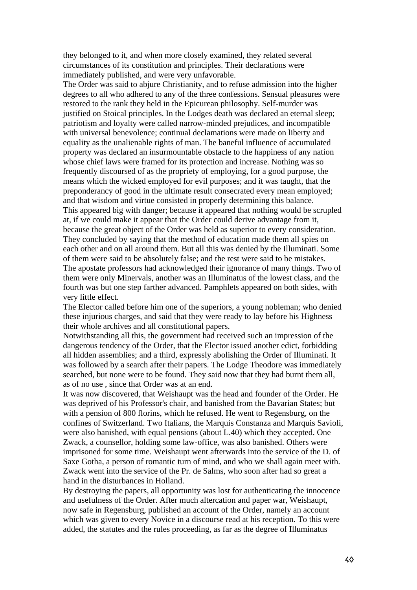they belonged to it, and when more closely examined, they related several circumstances of its constitution and principles. Their declarations were immediately published, and were very unfavorable.

The Order was said to abjure Christianity, and to refuse admission into the higher degrees to all who adhered to any of the three confessions. Sensual pleasures were restored to the rank they held in the Epicurean philosophy. Self-murder was justified on Stoical principles. In the Lodges death was declared an eternal sleep; patriotism and loyalty were called narrow-minded prejudices, and incompatible with universal benevolence; continual declamations were made on liberty and equality as the unalienable rights of man. The baneful influence of accumulated property was declared an insurmountable obstacle to the happiness of any nation whose chief laws were framed for its protection and increase. Nothing was so frequently discoursed of as the propriety of employing, for a good purpose, the means which the wicked employed for evil purposes; and it was taught, that the preponderancy of good in the ultimate result consecrated every mean employed; and that wisdom and virtue consisted in properly determining this balance. This appeared big with danger; because it appeared that nothing would be scrupled at, if we could make it appear that the Order could derive advantage from it, because the great object of the Order was held as superior to every consideration. They concluded by saying that the method of education made them all spies on each other and on all around them. But all this was denied by the Illuminati. Some of them were said to be absolutely false; and the rest were said to be mistakes. The apostate professors had acknowledged their ignorance of many things. Two of them were only Minervals, another was an Illuminatus of the lowest class, and the fourth was but one step farther advanced. Pamphlets appeared on both sides, with very little effect.

The Elector called before him one of the superiors, a young nobleman; who denied these injurious charges, and said that they were ready to lay before his Highness their whole archives and all constitutional papers.

Notwithstanding all this, the government had received such an impression of the dangerous tendency of the Order, that the Elector issued another edict, forbidding all hidden assemblies; and a third, expressly abolishing the Order of Illuminati. It was followed by a search after their papers. The Lodge Theodore was immediately searched, but none were to be found. They said now that they had burnt them all, as of no use , since that Order was at an end.

It was now discovered, that Weishaupt was the head and founder of the Order. He was deprived of his Professor's chair, and banished from the Bavarian States; but with a pension of 800 florins, which he refused. He went to Regensburg, on the confines of Switzerland. Two Italians, the Marquis Constanza and Marquis Savioli, were also banished, with equal pensions (about L.40) which they accepted. One Zwack, a counsellor, holding some law-office, was also banished. Others were imprisoned for some time. Weishaupt went afterwards into the service of the D. of Saxe Gotha, a person of romantic turn of mind, and who we shall again meet with. Zwack went into the service of the Pr. de Salms, who soon after had so great a hand in the disturbances in Holland.

By destroying the papers, all opportunity was lost for authenticating the innocence and usefulness of the Order. After much altercation and paper war, Weishaupt, now safe in Regensburg, published an account of the Order, namely an account which was given to every Novice in a discourse read at his reception. To this were added, the statutes and the rules proceeding, as far as the degree of Illuminatus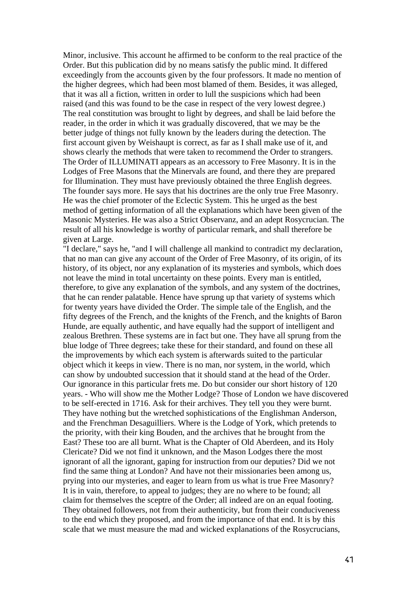Minor, inclusive. This account he affirmed to be conform to the real practice of the Order. But this publication did by no means satisfy the public mind. It differed exceedingly from the accounts given by the four professors. It made no mention of the higher degrees, which had been most blamed of them. Besides, it was alleged, that it was all a fiction, written in order to lull the suspicions which had been raised (and this was found to be the case in respect of the very lowest degree.) The real constitution was brought to light by degrees, and shall be laid before the reader, in the order in which it was gradually discovered, that we may be the better judge of things not fully known by the leaders during the detection. The first account given by Weishaupt is correct, as far as I shall make use of it, and shows clearly the methods that were taken to recommend the Order to strangers. The Order of ILLUMINATI appears as an accessory to Free Masonry. It is in the Lodges of Free Masons that the Minervals are found, and there they are prepared for Illumination. They must have previously obtained the three English degrees. The founder says more. He says that his doctrines are the only true Free Masonry. He was the chief promoter of the Eclectic System. This he urged as the best method of getting information of all the explanations which have been given of the Masonic Mysteries. He was also a Strict Observanz, and an adept Rosycrucian. The result of all his knowledge is worthy of particular remark, and shall therefore be given at Large.

"I declare," says he, "and I will challenge all mankind to contradict my declaration, that no man can give any account of the Order of Free Masonry, of its origin, of its history, of its object, nor any explanation of its mysteries and symbols, which does not leave the mind in total uncertainty on these points. Every man is entitled, therefore, to give any explanation of the symbols, and any system of the doctrines, that he can render palatable. Hence have sprung up that variety of systems which for twenty years have divided the Order. The simple tale of the English, and the fifty degrees of the French, and the knights of the French, and the knights of Baron Hunde, are equally authentic, and have equally had the support of intelligent and zealous Brethren. These systems are in fact but one. They have all sprung from the blue lodge of Three degrees; take these for their standard, and found on these all the improvements by which each system is afterwards suited to the particular object which it keeps in view. There is no man, nor system, in the world, which can show by undoubted succession that it should stand at the head of the Order. Our ignorance in this particular frets me. Do but consider our short history of 120 years. - Who will show me the Mother Lodge? Those of London we have discovered to be self-erected in 1716. Ask for their archives. They tell you they were burnt. They have nothing but the wretched sophistications of the Englishman Anderson, and the Frenchman Desaguilliers. Where is the Lodge of York, which pretends to the priority, with their king Bouden, and the archives that he brought from the East? These too are all burnt. What is the Chapter of Old Aberdeen, and its Holy Clericate? Did we not find it unknown, and the Mason Lodges there the most ignorant of all the ignorant, gaping for instruction from our deputies? Did we not find the same thing at London? And have not their missionaries been among us, prying into our mysteries, and eager to learn from us what is true Free Masonry? It is in vain, therefore, to appeal to judges; they are no where to be found; all claim for themselves the sceptre of the Order; all indeed are on an equal footing. They obtained followers, not from their authenticity, but from their conduciveness to the end which they proposed, and from the importance of that end. It is by this scale that we must measure the mad and wicked explanations of the Rosycrucians,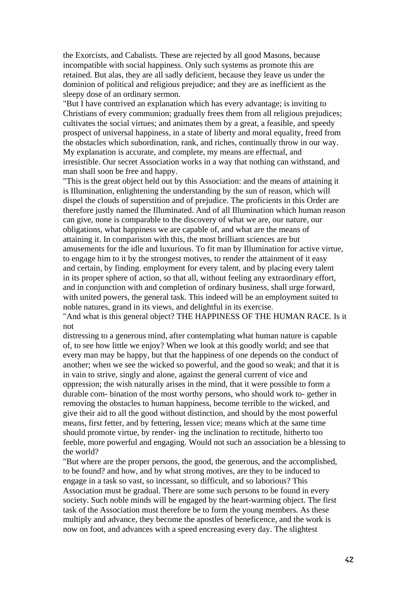the Exorcists, and Cabalists. These are rejected by all good Masons, because incompatible with social happiness. Only such systems as promote this are retained. But alas, they are all sadly deficient, because they leave us under the dominion of political and religious prejudice; and they are as inefficient as the sleepy dose of an ordinary sermon.

"But I have contrived an explanation which has every advantage; is inviting to Christians of every communion; gradually frees them from all religious prejudices; cultivates the social virtues; and animates them by a great, a feasible, and speedy prospect of universal happiness, in a state of liberty and moral equality, freed from the obstacles which subordination, rank, and riches, continually throw in our way. My explanation is accurate, and complete, my means are effectual, and irresistible. Our secret Association works in a way that nothing can withstand, and man shall soon be free and happy.

"This is the great object held out by this Association: and the means of attaining it is Illumination, enlightening the understanding by the sun of reason, which will dispel the clouds of superstition and of prejudice. The proficients in this Order are therefore justly named the Illuminated. And of all Illumination which human reason can give, none is comparable to the discovery of what we are, our nature, our obligations, what happiness we are capable of, and what are the means of attaining it. In comparison with this, the most brilliant sciences are but amusements for the idle and luxurious. To fit man by Illumination for active virtue, to engage him to it by the strongest motives, to render the attainment of it easy and certain, by finding. employment for every talent, and by placing every talent in its proper sphere of action, so that all, without feeling any extraordinary effort, and in conjunction with and completion of ordinary business, shall urge forward, with united powers, the general task. This indeed will be an employment suited to noble natures, grand in its views, and delightful in its exercise.

"And what is this general object? THE HAPPINESS OF THE HUMAN RACE. Is it not

distressing to a generous mind, after contemplating what human nature is capable of, to see how little we enjoy? When we look at this goodly world; and see that every man may be happy, but that the happiness of one depends on the conduct of another; when we see the wicked so powerful, and the good so weak; and that it is in vain to strive, singly and alone, against the general current of vice and oppression; the wish naturally arises in the mind, that it were possible to form a durable com- bination of the most worthy persons, who should work to- gether in removing the obstacles to human happiness, become terrible to the wicked, and give their aid to all the good without distinction, and should by the most powerful means, first fetter, and by fettering, lessen vice; means which at the same time should promote virtue, by render- ing the inclination to rectitude, hitherto too feeble, more powerful and engaging. Would not such an association be a blessing to the world?

"But where are the proper persons, the good, the generous, and the accomplished, to be found? and how, and by what strong motives, are they to be induced to engage in a task so vast, so incessant, so difficult, and so laborious? This Association must be gradual. There are some such persons to be found in every society. Such noble minds will be engaged by the heart-warming object. The first task of the Association must therefore be to form the young members. As these multiply and advance, they become the apostles of beneficence, and the work is now on foot, and advances with a speed encreasing every day. The slightest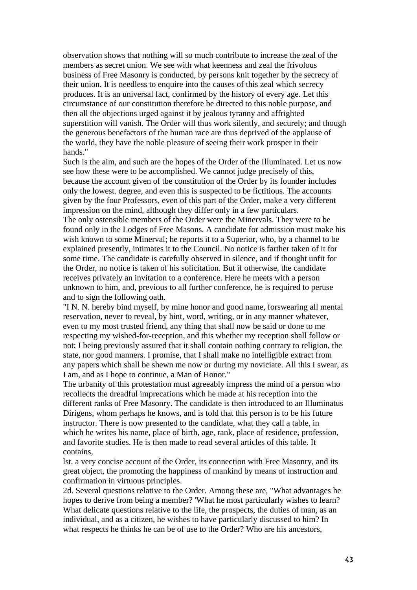observation shows that nothing will so much contribute to increase the zeal of the members as secret union. We see with what keenness and zeal the frivolous business of Free Masonry is conducted, by persons knit together by the secrecy of their union. It is needless to enquire into the causes of this zeal which secrecy produces. It is an universal fact, confirmed by the history of every age. Let this circumstance of our constitution therefore be directed to this noble purpose, and then all the objections urged against it by jealous tyranny and affrighted superstition will vanish. The Order will thus work silently, and securely; and though the generous benefactors of the human race are thus deprived of the applause of the world, they have the noble pleasure of seeing their work prosper in their hands."

Such is the aim, and such are the hopes of the Order of the Illuminated. Let us now see how these were to be accomplished. We cannot judge precisely of this, because the account given of tbe constitution of the Order by its founder includes only the lowest. degree, and even this is suspected to be fictitious. The accounts given by the four Professors, even of this part of the Order, make a very different impression on the mind, although they differ only in a few particulars. The only ostensible members of the Order were the Minervals. They were to be found only in the Lodges of Free Masons. A candidate for admission must make his wish known to some Minerval; he reports it to a Superior, who, by a channel to be explained presently, intimates it to the Council. No notice is farther taken of it for some time. The candidate is carefully observed in silence, and if thought unfit for the Order, no notice is taken of his solicitation. But if otherwise, the candidate receives privately an invitation to a conference. Here he meets with a person unknown to him, and, previous to all further conference, he is required to peruse and to sign the following oath.

"I N. N. hereby bind myself, by mine honor and good name, forswearing all mental reservation, never to reveal, by hint, word, writing, or in any manner whatever, even to my most trusted friend, any thing that shall now be said or done to me respecting my wished-for-reception, and this whether my reception shall follow or not; I being previously assured that it shall contain nothing contrary to religion, the state, nor good manners. I promise, that I shall make no intelligible extract from any papers which shall be shewn me now or during my noviciate. All this I swear, as I am, and as I hope to continue, a Man of Honor."

The urbanity of this protestation must agreeably impress the mind of a person who recollects the dreadful imprecations which he made at his reception into the different ranks of Free Masonry. The candidate is then introduced to an Illuminatus Dirigens, whom perhaps he knows, and is told that this person is to be his future instructor. There is now presented to the candidate, what they call a table, in which he writes his name, place of birth, age, rank, place of residence, profession, and favorite studies. He is then made to read several articles of this table. It contains,

lst. a very concise account of the Order, its connection with Free Masonry, and its great object, the promoting the happiness of mankind by means of instruction and confirmation in virtuous principles.

2d. Several questions relative to the Order. Among these are, "What advantages he hopes to derive from being a member? 'What he most particularly wishes to learn? What delicate questions relative to the life, the prospects, the duties of man, as an individual, and as a citizen, he wishes to have particularly discussed to him? In what respects he thinks he can be of use to the Order? Who are his ancestors,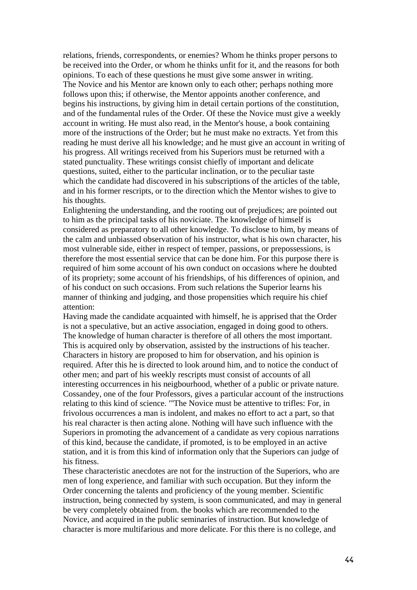relations, friends, correspondents, or enemies? Whom he thinks proper persons to be received into the Order, or whom he thinks unfit for it, and the reasons for both opinions. To each of these questions he must give some answer in writing. The Novice and his Mentor are known only to each other; perhaps nothing more follows upon this; if otherwise, the Mentor appoints another conference, and begins his instructions, by giving him in detail certain portions of the constitution, and of the fundamental rules of the Order. Of these the Novice must give a weekly account in writing. He must also read, in the Mentor's house, a book containing more of the instructions of the Order; but he must make no extracts. Yet from this reading he must derive all his knowledge; and he must give an account in writing of his progress. All writings received from his Superiors must be returned with a stated punctuality. These writings consist chiefly of important and delicate questions, suited, either to the particular inclination, or to the peculiar taste which the candidate had discovered in his subscriptions of the articles of the table, and in his former rescripts, or to the direction which the Mentor wishes to give to his thoughts.

Enlightening the understanding, and the rooting out of prejudices; are pointed out to him as the principal tasks of his noviciate. The knowledge of himself is considered as preparatory to all other knowledge. To disclose to him, by means of the calm and unbiassed observation of his instructor, what is his own character, his most vulnerable side, either in respect of temper, passions, or prepossessions, is therefore the most essential service that can be done him. For this purpose there is required of him some account of his own conduct on occasions where he doubted of its propriety; some account of his friendships, of his differences of opinion, and of his conduct on such occasions. From such relations the Superior learns his manner of thinking and judging, and those propensities which require his chief attention:

Having made the candidate acquainted with himself, he is apprised that the Order is not a speculative, but an active association, engaged in doing good to others. The knowledge of human character is therefore of all others the most important. This is acquired only by observation, assisted by the instructions of his teacher. Characters in history are proposed to him for observation, and his opinion is required. After this he is directed to look around him, and to notice the conduct of other men; and part of his weekly rescripts must consist of accounts of all interesting occurrences in his neigbourhood, whether of a public or private nature. Cossandey, one of the four Professors, gives a particular account of the instructions relating to this kind of science. "'The Novice must be attentive to trifles: For, in frivolous occurrences a man is indolent, and makes no effort to act a part, so that his real character is then acting alone. Nothing will have such influence with the Superiors in promoting the advancement of a candidate as very copious narrations of this kind, because the candidate, if promoted, is to be employed in an active station, and it is from this kind of information only that the Superiors can judge of his fitness.

These characteristic anecdotes are not for the instruction of the Superiors, who are men of long experience, and familiar with such occupation. But they inform the Order concerning the talents and proficiency of the young member. Scientific instruction, being connected by system, is soon communicated, and may in general be very completely obtained from. the books which are recommended to the Novice, and acquired in the public seminaries of instruction. But knowledge of character is more multifarious and more delicate. For this there is no college, and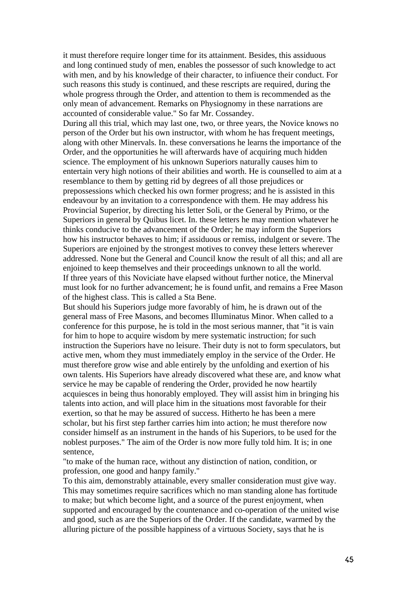it must therefore require longer time for its attainment. Besides, this assiduous and long continued study of men, enables the possessor of such knowledge to act with men, and by his knowledge of their character, to infiuence their conduct. For such reasons this study is continued, and these rescripts are required, during the whole progress through the Order, and attention to them is recommended as the only mean of advancement. Remarks on Physiognomy in these narrations are accounted of considerable value." So far Mr. Cossandey.

During all this trial, which may last one, two, or three years, the Novice knows no person of the Order but his own instructor, with whom he has frequent meetings, along with other Minervals. In. these conversations he learns the importance of the Order, and the opportunities he will afterwards have of acquiring much hidden science. The employment of his unknown Superiors naturally causes him to entertain very high notions of their abilities and worth. He is counselled to aim at a resemblance to them by getting rid by degrees of all those prejudices or prepossessions which checked his own former progress; and he is assisted in this endeavour by an invitation to a correspondence with them. He may address his Provincial Superior, by directing his letter Soli, or the General by Primo, or the Superiors in general by Quibus licet. In. these letters he may mention whatever he thinks conducive to the advancement of the Order; he may inform the Superiors how his instructor behaves to him; if assiduous or remiss, indulgent or severe. The Superiors are enjoined by the strongest motives to convey these letters wherever addressed. None but the General and Council know the result of all this; and all are enjoined to keep themselves and their proceedings unknown to all the world. If three years of this Noviciate have elapsed without further notice, the Minerval must look for no further advancement; he is found unfit, and remains a Free Mason of the highest class. This is called a Sta Bene.

But should his Superiors judge more favorably of him, he is drawn out of the general mass of Free Masons, and becomes Illuminatus Minor. When called to a conference for this purpose, he is told in the most serious manner, that "it is vain for him to hope to acquire wisdom by mere systematic instruction; for such instruction the Superiors have no leisure. Their duty is not to form speculators, but active men, whom they must immediately employ in the service of the Order. He must therefore grow wise and able entirely by the unfolding and exertion of his own talents. His Superiors have already discovered what these are, and know what service he may be capable of rendering the Order, provided he now heartily acquiesces in being thus honorably employed. They will assist him in bringing his talents into action, and will place him in the situations most favorable for their exertion, so that he may be assured of success. Hitherto he has been a mere scholar, but his first step farther carries him into action; he must therefore now consider himself as an instrument in the hands of his Superiors, to be used for the noblest purposes." The aim of the Order is now more fully told him. It is; in one sentence,

"to make of the human race, without any distinction of nation, condition, or profession, one good and hanpy family."

To this aim, demonstrably attainable, every smaller consideration must give way. This may sometimes require sacrifices which no man standing alone has fortitude to make; but which become light, and a source of the purest enjoyment, when supported and encouraged by the countenance and co-operation of the united wise and good, such as are the Superiors of the Order. If the candidate, warmed by the alluring picture of the possible happiness of a virtuous Society, says that he is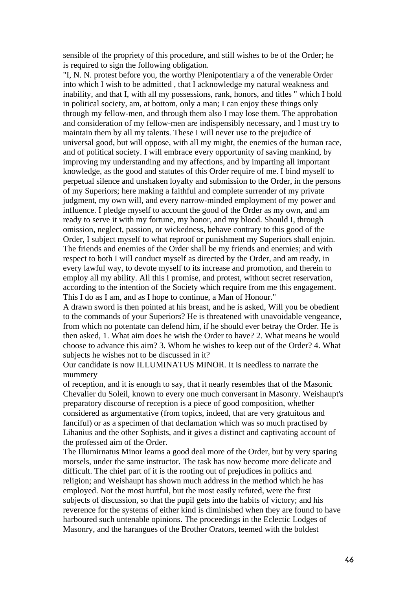sensible of the propriety of this procedure, and still wishes to be of the Order; he is required to sign the following obligation.

"I, N. N. protest before you, the worthy Plenipotentiary a of the venerable Order into which I wish to be admitted , that I acknowledge my natural weakness and inability, and that I, with all my possessions, rank, honors, and titles " which I hold in political society, am, at bottom, only a man; I can enjoy these things only through my fellow-men, and through them also I may lose them. The approbation and consideration of my fellow-men are indispensibly necessary, and I must try to maintain them by all my talents. These I will never use to the prejudice of universal good, but will oppose, with all my might, the enemies of the human race, and of political society. I will embrace every opportunity of saving mankind, by improving my understanding and my affections, and by imparting all important knowledge, as the good and statutes of this Order require of me. I bind myself to perpetual silence and unshaken loyalty and submission to the Order, in the persons of my Superiors; here making a faithful and complete surrender of my private judgment, my own will, and every narrow-minded employment of my power and influence. I pledge myself to account the good of the Order as my own, and am ready to serve it with my fortune, my honor, and my blood. Should I, through omission, neglect, passion, or wickedness, behave contrary to this good of the Order, I subject myself to what reproof or punishment my Superiors shall enjoin. The friends and enemies of the Order shall be my friends and enemies; and with respect to both I will conduct myself as directed by the Order, and am ready, in every lawful way, to devote myself to its increase and promotion, and therein to employ all my ability. All this I promise, and protest, without secret reservation, according to the intention of the Society which require from me this engagement. This I do as I am, and as I hope to continue, a Man of Honour."

A drawn sword is then pointed at his breast, and he is asked, Will you be obedient to the commands of your Superiors? He is threatened with unavoidable vengeance, from which no potentate can defend him, if he should ever betray the Order. He is then asked, 1. What aim does he wish the Order to have? 2. What means he would choose to advance this aim? 3. Whom he wishes to keep out of the Order? 4. What subjects he wishes not to be discussed in it?

Our candidate is now ILLUMINATUS MINOR. It is needless to narrate the mummery

of reception, and it is enough to say, that it nearly resembles that of the Masonic Chevalier du Soleil, known to every one much conversant in Masonry. Weishaupt's preparatory discourse of reception is a piece of good composition, whether considered as argumentative (from topics, indeed, that are very gratuitous and fanciful) or as a specimen of that declamation which was so much practised by Lihanius and the other Sophists, and it gives a distinct and captivating account of the professed aim of the Order.

The Illumirnatus Minor learns a good deal more of the Order, but by very sparing morsels, under the same instructor. The task has now become more delicate and difficult. The chief part of it is the rooting out of prejudices in politics and religion; and Weishaupt has shown much address in the method which he has employed. Not the most hurtful, but the most easily refuted, were the first subjects of discussion, so that the pupil gets into the habits of victory; and his reverence for the systems of either kind is diminished when they are found to have harboured such untenable opinions. The proceedings in the Eclectic Lodges of Masonry, and the harangues of the Brother Orators, teemed with the boldest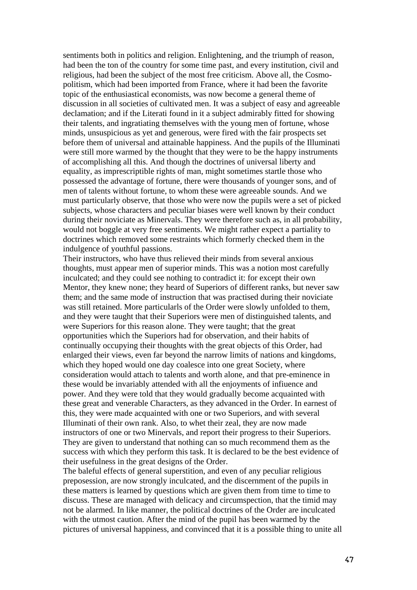sentiments both in politics and religion. Enlightening, and the triumph of reason, had been the ton of the country for some time past, and every institution, civil and religious, had been the subject of the most free criticism. Above all, the Cosmopolitism, which had been imported from France, where it had been the favorite topic of the enthusiastical economists, was now become a general theme of discussion in all societies of cultivated men. It was a subject of easy and agreeable declamation; and if the Literati found in it a subject admirably fitted for showing their talents, and ingratiating themselves with the young men of fortune, whose minds, unsuspicious as yet and generous, were fired with the fair prospects set before them of universal and attainable happiness. And the pupils of the Illuminati were still more warmed by the thought that they were to be the happy instruments of accomplishing all this. And though the doctrines of universal liberty and equality, as imprescriptible rights of man, might sometimes startle those who possessed the advantage of fortune, there were thousands of younger sons, and of men of talents without fortune, to whom these were agreeable sounds. And we must particularly observe, that those who were now the pupils were a set of picked subjects, whose characters and peculiar biases were well known by their conduct during their noviciate as Minervals. They were therefore such as, in all probability, would not boggle at very free sentiments. We might rather expect a partiality to doctrines which removed some restraints which formerly checked them in the indulgence of youthful passions.

Their instructors, who have thus relieved their minds from several anxious thoughts, must appear men of superior minds. This was a notion most carefully inculcated; and they could see nothing to contradict it: for except their own Mentor, they knew none; they heard of Superiors of different ranks, but never saw them; and the same mode of instruction that was practised during their noviciate was still retained. More particularls of the Order were slowly unfolded to them, and they were taught that their Superiors were men of distinguished talents, and were Superiors for this reason alone. They were taught; that the great opportunities which the Superiors had for observation, and their habits of continually occupying their thoughts with the great objects of this Order, had enlarged their views, even far beyond the narrow limits of nations and kingdoms, which they hoped would one day coalesce into one great Society, where consideration would attach to talents and worth alone, and that pre-eminence in these would be invariably attended with all the enjoyments of infiuence and power. And they were told that they would gradually become acquainted with these great and venerable Characters, as they advanced in the Order. In earnest of this, they were made acquainted with one or two Superiors, and with several Illuminati of their own rank. Also, to whet their zeal, they are now made instructors of one or two Minervals, and report their progress to their Superiors. They are given to understand that nothing can so much recommend them as the success with which they perform this task. It is declared to be the best evidence of their usefulness in the great designs of the Order.

The baleful effects of general superstition, and even of any peculiar religious preposession, are now strongly inculcated, and the discernment of the pupils in these matters is learned by questions which are given them from time to time to discuss. These are managed with delicacy and circumspection, that the timid may not be alarmed. In like manner, the political doctrines of the Order are inculcated with the utmost caution. After the mind of the pupil has been warmed by the pictures of universal happiness, and convinced that it is a possible thing to unite all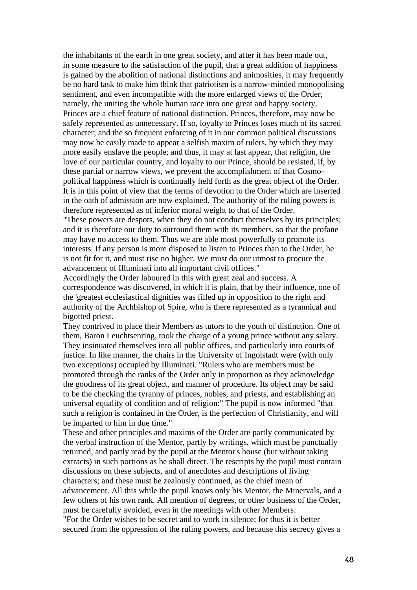the inhabitants of the earth in one great society, and after it has been made out, in some measure to the satisfaction of the pupil, that a great addition of happiness is gained by the abolition of national distinctions and animosities, it may frequently be no hard task to make him think that patriotism is a narrow-minded monopolising sentiment, and even incompatible with the more enlarged views of the Order, namely, the uniting the whole human race into one great and happy society. Princes are a chief feature of national distinction. Princes, therefore, may now be safely represented as unnecessary. If so, loyalty to Princes loses much of its sacred character; and the so frequent enforcing of it in our common political discussions may now be easily made to appear a selfish maxim of rulers, by which they may more easily enslave the people; and thus, it may at last appear, that religion, the love of our particular country, and loyalty to our Prince, should be resisted, if, by these partial or narrow views, we prevent the accomplishment of that Cosmopolitical happiness which is continually held forth as the great object of the Order. It is in this point of view that the terms of devotion to the Order which are inserted in the oath of admission are now explained. The authority of the ruling powers is therefore represented as of inferior moral weight to that of the Order.

"These powers are despots, when they do not conduct themselves by its principles; and it is therefore our duty to surround them with its members, so that the profane may have no access to them. Thus we are able most powerfully to promote its interests. If any person is more disposed to listen to Princes than to the Order, he is not fit for it, and must rise no higher. We must do our utmost to procure the advancement of Illuminati into all important civil offices."

Accordingly the Order laboured in this with great zeal and success. A correspondence was discovered, in which it is plain, that by their influence, one of the 'greatest ecclesiastical dignities was filled up in opposition to the right and authority of the Archbishop of Spire, who is there represented as a tyrannical and bigotted priest.

They contrived to place their Members as tutors to the youth of distinction. One of them, Baron Leuchtsenring, took the charge of a young prince without any salary. They insinuated themselves into all public offices, and particularly into courts of justice. In like manner, the chairs in the University of Ingolstadt were (with only two exceptions) occupied by Illuminati. "Rulers who are members must be promoted through the ranks of the Order only in proportion as they acknowledge the goodness of its great object, and manner of procedure. Its object may be said to be the checking the tyranny of princes, nobles, and priests, and establishing an universal equality of condition and of religion:" The pupil is now informed "that such a religion is contained in the Order, is the perfection of Christianity, and will be imparted to him in due time."

These and other principles and maxims of the Order are partly communicated by the verbal instruction of the Mentor, partly by writings, which must be punctually returned, and partly read by the pupil at the Mentor's house (but without taking extracts) in such portions as he shall direct. The rescripts by the pupil must contain discussions on these subjects, and of anecdotes and descriptions of living characters; and these must be zealously continued, as the chief mean of advancement. All this while the pupil knows only his Mentor, the Minervals, and a few others of his own rank. All mention of degrees, or other business of the Order, must be carefully avoided, even in the meetings with other Members:

"For the Order wishes to be secret and to work in silence; for thus it is better secured from the oppression of the ruling powers, and because this secrecy gives a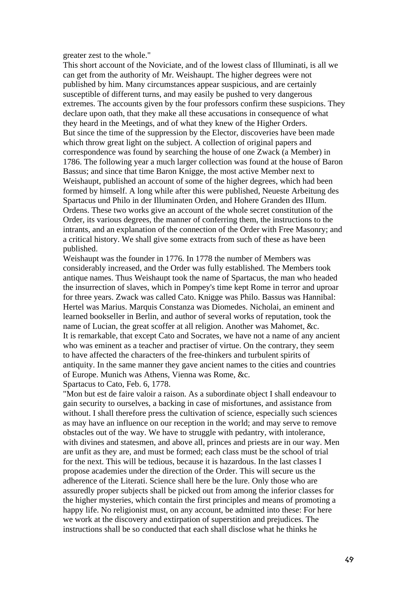greater zest to the whole."

This short account of the Noviciate, and of the lowest class of Illuminati, is all we can get from the authority of Mr. Weishaupt. The higher degrees were not published by him. Many circumstances appear suspicious, and are certainly susceptible of different turns, and may easily be pushed to very dangerous extremes. The accounts given by the four professors confirm these suspicions. They declare upon oath, that they make all these accusations in consequence of what they heard in the Meetings, and of what they knew of the Higher Orders. But since the time of the suppression by the Elector, discoveries have been made which throw great light on the subject. A collection of original papers and correspondence was found by searching the house of one Zwack (a Member) in 1786. The following year a much larger collection was found at the house of Baron Bassus; and since that time Baron Knigge, the most active Member next to Weishaupt, published an account of some of the higher degrees, which had been formed by himself. A long while after this were published, Neueste Arbeitung des Spartacus und Philo in der Illuminaten Orden, and Hohere Granden des IIIum. Ordens. These two works give an account of the whole secret constitution of the Order, its various degrees, the manner of conferring them, the instructions to the intrants, and an explanation of the connection of the Order with Free Masonry; and a critical history. We shall give some extracts from such of these as have been published.

Weishaupt was the founder in 1776. In 1778 the number of Members was considerably increased, and the Order was fully established. The Members took antique names. Thus Weishaupt took the name of Spartacus, the man who headed the insurrection of slaves, which in Pompey's time kept Rome in terror and uproar for three years. Zwack was called Cato. Knigge was Philo. Bassus was Hannibal: Hertel was Marius. Marquis Constanza was Diomedes. Nicholai, an eminent and learned bookseller in Berlin, and author of several works of reputation, took the name of Lucian, the great scoffer at all religion. Another was Mahomet, &c. It is remarkable, that except Cato and Socrates, we have not a name of any ancient who was eminent as a teacher and practiser of virtue. On the contrary, they seem to have affected the characters of the free-thinkers and turbulent spirits of antiquity. In the same manner they gave ancient names to the cities and countries of Europe. Munich was Athens, Vienna was Rome, &c.

Spartacus to Cato, Feb. 6, 1778.

"Mon but est de faire valoir a raison. As a subordinate object I shall endeavour to gain security to ourselves, a backing in case of misfortunes, and assistance from without. I shall therefore press the cultivation of science, especially such sciences as may have an influence on our reception in the world; and may serve to remove obstacles out of the way. We have to struggle with pedantry, with intolerance, with divines and statesmen, and above all, princes and priests are in our way. Men are unfit as they are, and must be formed; each class must be the school of trial for the next. This will be tedious, because it is hazardous. In the last classes I propose academies under the direction of the Order. This will secure us the adherence of the Literati. Science shall here be the lure. Only those who are assuredly proper subjects shall be picked out from among the inferior classes for the higher mysteries, which contain the first principles and means of promoting a happy life. No religionist must, on any account, be admitted into these: For here we work at the discovery and extirpation of superstition and prejudices. The instructions shall be so conducted that each shall disclose what he thinks he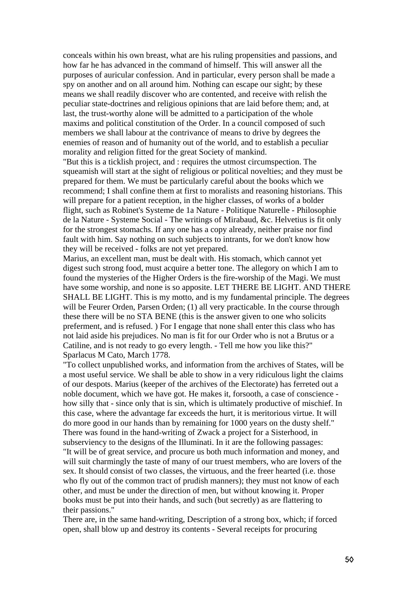conceals within his own breast, what are his ruling propensities and passions, and how far he has advanced in the command of himself. This will answer all the purposes of auricular confession. And in particular, every person shall be made a spy on another and on all around him. Nothing can escape our sight; by these means we shall readily discover who are contented, and receive with relish the peculiar state-doctrines and religious opinions that are laid before them; and, at last, the trust-worthy alone will be admitted to a participation of the whole maxims and political constitution of the Order. In a council composed of such members we shall labour at the contrivance of means to drive by degrees the enemies of reason and of humanity out of the world, and to establish a peculiar morality and religion fitted for the great Society of mankind.

"But this is a ticklish project, and : requires the utmost circumspection. The squeamish will start at the sight of religious or political novelties; and they must be prepared for them. We must be particularly careful about the books which we recommend; I shall confine them at first to moralists and reasoning historians. This will prepare for a patient reception, in the higher classes, of works of a bolder flight, such as Robinet's Systeme de 1a Nature - Politique Naturelle - Philosophie de la Nature - Systeme Social - The writings of Mirabaud, &c. Helvetius is fit only for the strongest stomachs. If any one has a copy already, neither praise nor find fault with him. Say nothing on such subjects to intrants, for we don't know how they will be received - folks are not yet prepared.

Marius, an excellent man, must be dealt with. His stomach, which cannot yet digest such strong food, must acquire a better tone. The allegory on which I am to found the mysteries of the Higher Orders is the fire-worship of the Magi. We must have some worship, and none is so apposite. LET THERE BE LIGHT. AND THERE SHALL BE LIGHT. This is my motto, and is my fundamental principle. The degrees will be Feurer Orden, Parsen Orden; (1) all very practicable. In the course through these there will be no STA BENE (this is the answer given to one who solicits preferment, and is refused. ) For I engage that none shall enter this class who has not laid aside his prejudices. No man is fit for our Order who is not a Brutus or a Catiline, and is not ready to go every length. - Tell me how you like this?" Sparlacus M Cato, March 1778.

"To collect unpublished works, and information from the archives of States, will be a most useful service. We shall be able to show in a very ridiculous light the claims of our despots. Marius (keeper of the archives of the Electorate) has ferreted out a noble document, which we have got. He makes it, forsooth, a case of conscience how silly that - since only that is sin, which is ultimately productive of mischief. In this case, where the advantage far exceeds the hurt, it is meritorious virtue. It will do more good in our hands than by remaining for 1000 years on the dusty shelf." There was found in the hand-writing of Zwack a project for a Sisterhood, in subserviency to the designs of the Illuminati. In it are the following passages: "It will be of great service, and procure us both much information and money, and will suit charmingly the taste of many of our truest members, who are lovers of the sex. It should consist of two classes, the virtuous, and the freer hearted (i.e. those who fly out of the common tract of prudish manners); they must not know of each other, and must be under the direction of men, but without knowing it. Proper books must be put into their hands, and such (but secretly) as are flattering to their passions."

There are, in the same hand-writing, Description of a strong box, which; if forced open, shall blow up and destroy its contents - Several receipts for procuring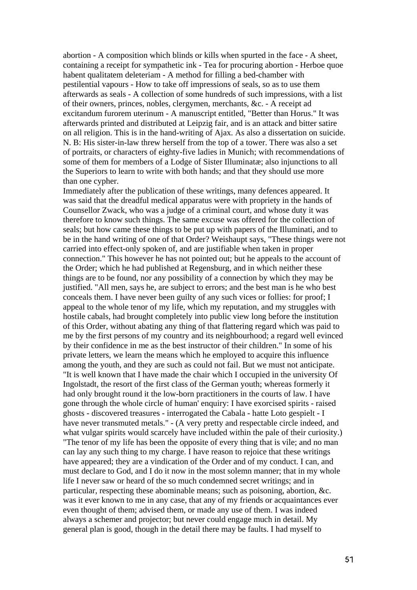abortion - A composition which blinds or kills when spurted in the face - A sheet, containing a receipt for sympathetic ink - Tea for procuring abortion - Herboe quoe habent qualitatem deleteriam - A method for filling a bed-chamber with pestilential vapours - How to take off impressions of seals, so as to use them afterwards as seals - A collection of some hundreds of such impressions, with a list of their owners, princes, nobles, clergymen, merchants, &c. - A receipt ad excitandum furorem uterinum - A manuscript entitled, "Better than Horus." It was afterwards printed and distributed at Leipzig fair, and is an attack and bitter satire on all religion. This is in the hand-writing of Ajax. As also a dissertation on suicide. N. B: His sister-in-law threw herself from the top of a tower. There was also a set of portraits, or characters of eighty-five ladies in Munich; with recommendations of some of them for members of a Lodge of Sister Illuminatæ; also injunctions to all the Superiors to learn to write with both hands; and that they should use more than one cypher.

Immediately after the publication of these writings, many defences appeared. It was said that the dreadful medical apparatus were with propriety in the hands of Counsellor Zwack, who was a judge of a criminal court, and whose duty it was therefore to know such things. The same excuse was offered for the collection of seals; but how came these things to be put up with papers of the Illuminati, and to be in the hand writing of one of that Order? Weishaupt says, "These things were not carried into effect-only spoken of, and are justifiable when taken in proper connection." This however he has not pointed out; but he appeals to the account of the Order; which he had published at Regensburg, and in which neither these things are to be found, nor any possibility of a connection by which they may be justified. "All men, says he, are subject to errors; and the best man is he who best conceals them. I have never been guilty of any such vices or follies: for proof; I appeal to the whole tenor of my life, which my reputation, and my struggles with hostile cabals, had brought completely into public view long before the institution of this Order, without abating any thing of that flattering regard which was paid to me by the first persons of my country and its neighbourhood; a regard well evinced by their confidence in me as the best instructor of their children." In some of his private letters, we learn the means which he employed to acquire this influence among the youth, and they are such as could not fail. But we must not anticipate. "It is well known that I have made the chair which I occupied in the university Of Ingolstadt, the resort of the first class of the German youth; whereas formerly it had only brought round it the low-born practitioners in the courts of law. I have gone through the whole circle of human' enquiry: I have exorcised spirits - raised ghosts - discovered treasures - interrogated the Cabala - hatte Loto gespielt - I have never transmuted metals." - (A very pretty and respectable circle indeed, and what vulgar spirits would scarcely have included within the pale of their curiosity.) "The tenor of my life has been the opposite of every thing that is vile; and no man can lay any such thing to my charge. I have reason to rejoice that these writings have appeared; they are a vindication of the Order and of my conduct. I can, and must declare to God, and I do it now in the most solemn manner; that in my whole life I never saw or heard of the so much condemned secret writings; and in particular, respecting these abominable means; such as poisoning, abortion, &c. was it ever known to me in any case, that any of my friends or acquaintances ever even thought of them; advised them, or made any use of them. I was indeed always a schemer and projector; but never could engage much in detail. My general plan is good, though in the detail there may be faults. I had myself to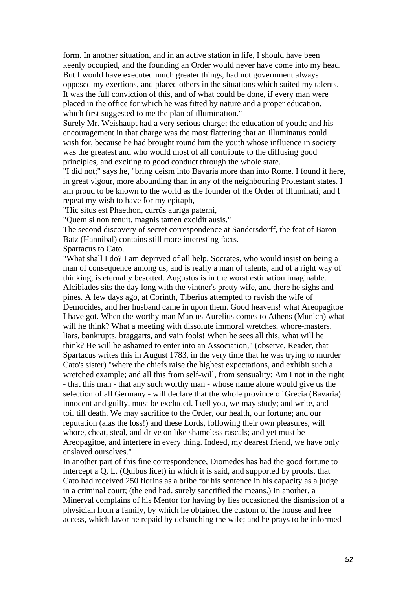form. In another situation, and in an active station in life, I should have been keenly occupied, and the founding an Order would never have come into my head. But I would have executed much greater things, had not government always opposed my exertions, and placed others in the situations which suited my talents. It was the full conviction of this, and of what could be done, if every man were placed in the office for which he was fitted by nature and a proper education, which first suggested to me the plan of illumination."

Surely Mr. Weishaupt had a very serious charge; the education of youth; and his encouragement in that charge was the most flattering that an Illuminatus could wish for, because he had brought round him the youth whose influence in society was the greatest and who would most of all contribute to the diffusing good principles, and exciting to good conduct through the whole state.

"I did not;" says he, "bring deism into Bavaria more than into Rome. I found it here, in great vigour, more abounding than in any of the neighbouring Protestant states. I am proud to be known to the world as the founder of the Order of Illuminati; and I repeat my wish to have for my epitaph,

"Hic situs est Phaethon, currûs auriga paterni,

"Quem si non tenuit, magnis tamen excidit ausis."

The second discovery of secret correspondence at Sandersdorff, the feat of Baron Batz (Hannibal) contains still more interesting facts.

Spartacus to Cato.

"What shall I do? I am deprived of all help. Socrates, who would insist on being a man of consequence among us, and is really a man of talents, and of a right way of thinking, is eternally besotted. Augustus is in the worst estimation imaginable. Alcibiades sits the day long with the vintner's pretty wife, and there he sighs and pines. A few days ago, at Corinth, Tiberius attempted to ravish the wife of Democides, and her husband came in upon them. Good heavens! what Areopagitoe I have got. When the worthy man Marcus Aurelius comes to Athens (Munich) what will he think? What a meeting with dissolute immoral wretches, whore-masters, liars, bankrupts, braggarts, and vain fools! When he sees all this, what will he think? He will be ashamed to enter into an Association," (observe, Reader, that Spartacus writes this in August 1783, in the very time that he was trying to murder Cato's sister) "where the chiefs raise the highest expectations, and exhibit such a wretched example; and all this from self-will, from sensuality: Am I not in the right - that this man - that any such worthy man - whose name alone would give us the selection of all Germany - will declare that the whole province of Grecia (Bavaria) innocent and guilty, must be excluded. I tell you, we may study; and write, and toil till death. We may sacrifice to the Order, our health, our fortune; and our reputation (alas the loss!) and these Lords, following their own pleasures, will whore, cheat, steal, and drive on like shameless rascals; and yet must be Areopagitoe, and interfere in every thing. Indeed, my dearest friend, we have only enslaved ourselves."

In another part of this fine correspondence, Diomedes has had the good fortune to intercept a Q. L. (Quibus licet) in which it is said, and supported by proofs, that Cato had received 250 florins as a bribe for his sentence in his capacity as a judge in a criminal court; (the end had. surely sanctified the means.) In another, a Minerval complains of his Mentor for having by lies occasioned the dismission of a physician from a family, by which he obtained the custom of the house and free access, which favor he repaid by debauching the wife; and he prays to be informed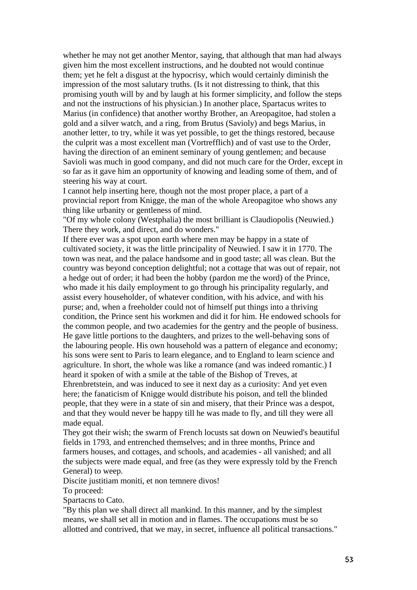whether he may not get another Mentor, saying, that although that man had always given him the most excellent instructions, and he doubted not would continue them; yet he felt a disgust at the hypocrisy, which would certainly diminish the impression of the most salutary truths. (Is it not distressing to think, that this promising youth will by and by laugh at his former simplicity, and follow the steps and not the instructions of his physician.) In another place, Spartacus writes to Marius (in confidence) that another worthy Brother, an Areopagitoe, had stolen a gold and a silver watch, and a ring, from Brutus (Savioly) and begs Marius, in another letter, to try, while it was yet possible, to get the things restored, because the culprit was a most excellent man (Vortrefflich) and of vast use to the Order, having the direction of an eminent seminary of young gentlemen; and because Savioli was much in good company, and did not much care for the Order, except in so far as it gave him an opportunity of knowing and leading some of them, and of steering his way at court.

I cannot help inserting here, though not the most proper place, a part of a provincial report from Knigge, the man of the whole Areopagitoe who shows any thing like urbanity or gentleness of mind.

"Of my whole colony (Westphalia) the most brilliant is Claudiopolis (Neuwied.) There they work, and direct, and do wonders."

If there ever was a spot upon earth where men may be happy in a state of cultivated society, it was the little principality of Neuwied. I saw it in 1770. The town was neat, and the palace handsome and in good taste; all was clean. But the country was beyond conception delightful; not a cottage that was out of repair, not a hedge out of order; it had been the hobby (pardon me the word) of the Prince, who made it his daily employment to go through his principality regularly, and assist every householder, of whatever condition, with his advice, and with his purse; and, when a freeholder could not of himself put things into a thriving condition, the Prince sent his workmen and did it for him. He endowed schools for the common people, and two academies for the gentry and the people of business. He gave little portions to the daughters, and prizes to the well-behaving sons of the labouring people. His own household was a pattern of elegance and economy; his sons were sent to Paris to learn elegance, and to England to learn science and agriculture. In short, the whole was like a romance (and was indeed romantic.) I heard it spoken of with a smile at the table of the Bishop of Treves, at Ehrenbretstein, and was induced to see it next day as a curiosity: And yet even here; the fanaticism of Knigge would distribute his poison, and tell the blinded people, that they were in a state of sin and misery, that their Prince was a despot, and that they would never be happy till he was made to fly, and till they were all made equal.

They got their wish; the swarm of French locusts sat down on Neuwied's beautiful fields in 1793, and entrenched themselves; and in three months, Prince and farmers houses, and cottages, and schools, and academies - all vanished; and all the subjects were made equal, and free (as they were expressly told by the French General) to weep.

Discite justitiam moniti, et non temnere divos!

To proceed:

Spartacns to Cato.

"By this plan we shall direct all mankind. In this manner, and by the simplest means, we shall set all in motion and in flames. The occupations must be so allotted and contrived, that we may, in secret, influence all political transactions."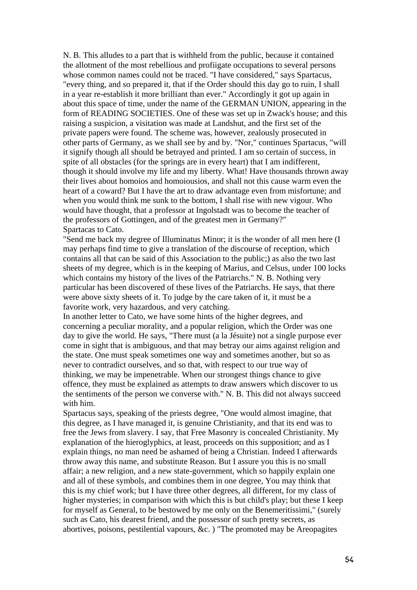N. B. This alludes to a part that is withheld from the public, because it contained the allotment of the most rebellious and profiigate occupations to several persons whose common names could not be traced. "I have considered," says Spartacus, "every thing, and so prepared it, that if the Order should this day go to ruin, I shall in a year re-establish it more brilliant than ever." Accordingly it got up again in about this space of time, under the name of the GERMAN UNION, appearing in the form of READING SOCIETIES. One of these was set up in Zwack's house; and this raising a suspicion, a visitation was made at Landshut, and the first set of the private papers were found. The scheme was, however, zealously prosecuted in other parts of Germany, as we shall see by and by. "Nor," continues Spartacus, "will it signify though all should be betrayed and printed. I am so certain of success, in spite of all obstacles (for the springs are in every heart) that I am indifferent, though it should involve my life and my liberty. What! Have thousands thrown away their lives about homoios and homoiousios, and shall not this cause warm even the heart of a coward? But I have the art to draw advantage even from misfortune; and when you would think me sunk to the bottom, I shall rise with new vigour. Who would have thought, that a professor at Ingolstadt was to become the teacher of the professors of Gottingen, and of the greatest men in Germany?" Spartacas to Cato.

"Send me back my degree of Illuminatus Minor; it is the wonder of all men here (I may perhaps find time to give a translation of the discourse of reception, which contains all that can be said of this Association to the public;) as also the two last sheets of my degree, which is in the keeping of Marius, and Celsus, under 100 locks which contains my history of the lives of the Patriarchs." N. B. Nothing very particular has been discovered of these lives of the Patriarchs. He says, that there were above sixty sheets of it. To judge by the care taken of it, it must be a favorite work, very hazardous, and very catching.

In another letter to Cato, we have some hints of the higher degrees, and concerning a peculiar morality, and a popular religion, which the Order was one day to give the world. He says, "There must (a la Jésuite) not a single purpose ever come in sight that is ambiguous, and that may betray our aims against religion and the state. One must speak sometimes one way and sometimes another, but so as never to contradict ourselves, and so that, with respect to our true way of thinking, we may be impenetrable. When our strongest things chance to give offence, they must be explained as attempts to draw answers which discover to us the sentiments of the person we converse with." N. B. This did not always succeed with him.

Spartacus says, speaking of the priests degree, "One would almost imagine, that this degree, as I have managed it, is genuine Christianity, and that its end was to free the Jews from slavery. I say, that Free Masonry is concealed Christianity. My explanation of the hieroglyphics, at least, proceeds on this supposition; and as I explain things, no man need be ashamed of being a Christian. Indeed I afterwards throw away this name, and substitute Reason. But I assure you this is no small affair; a new religion, and a new state-government, which so happily explain one and all of these symbols, and combines them in one degree, You may think that this is my chief work; but I have three other degrees, all different, for my class of higher mysteries; in comparison with which this is but child's play; but these I keep for myself as General, to be bestowed by me only on the Benemeritissimi," (surely such as Cato, his dearest friend, and the possessor of such pretty secrets, as abortives, poisons, pestilential vapours, &c. ) "The promoted may be Areopagites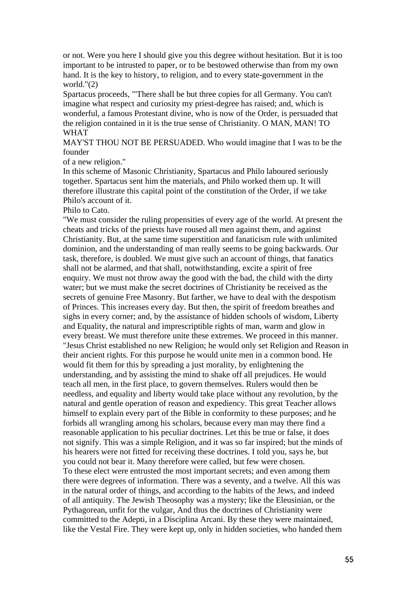or not. Were you here I should give you this degree without hesitation. But it is too important to be intrusted to paper, or to be bestowed otherwise than from my own hand. It is the key to history, to religion, and to every state-government in the world."(2)

Spartacus proceeds, "'There shall be but three copies for all Germany. You can't imagine what respect and curiosity my priest-degree has raised; and, which is wonderful, a famous Protestant divine, who is now of the Order, is persuaded that the religion contained in it is the true sense of Christianity. O MAN, MAN! TO WHAT

MAY'ST THOU NOT BE PERSUADED. Who would imagine that I was to be the founder

of a new religion."

In this scheme of Masonic Christianity, Spartacus and Philo laboured seriously together. Spartacus sent him the materials, and Philo worked them up. It will therefore illustrate this capital point of the constitution of the Order, if we take Philo's account of it.

Philo to Cato.

"We must consider the ruling propensities of every age of the world. At present the cheats and tricks of the priests have roused all men against them, and against Christianity. But, at the same time superstition and fanaticism rule with unlimited dominion, and the understanding of man really seems to be going backwards. Our task, therefore, is doubled. We must give such an account of things, that fanatics shall not be alarmed, and that shall, notwithstanding, excite a spirit of free enquiry. We must not throw away the good with the bad, the child with the dirty water; but we must make the secret doctrines of Christianity be received as the secrets of genuine Free Masonry. But farther, we have to deal with the despotism of Princes. This increases every day. But then, the spirit of freedom breathes and sighs in every corner; and, by the assistance of hidden schools of wisdom, Liberty and Equality, the natural and imprescriptible rights of man, warm and glow in every breast. We must therefore unite these extremes. We proceed in this manner. "Jesus Christ established no new Religion; he would only set Religion and Reason in their ancient rights. For this purpose he would unite men in a common bond. He would fit them for this by spreading a just morality, by enlightening the understanding, and by assisting the mind to shake off all prejudices. He would teach all men, in the first place, to govern themselves. Rulers would then be needless, and equality and liberty would take place without any revolution, by the natural and gentle operation of reason and expediency. This great Teacher allows himself to explain every part of the Bible in conformity to these purposes; and he forbids all wrangling among his scholars, because every man may there find a reasonable application to his peculiar doctrines. Let this be true or false, it does not signify. This was a simple Religion, and it was so far inspired; but the minds of his hearers were not fitted for receiving these doctrines. I told you, says he, but you could not bear it. Many therefore were called, but few were chosen. To these elect were entrusted the most important secrets; and even among them there were degrees of information. There was a seventy, and a twelve. All this was in the natural order of things, and according to the habits of the Jews, and indeed of all antiquity. The Jewish Theosophy was a mystery; like the Eleusinian, or the Pythagorean, unfit for the vulgar, And thus the doctrines of Christianity were committed to the Adepti, in a Disciplina Arcani. By these they were maintained, like the Vestal Fire. They were kept up, only in hidden societies, who handed them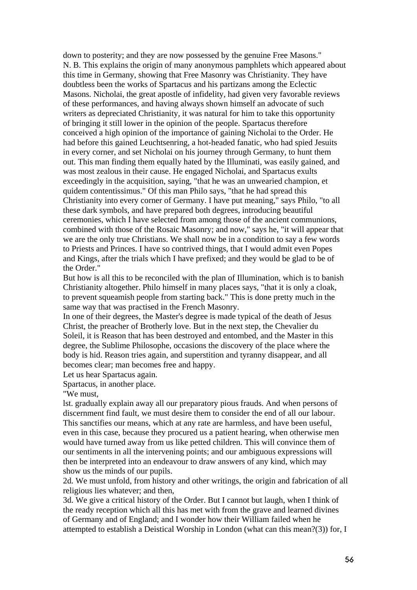down to posterity; and they are now possessed by the genuine Free Masons." N. B. This explains the origin of many anonymous pamphlets which appeared about this time in Germany, showing that Free Masonry was Christianity. They have doubtless been the works of Spartacus and his partizans among the Eclectic Masons. Nicholai, the great apostle of infidelity, had given very favorable reviews of these performances, and having always shown himself an advocate of such writers as depreciated Christianity, it was natural for him to take this opportunity of bringing it still lower in the opinion of the people. Spartacus therefore conceived a high opinion of the importance of gaining Nicholai to the Order. He had before this gained Leuchtsenring, a hot-headed fanatic, who had spied Jesuits in every corner, and set Nicholai on his journey through Germany, to hunt them out. This man finding them equally hated by the Illuminati, was easily gained, and was most zealous in their cause. He engaged Nicholai, and Spartacus exults exceedingly in the acquisition, saying, "that he was an unwearied champion, et quidem contentissimus." Of this man Philo says, "that he had spread this Christianity into every corner of Germany. I have put meaning," says Philo, "to all these dark symbols, and have prepared both degrees, introducing beautiful ceremonies, which I have selected from among those of the ancient communions, combined with those of the Rosaic Masonry; and now," says he, "it will appear that we are the only true Christians. We shall now be in a condition to say a few words to Priests and Princes. I have so contrived things, that I would admit even Popes and Kings, after the trials which I have prefixed; and they would be glad to be of the Order."

But how is all this to be reconciled with the plan of Illumination, which is to banish Christianity altogether. Philo himself in many places says, "that it is only a cloak, to prevent squeamish people from starting back." This is done pretty much in the same way that was practised in the French Masonry.

In one of their degrees, the Master's degree is made typical of the death of Jesus Christ, the preacher of Brotherly love. But in the next step, the Chevalier du Soleil, it is Reason that has been destroyed and entombed, and the Master in this degree, the Sublime Philosophe, occasions the discovery of the place where the body is hid. Reason tries again, and superstition and tyranny disappear, and all becomes clear; man becomes free and happy.

Let us hear Spartacus again.

Spartacus, in another place.

"We must,

lst. gradually explain away all our preparatory pious frauds. And when persons of discernment find fault, we must desire them to consider the end of all our labour. This sanctifies our means, which at any rate are harmless, and have been useful, even in this case, because they procured us a patient hearing, when otherwise men would have turned away from us like petted children. This will convince them of our sentiments in all the intervening points; and our ambiguous expressions will then be interpreted into an endeavour to draw answers of any kind, which may show us the minds of our pupils.

2d. We must unfold, from history and other writings, the origin and fabrication of all religious lies whatever; and then,

3d. We give a critical history of the Order. But I cannot but laugh, when I think of the ready reception which all this has met with from the grave and learned divines of Germany and of England; and I wonder how their William failed when he attempted to establish a Deistical Worship in London (what can this mean?(3)) for, I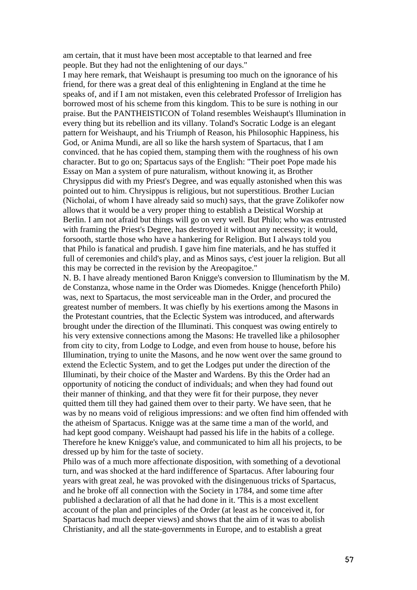am certain, that it must have been most acceptable to that learned and free people. But they had not the enlightening of our days."

I may here remark, that Weishaupt is presuming too much on the ignorance of his friend, for there was a great deal of this enlightening in England at the time he speaks of, and if I am not mistaken, even this celebrated Professor of Irreligion has borrowed most of his scheme from this kingdom. This to be sure is nothing in our praise. But the PANTHEISTICON of Toland resembles Weishaupt's Illumination in every thing but its rebellion and its villany. Toland's Socratic Lodge is an elegant pattern for Weishaupt, and his Triumph of Reason, his Philosophic Happiness, his God, or Anima Mundi, are all so like the harsh system of Spartacus, that I am convinced. that he has copied them, stamping them with the roughness of his own character. But to go on; Spartacus says of the English: "Their poet Pope made his Essay on Man a system of pure naturalism, without knowing it, as Brother Chrysippus did with my Priest's Degree, and was equally astonished when this was pointed out to him. Chrysippus is religious, but not superstitious. Brother Lucian (Nicholai, of whom I have already said so much) says, that the grave Zolikofer now allows that it would be a very proper thing to establish a Deistical Worship at Berlin. I am not afraid but things will go on very well. But Philo; who was entrusted with framing the Priest's Degree, has destroyed it without any necessity; it would, forsooth, startle those who have a hankering for Religion. But I always told you that Philo is fanatical and prudish. I gave him fine materials, and he has stuffed it full of ceremonies and child's play, and as Minos says, c'est jouer la religion. But all this may be corrected in the revision by the Areopagitoe."

N. B. I have already mentioned Baron Knigge's conversion to Illuminatism by the M. de Constanza, whose name in the Order was Diomedes. Knigge (henceforth Philo) was, next to Spartacus, the most serviceable man in the Order, and procured the greatest number of members. It was chiefly by his exertions among the Masons in the Protestant countries, that the Eclectic System was introduced, and afterwards brought under the direction of the Illuminati. This conquest was owing entirely to his very extensive connections among the Masons: He travelled like a philosopher from city to city, from Lodge to Lodge, and even from house to house, before his Illumination, trying to unite the Masons, and he now went over the same ground to extend the Eclectic System, and to get the Lodges put under the direction of the Illuminati, by their choice of the Master and Wardens. By this the Order had an opportunity of noticing the conduct of individuals; and when they had found out their manner of thinking, and that they were fit for their purpose, they never quitted them till they had gained them over to their party. We have seen, that he was by no means void of religious impressions: and we often find him offended with the atheism of Spartacus. Knigge was at the same time a man of the world, and had kept good company. Weishaupt had passed his life in the habits of a college. Therefore he knew Knigge's value, and communicated to him all his projects, to be dressed up by him for the taste of society.

Philo was of a much more affectionate disposition, with something of a devotional turn, and was shocked at the hard indifference of Spartacus. After labouring four years with great zeal, he was provoked with the disingenuous tricks of Spartacus, and he broke off all connection with the Society in 1784, and some time after published a declaration of all that he had done in it. 'This is a most excellent account of the plan and principles of the Order (at least as he conceived it, for Spartacus had much deeper views) and shows that the aim of it was to abolish Christianity, and all the state-governments in Europe, and to establish a great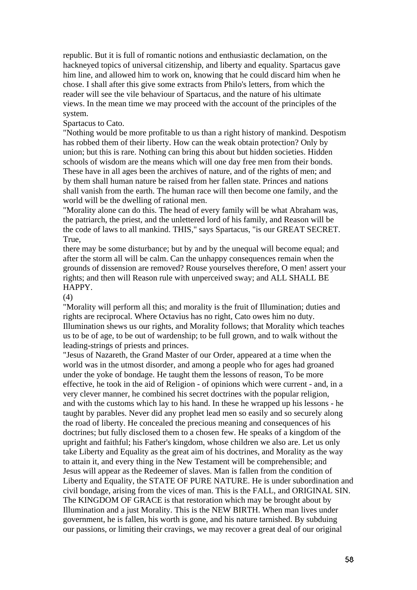republic. But it is full of romantic notions and enthusiastic declamation, on the hackneyed topics of universal citizenship, and liberty and equality. Spartacus gave him line, and allowed him to work on, knowing that he could discard him when he chose. I shall after this give some extracts from Philo's letters, from which the reader will see the vile behaviour of Spartacus, and the nature of his ultimate views. In the mean time we may proceed with the account of the principles of the system.

Spartacus to Cato.

"Nothing would be more profitable to us than a right history of mankind. Despotism has robbed them of their liberty. How can the weak obtain protection? Only by union; but this is rare. Nothing can bring this about but hidden societies. Hidden schools of wisdom are the means which will one day free men from their bonds. These have in all ages been the archives of nature, and of the rights of men; and by them shall human nature be raised from her fallen state. Princes and nations shall vanish from the earth. The human race will then become one family, and the world will be the dwelling of rational men.

"Morality alone can do this. The head of every family will be what Abraham was, the patriarch, the priest, and the unlettered lord of his family, and Reason will be the code of laws to all mankind. THIS," says Spartacus, "is our GREAT SECRET. True,

there may be some disturbance; but by and by the unequal will become equal; and after the storm all will be calm. Can the unhappy consequences remain when the grounds of dissension are removed? Rouse yourselves therefore, O men! assert your rights; and then will Reason rule with unperceived sway; and ALL SHALL BE HAPPY.

(4)

"Morality will perform all this; and morality is the fruit of Illumination; duties and rights are reciprocal. Where Octavius has no right, Cato owes him no duty. Illumination shews us our rights, and Morality follows; that Morality which teaches us to be of age, to be out of wardenship; to be full grown, and to walk without the leading-strings of priests and princes.

"Jesus of Nazareth, the Grand Master of our Order, appeared at a time when the world was in the utmost disorder, and among a people who for ages had groaned under the yoke of bondage. He taught them the lessons of reason, To be more effective, he took in the aid of Religion - of opinions which were current - and, in a very clever manner, he combined his secret doctrines with the popular religion, and with the customs which lay to his hand. In these he wrapped up his lessons - he taught by parables. Never did any prophet lead men so easily and so securely along the road of liberty. He concealed the precious meaning and consequences of his doctrines; but fully disclosed them to a chosen few. He speaks of a kingdom of the upright and faithful; his Father's kingdom, whose children we also are. Let us only take Liberty and Equality as the great aim of his doctrines, and Morality as the way to attain it, and every thing in the New Testament will be comprehensible; and Jesus will appear as the Redeemer of slaves. Man is fallen from the condition of Liberty and Equality, the STATE OF PURE NATURE. He is under subordination and civil bondage, arising from the vices of man. This is the FALL, and ORIGINAL SIN. The KINGDOM OF GRACE is that restoration which may be brought about by Illumination and a just Morality. This is the NEW BIRTH. When man lives under government, he is fallen, his worth is gone, and his nature tarnished. By subduing our passions, or limiting their cravings, we may recover a great deal of our original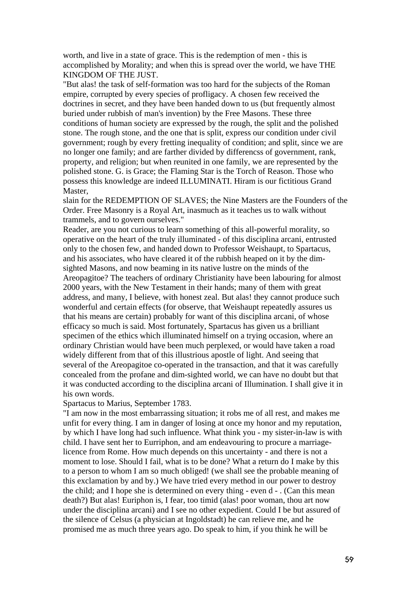worth, and live in a state of grace. This is the redemption of men - this is accomplished by Morality; and when this is spread over the world, we have THE KINGDOM OF THE JUST.

"But alas! the task of self-formation was too hard for the subjects of the Roman empire, corrupted by every species of profligacy. A chosen few received the doctrines in secret, and they have been handed down to us (but frequently almost buried under rubbish of man's invention) by the Free Masons. These three conditions of human society are expressed by the rough, the split and the polished stone. The rough stone, and the one that is split, express our condition under civil government; rough by every fretting inequality of condition; and split, since we are no longer one family; and are farther divided by differencss of government, rank, property, and religion; but when reunited in one family, we are represented by the polished stone. G. is Grace; the Flaming Star is the Torch of Reason. Those who possess this knowledge are indeed ILLUMINATI. Hiram is our fictitious Grand Master,

slain for the REDEMPTION OF SLAVES; the Nine Masters are the Founders of the Order. Free Masonry is a Royal Art, inasmuch as it teaches us to walk without trammels, and to govern ourselves."

Reader, are you not curious to learn something of this all-powerful morality, so operative on the heart of the truly illuminated - of this disciplina arcani, entrusted only to the chosen few, and handed down to Professor Weishaupt, to Spartacus, and his associates, who have cleared it of the rubbish heaped on it by the dimsighted Masons, and now beaming in its native lustre on the minds of the Areopagitoe? The teachers of ordinary Christianity have been labouring for almost 2000 years, with the New Testament in their hands; many of them with great address, and many, I believe, with honest zeal. But alas! they cannot produce such wonderful and certain effects (for observe, that Weishaupt repeatedly assures us that his means are certain) probably for want of this disciplina arcani, of whose efficacy so much is said. Most fortunately, Spartacus has given us a brilliant specimen of the ethics which illuminated himself on a trying occasion, where an ordinary Christian would have been much perplexed, or would have taken a road widely different from that of this illustrious apostle of light. And seeing that several of the Areopagitoe co-operated in the transaction, and that it was carefully concealed from the profane and dim-sighted world, we can have no doubt but that it was conducted according to the disciplina arcani of Illumination. I shall give it in his own words.

Spartacus to Marius, September 1783.

"I am now in the most embarrassing situation; it robs me of all rest, and makes me unfit for every thing. I am in danger of losing at once my honor and my reputation, by which I have long had such influence. What think you - my sister-in-law is with child. I have sent her to Eurriphon, and am endeavouring to procure a marriagelicence from Rome. How much depends on this uncertainty - and there is not a moment to lose. Should I fail, what is to be done? What a return do I make by this to a person to whom I am so much obliged! (we shall see the probable meaning of this exclamation by and by.) We have tried every method in our power to destroy the child; and I hope she is determined on every thing - even d - . (Can this mean death?) But alas! Euriphon is, I fear, too timid (alas! poor woman, thou art now under the disciplina arcani) and I see no other expedient. Could I be but assured of the silence of Celsus (a physician at Ingoldstadt) he can relieve me, and he promised me as much three years ago. Do speak to him, if you think he will be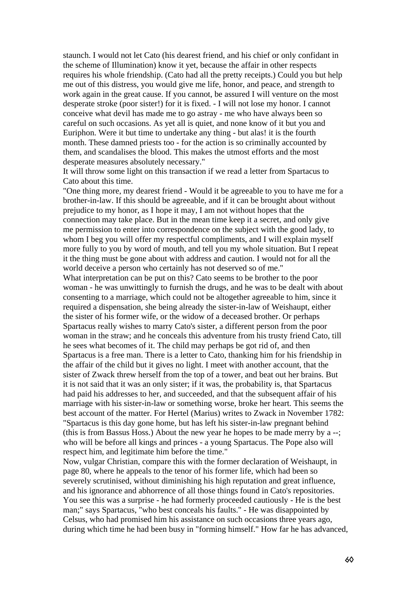staunch. I would not let Cato (his dearest friend, and his chief or only confidant in the scheme of Illumination) know it yet, because the affair in other respects requires his whole friendship. (Cato had all the pretty receipts.) Could you but help me out of this distress, you would give me life, honor, and peace, and strength to work again in the great cause. If you cannot, be assured I will venture on the most desperate stroke (poor sister!) for it is fixed. - I will not lose my honor. I cannot conceive what devil has made me to go astray - me who have always been so careful on such occasions. As yet all is quiet, and none know of it but you and Euriphon. Were it but time to undertake any thing - but alas! it is the fourth month. These damned priests too - for the action is so criminally accounted by them, and scandalises the blood. This makes the utmost efforts and the most desperate measures absolutely necessary."

It will throw some light on this transaction if we read a letter from Spartacus to Cato about this time.

"One thing more, my dearest friend - Would it be agreeable to you to have me for a brother-in-law. If this should be agreeable, and if it can be brought about without prejudice to my honor, as I hope it may, I am not without hopes that the connection may take place. But in the mean time keep it a secret, and only give me permission to enter into correspondence on the subject with the good lady, to whom I beg you will offer my respectful compliments, and I will explain myself more fully to you by word of mouth, and tell you my whole situation. But I repeat it the thing must be gone about with address and caution. I would not for all the world deceive a person who certainly has not deserved so of me." What interpretation can be put on this? Cato seems to be brother to the poor woman - he was unwittingly to furnish the drugs, and he was to be dealt with about consenting to a marriage, which could not be altogether agreeable to him, since it required a dispensation, she being already the sister-in-law of Weishaupt, either the sister of his former wife, or the widow of a deceased brother. Or perhaps Spartacus really wishes to marry Cato's sister, a different person from the poor woman in the straw; and he conceals this adventure from his trusty friend Cato, till he sees what becomes of it. The child may perhaps be got rid of, and then Spartacus is a free man. There is a letter to Cato, thanking him for his friendship in the affair of the child but it gives no light. I meet with another account, that the sister of Zwack threw herself from the top of a tower, and beat out her brains. But it is not said that it was an only sister; if it was, the probability is, that Spartacus had paid his addresses to her, and succeeded, and that the subsequent affair of his marriage with his sister-in-law or something worse, broke her heart. This seems the best account of the matter. For Hertel (Marius) writes to Zwack in November 1782: "Spartacus is this day gone home, but has left his sister-in-law pregnant behind (this is from Bassus Hoss.) About the new year he hopes to be made merry by a --; who will be before all kings and princes - a young Spartacus. The Pope also will respect him, and legitimate him before the time."

Now, vulgar Christian, compare this with the former declaration of Weishaupt, in page 80, where he appeals to the tenor of his former life, which had been so severely scrutinised, without diminishing his high reputation and great influence, and his ignorance and abhorrence of all those things found in Cato's repositories. You see this was a surprise - he had formerly proceeded cautiously - He is the best man;" says Spartacus, "who best conceals his faults." - He was disappointed by Celsus, who had promised him his assistance on such occasions three years ago, during which time he had been busy in "forming himself." How far he has advanced,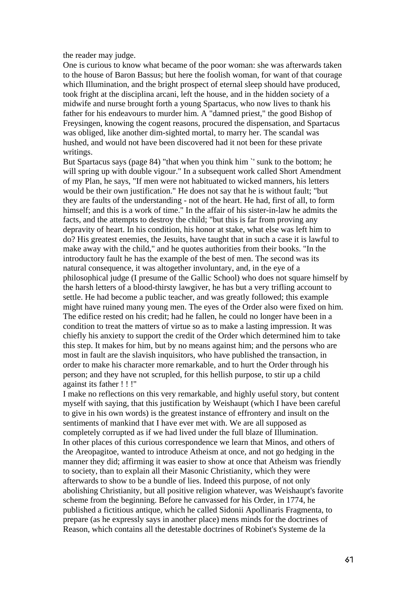the reader may judge.

One is curious to know what became of the poor woman: she was afterwards taken to the house of Baron Bassus; but here the foolish woman, for want of that courage which Illumination, and the bright prospect of eternal sleep should have produced, took fright at the disciplina arcani, left the house, and in the hidden society of a midwife and nurse brought forth a young Spartacus, who now lives to thank his father for his endeavours to murder him. A "damned priest," the good Bishop of Freysingen, knowing the cogent reasons, procured the dispensation, and Spartacus was obliged, like another dim-sighted mortal, to marry her. The scandal was hushed, and would not have been discovered had it not been for these private writings.

But Spartacus says (page 84) "that when you think him `' sunk to the bottom; he will spring up with double vigour." In a subsequent work called Short Amendment of my Plan, he says, "If men were not habituated to wicked manners, his letters would be their own justification." He does not say that he is without fault; "but they are faults of the understanding - not of the heart. He had, first of all, to form himself; and this is a work of time." In the affair of his sister-in-law he admits the facts, and the attempts to destroy the child; "but this is far from proving any depravity of heart. In his condition, his honor at stake, what else was left him to do? His greatest enemies, the Jesuits, have taught that in such a case it is lawful to make away with the child," and he quotes authorities from their books. "In the introductory fault he has the example of the best of men. The second was its natural consequence, it was altogether involuntary, and, in the eye of a philosophical judge (I presume of the Gallic School) who does not square himself by the harsh letters of a blood-thirsty lawgiver, he has but a very trifling account to settle. He had become a public teacher, and was greatly followed; this example might have ruined many young men. The eyes of the Order also were fixed on him. The edifice rested on his credit; had he fallen, he could no longer have been in a condition to treat the matters of virtue so as to make a lasting impression. It was chiefly his anxiety to support the credit of the Order which determined him to take this step. It makes for him, but by no means against him; and the persons who are most in fault are the slavish inquisitors, who have published the transaction, in order to make his character more remarkable, and to hurt the Order through his person; and they have not scrupled, for this hellish purpose, to stir up a child against its father ! ! !"

I make no reflections on this very remarkable, and highly useful story, but content myself with saying, that this justification by Weishaupt (which I have been careful to give in his own words) is the greatest instance of effrontery and insult on the sentiments of mankind that I have ever met with. We are all supposed as completely corrupted as if we had lived under the full blaze of Illumination. In other places of this curious correspondence we learn that Minos, and others of the Areopagitoe, wanted to introduce Atheism at once, and not go hedging in the manner they did; affirming it was easier to show at once that Atheism was friendly to society, than to explain all their Masonic Christianity, which they were afterwards to show to be a bundle of lies. Indeed this purpose, of not only abolishing Christianity, but all positive religion whatever, was Weishaupt's favorite scheme from the beginning. Before he canvassed for his Order, in 1774, he published a fictitious antique, which he called Sidonii Apollinaris Fragmenta, to prepare (as he expressly says in another place) mens minds for the doctrines of Reason, which contains all the detestable doctrines of Robinet's Systeme de la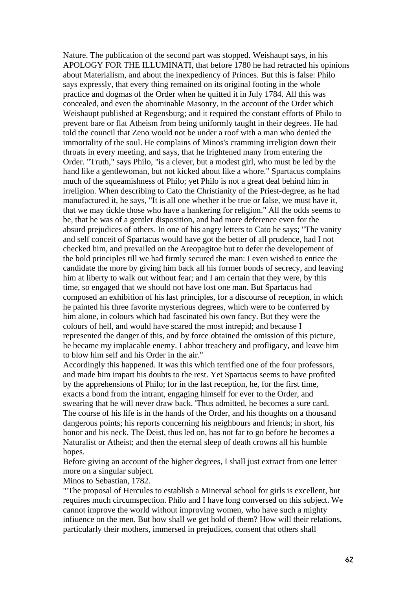Nature. The publication of the second part was stopped. Weishaupt says, in his APOLOGY FOR THE ILLUMINATI, that before 1780 he had retracted his opinions about Materialism, and about the inexpediency of Princes. But this is false: Philo says expressly, that every thing remained on its original footing in the whole practice and dogmas of the Order when he quitted it in July 1784. All this was concealed, and even the abominable Masonry, in the account of the Order which Weishaupt published at Regensburg; and it required the constant efforts of Philo to prevent bare or flat Atheism from being uniformly taught in their degrees. He had told the council that Zeno would not be under a roof with a man who denied the immortality of the soul. He complains of Minos's cramming irreligion down their throats in every meeting, and says, that he frightened many from entering the Order. "Truth," says Philo, "is a clever, but a modest girl, who must be led by the hand like a gentlewoman, but not kicked about like a whore." Spartacus complains much of the squeamishness of Philo; yet Philo is not a great deal behind him in irreligion. When describing to Cato the Christianity of the Priest-degree, as he had manufactured it, he says, "It is all one whether it be true or false, we must have it, that we may tickle those who have a hankering for religion." All the odds seems to be, that he was of a gentler disposition, and had more deference even for the absurd prejudices of others. In one of his angry letters to Cato he says; "The vanity and self conceit of Spartacus would have got the better of all prudence, had I not checked him, and prevailed on the Areopagitoe but to defer the developement of the bold principles till we had firmly secured the man: I even wished to entice the candidate the more by giving him back all his former bonds of secrecy, and leaving him at liberty to walk out without fear; and I am certain that they were, by this time, so engaged that we should not have lost one man. But Spartacus had composed an exhibition of his last principles, for a discourse of reception, in which he painted his three favorite mysterious degrees, which were to be conferred by him alone, in colours which had fascinated his own fancy. But they were the colours of hell, and would have scared the most intrepid; and because I represented the danger of this, and by force obtained the omission of this picture, he became my implacable enemy. I abhor treachery and profligacy, and leave him to blow him self and his Order in the air."

Accordingly this happened. It was this which terrified one of the four professors, and made him impart his doubts to the rest. Yet Spartacus seems to have profited by the apprehensions of Philo; for in the last reception, he, for the first time, exacts a bond from the intrant, engaging himself for ever to the Order, and swearing that he will never draw back. 'Thus admitted, he becomes a sure card. The course of his life is in the hands of the Order, and his thoughts on a thousand dangerous points; his reports concerning his neighbours and friends; in short, his honor and his neck. The Deist, thus led on, has not far to go before he becomes a Naturalist or Atheist; and then the eternal sleep of death crowns all his humble hopes.

Before giving an account of the higher degrees, I shall just extract from one letter more on a singular subject.

Minos to Sebastian, 1782.

"'The proposal of Hercules to establish a Minerval school for girls is excellent, but requires much circumspection. Philo and I have long conversed on this subject. We cannot improve the world without improving women, who have such a mighty infiuence on the men. But how shall we get hold of them? How will their relations, particularly their mothers, immersed in prejudices, consent that others shall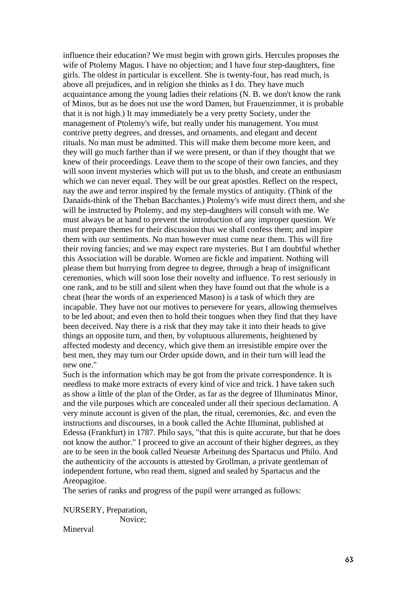influence their education? We must begin with grown girls. Hercules proposes the wife of Ptolemy Magus. I have no objection; and I have four step-daughters, fine girls. The oldest in particular is excellent. She is twenty-four, has read much, is above all prejudices, and in religion she thinks as I do. They have much acquaintance among the young ladies their relations (N. B. we don't know the rank of Minos, but as he does not use the word Damen, but Frauenzimmer, it is probable that it is not high.) It may immediately be a very pretty Society, under the management of Ptolemy's wife, but really under his management. You must contrive pretty degrees, and dresses, and ornaments, and elegant and decent rituals. No man must be admitted. This will make them become more keen, and they will go much farther than if we were present, or than if they thought that we knew of their proceedings. Leave them to the scope of their own fancies, and they will soon invent mysteries which will put us to the blush, and create an enthusiasm which we can never equal. They will be our great apostles. Reflect on the respect, nay the awe and terror inspired by the female mystics of antiquity. (Think of the Danaids-think of the Theban Bacchantes.) Ptolemy's wife must direct them, and she will be instructed by Ptolemy, and my step-daughters will consult with me. We must always be at hand to prevent the introduction of any improper question. We must prepare themes for their discussion thus we shall confess them; and inspire them with our sentiments. No man however must come near them. This will fire their roving fancies; and we may expect rare mysteries. But I am doubtful whether this Association will be durable. Women are fickle and impatient. Nothing will please them but hurrying from degree to degree, through a heap of insignificant ceremonies, which will soon lose their novelty and influence. To rest seriously in one rank, and to be still and silent when they have found out that the whole is a cheat (hear the words of an experienced Mason) is a task of which they are incapable. They have not our motives to persevere for years, allowing themselves to be led about; and even then to hold their tongues when they find that they have been deceived. Nay there is a risk that they may take it into their heads to give things an opposite turn, and then, by voluptuous allurements, heightened by affected modesty and decency, which give them an irresistible empire over the best men, they may turn our Order upside down, and in their turn will lead the new one."

Such is the information which may be got from the private correspondence. It is needless to make more extracts of every kind of vice and trick. I have taken such as show a little of the plan of the Order, as far as the degree of Illuminatus Minor, and the vile purposes which are concealed under all their specious declamation. A very minute account is given of the plan, the ritual, ceremonies, &c. and even the instructions and discourses, in a book called the Achte Illuminat, published at Edessa (Frankfurt) in 1787. Philo says, "that this is quite accurate, but that he does not know the author." I proceed to give an account of their higher degrees, as they are to be seen in the book called Neueste Arbeitung des Spartacus und Philo. And the authenticity of the accounts is attested by Grollman, a private gentleman of independent fortune, who read them, signed and sealed by Spartacus and the Areopagitoe.

The series of ranks and progress of the pupil were arranged as follows:

NURSERY, Preparation, Novice; Minerval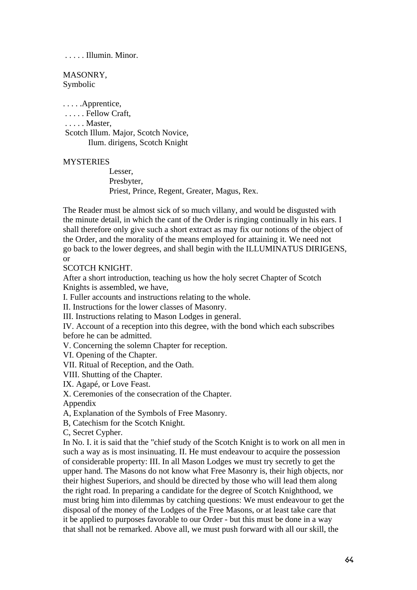. . . . . Illumin. Minor.

MASONRY, Symbolic

. . . . .Apprentice, . . . . . Fellow Craft, . . . . . Master, Scotch Illum. Major, Scotch Novice, Ilum. dirigens, Scotch Knight

## **MYSTERIES**

 Lesser, Presbyter, Priest, Prince, Regent, Greater, Magus, Rex.

The Reader must be almost sick of so much villany, and would be disgusted with the minute detail, in which the cant of the Order is ringing continually in his ears. I shall therefore only give such a short extract as may fix our notions of the object of the Order, and the morality of the means employed for attaining it. We need not go back to the lower degrees, and shall begin with the ILLUMINATUS DIRIGENS, or

## SCOTCH KNIGHT.

After a short introduction, teaching us how the holy secret Chapter of Scotch Knights is assembled, we have,

I. Fuller accounts and instructions relating to the whole.

II. Instructions for the lower classes of Masonry.

III. Instructions relating to Mason Lodges in general.

IV. Account of a reception into this degree, with the bond which each subscribes before he can be admitted.

V. Concerning the solemn Chapter for reception.

VI. Opening of the Chapter.

VII. Ritual of Reception, and the Oath.

VIII. Shutting of the Chapter.

IX. Agapé, or Love Feast.

X. Ceremonies of the consecration of the Chapter.

Appendix

A, Explanation of the Symbols of Free Masonry.

B, Catechism for the Scotch Knight.

C, Secret Cypher.

In No. I. it is said that the "chief study of the Scotch Knight is to work on all men in such a way as is most insinuating. II. He must endeavour to acquire the possession of considerable property: III. In all Mason Lodges we must try secretly to get the upper hand. The Masons do not know what Free Masonry is, their high objects, nor their highest Superiors, and should be directed by those who will lead them along the right road. In preparing a candidate for the degree of Scotch Knighthood, we must bring him into dilemmas by catching questions: We must endeavour to get the disposal of the money of the Lodges of the Free Masons, or at least take care that it be applied to purposes favorable to our Order - but this must be done in a way that shall not be remarked. Above all, we must push forward with all our skill, the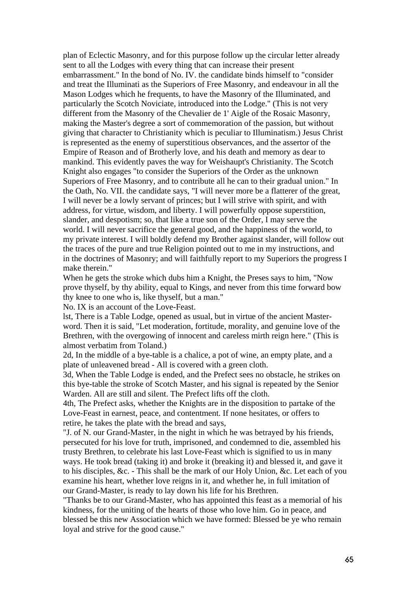plan of Eclectic Masonry, and for this purpose follow up the circular letter already sent to all the Lodges with every thing that can increase their present embarrassment." In the bond of No. IV. the candidate binds himself to "consider and treat the Illuminati as the Superiors of Free Masonry, and endeavour in all the Mason Lodges which he frequents, to have the Masonry of the Illuminated, and particularly the Scotch Noviciate, introduced into the Lodge." (This is not very different from the Masonry of the Chevalier de 1' Aigle of the Rosaic Masonry, making the Master's degree a sort of commemoration of the passion, but without giving that character to Christianity which is peculiar to Illuminatism.) Jesus Christ is represented as the enemy of superstitious observances, and the assertor of the Empire of Reason and of Brotherly love, and his death and memory as dear to mankind. This evidently paves the way for Weishaupt's Christianity. The Scotch Knight also engages "to consider the Superiors of the Order as the unknown Superiors of Free Masonry, and to contribute all he can to their gradual union." In the Oath, No. VII. the candidate says, "I will never more be a flatterer of the great, I will never be a lowly servant of princes; but I will strive with spirit, and with address, for virtue, wisdom, and liberty. I will powerfully oppose superstition, slander, and despotism; so, that like a true son of the Order, I may serve the world. I will never sacrifice the general good, and the happiness of the world, to my private interest. I will boldly defend my Brother against slander, will follow out the traces of the pure and true Religion pointed out to me in my instructions, and in the doctrines of Masonry; and will faithfully report to my Superiors the progress I make therein."

When he gets the stroke which dubs him a Knight, the Preses says to him, "Now prove thyself, by thy ability, equal to Kings, and never from this time forward bow thy knee to one who is, like thyself, but a man."

No. IX is an account of the Love-Feast.

lst, There is a Table Lodge, opened as usual, but in virtue of the ancient Masterword. Then it is said, "Let moderation, fortitude, morality, and genuine love of the Brethren, with the overgowing of innocent and careless mirth reign here." (This is almost verbatim from Toland.)

2d, In the middle of a bye-table is a chalice, a pot of wine, an empty plate, and a plate of unleavened bread - All is covered with a green cloth.

3d, When the Table Lodge is ended, and the Prefect sees no obstacle, he strikes on this bye-table the stroke of Scotch Master, and his signal is repeated by the Senior Warden. All are still and silent. The Prefect lifts off the cloth.

4th, The Prefect asks, whether the Knights are in the disposition to partake of the Love-Feast in earnest, peace, and contentment. If none hesitates, or offers to retire, he takes the plate with the bread and says,

"J. of N. our Grand-Master, in the night in which he was betrayed by his friends, persecuted for his love for truth, imprisoned, and condemned to die, assembled his trusty Brethren, to celebrate his last Love-Feast which is signified to us in many ways. He took bread (taking it) and broke it (breaking it) and blessed it, and gave it to his disciples, &c. - This shall be the mark of our Holy Union, &c. Let each of you examine his heart, whether love reigns in it, and whether he, in full imitation of our Grand-Master, is ready to lay down his life for his Brethren.

"Thanks be to our Grand-Master, who has appointed this feast as a memorial of his kindness, for the uniting of the hearts of those who love him. Go in peace, and blessed be this new Association which we have formed: Blessed be ye who remain loyal and strive for the good cause."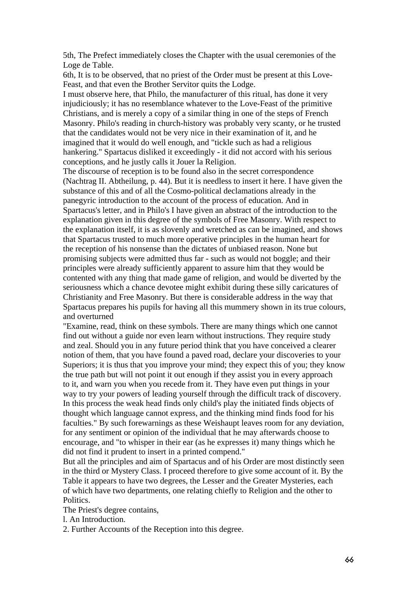5th, The Prefect immediately closes the Chapter with the usual ceremonies of the Loge de Table.

6th, It is to be observed, that no priest of the Order must be present at this Love-Feast, and that even the Brother Servitor quits the Lodge.

I must observe here, that Philo, the manufacturer of this ritual, has done it very injudiciously; it has no resemblance whatever to the Love-Feast of the primitive Christians, and is merely a copy of a similar thing in one of the steps of French Masonry. Philo's reading in church-history was probably very scanty, or he trusted that the candidates would not be very nice in their examination of it, and he imagined that it would do well enough, and "tickle such as had a religious hankering." Spartacus disliked it exceedingly - it did not accord with his serious conceptions, and he justly calls it Jouer la Religion.

The discourse of reception is to be found also in the secret correspondence (Nachtrag II. Abtheilung, p. 44). But it is needless to insert it here. I have given the substance of this and of all the Cosmo-political declamations already in the panegyric introduction to the account of the process of education. And in Spartacus's letter, and in Philo's I have given an abstract of the introduction to the explanation given in this degree of the symbols of Free Masonry. With respect to the explanation itself, it is as slovenly and wretched as can be imagined, and shows that Spartacus trusted to much more operative principles in the human heart for the reception of his nonsense than the dictates of unbiased reason. None but promising subjects were admitted thus far - such as would not boggle; and their principles were already sufficiently apparent to assure him that they would be contented with any thing that made game of religion, and would be diverted by the seriousness which a chance devotee might exhibit during these silly caricatures of Christianity and Free Masonry. But there is considerable address in the way that Spartacus prepares his pupils for having all this mummery shown in its true colours, and overturned

"Examine, read, think on these symbols. There are many things which one cannot find out without a guide nor even learn without instructions. They require study and zeal. Should you in any future period think that you have conceived a clearer notion of them, that you have found a paved road, declare your discoveries to your Superiors; it is thus that you improve your mind; they expect this of you; they know the true path but will not point it out enough if they assist you in every approach to it, and warn you when you recede from it. They have even put things in your way to try your powers of leading yourself through the difficult track of discovery. In this process the weak head finds only child's play the initiated finds objects of thought which language cannot express, and the thinking mind finds food for his faculties." By such forewarnings as these Weishaupt leaves room for any deviation, for any sentiment or opinion of the individual that he may afterwards choose to encourage, and "to whisper in their ear (as he expresses it) many things which he did not find it prudent to insert in a printed compend."

But all the principles and aim of Spartacus and of his Order are most distinctly seen in the third or Mystery Class. I proceed therefore to give some account of it. By the Table it appears to have two degrees, the Lesser and the Greater Mysteries, each of which have two departments, one relating chiefly to Religion and the other to Politics.

The Priest's degree contains,

l. An Introduction.

2. Further Accounts of the Reception into this degree.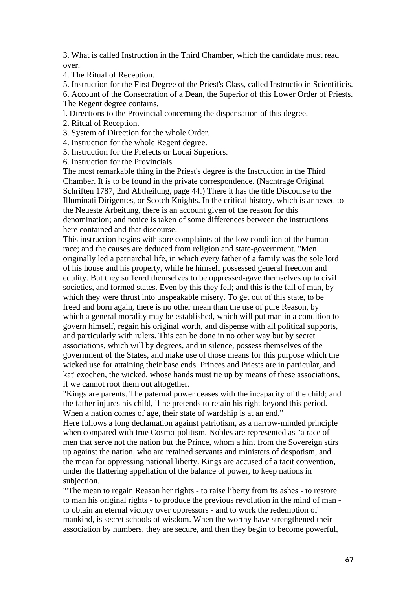3. What is called Instruction in the Third Chamber, which the candidate must read over.

4. The Ritual of Reception.

5. Instruction for the First Degree of the Priest's Class, called Instructio in Scientificis.

6. Account of the Consecration of a Dean, the Superior of this Lower Order of Priests. The Regent degree contains,

l. Directions to the Provincial concerning the dispensation of this degree.

2. Ritual of Reception.

3. System of Direction for the whole Order.

4. Instruction for the whole Regent degree.

5. Instruction for the Prefects or Locai Superiors.

6. Instruction for the Provincials.

The most remarkable thing in the Priest's degree is the Instruction in the Third Chamber. It is to be found in the private correspondence. (Nachtrage Original Schriften 1787, 2nd Abtheilung, page 44.) There it has the title Discourse to the Illuminati Dirigentes, or Scotch Knights. In the critical history, which is annexed to the Neueste Arbeitung, there is an account given of the reason for this denomination; and notice is taken of some differences between the instructions here contained and that discourse.

This instruction begins with sore complaints of the low condition of the human race; and the causes are deduced from religion and state-government. "Men originally led a patriarchal life, in which every father of a family was the sole lord of his house and his property, while he himself possessed general freedom and equlity. But they suffered themselves to be oppressed-gave themselves up ta civil societies, and formed states. Even by this they fell; and this is the fall of man, by which they were thrust into unspeakable misery. To get out of this state, to be freed and born again, there is no other mean than the use of pure Reason, by which a general morality may be established, which will put man in a condition to govern himself, regain his original worth, and dispense with all political supports, and particularly with rulers. This can be done in no other way but by secret associations, which will by degrees, and in silence, possess themselves of the government of the States, and make use of those means for this purpose which the wicked use for attaining their base ends. Princes and Priests are in particular, and kat' exochen, the wicked, whose hands must tie up by means of these associations, if we cannot root them out altogether.

"Kings are parents. The paternal power ceases with the incapacity of the child; and the father injures his child, if he pretends to retain his right beyond this period. When a nation comes of age, their state of wardship is at an end."

Here follows a long declamation against patriotism, as a narrow-minded principle when compared with true Cosmo-politism. Nobles are represented as "a race of men that serve not the nation but the Prince, whom a hint from the Sovereign stirs up against the nation, who are retained servants and ministers of despotism, and the mean for oppressing national liberty. Kings are accused of a tacit convention, under the flattering appellation of the balance of power, to keep nations in subjection.

"'The mean to regain Reason her rights - to raise liberty from its ashes - to restore to man his original rights - to produce the previous revolution in the mind of man to obtain an eternal victory over oppressors - and to work the redemption of mankind, is secret schools of wisdom. When the worthy have strengthened their association by numbers, they are secure, and then they begin to become powerful,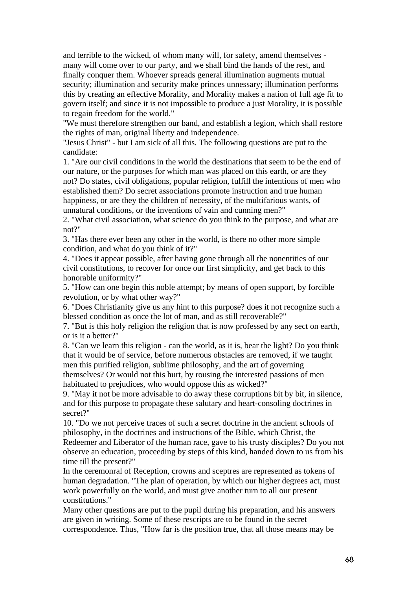and terrible to the wicked, of whom many will, for safety, amend themselves many will come over to our party, and we shall bind the hands of the rest, and finally conquer them. Whoever spreads general illumination augments mutual security; illumination and security make princes unnessary; illumination performs this by creating an effective Morality, and Morality makes a nation of full age fit to govern itself; and since it is not impossible to produce a just Morality, it is possible to regain freedom for the world."

"We must therefore strengthen our band, and establish a legion, which shall restore the rights of man, original liberty and independence.

"Jesus Christ" - but I am sick of all this. The following questions are put to the candidate:

1. "Are our civil conditions in the world the destinations that seem to be the end of our nature, or the purposes for which man was placed on this earth, or are they not? Do states, civil obligations, popular religion, fulfill the intentions of men who established them? Do secret associations promote instruction and true human happiness, or are they the children of necessity, of the multifarious wants, of unnatural conditions, or the inventions of vain and cunning men?"

2. "What civil association, what science do you think to the purpose, and what are not?"

3. "Has there ever been any other in the world, is there no other more simple condition, and what do you think of it?"

4. "Does it appear possible, after having gone through all the nonentities of our civil constitutions, to recover for once our first simplicity, and get back to this honorable uniformity?"

5. "How can one begin this noble attempt; by means of open support, by forcible revolution, or by what other way?"

6. "Does Christianity give us any hint to this purpose? does it not recognize such a blessed condition as once the lot of man, and as still recoverable?"

7. "But is this holy religion the religion that is now professed by any sect on earth, or is it a better?"

8. "Can we learn this religion - can the world, as it is, bear the light? Do you think that it would be of service, before numerous obstacles are removed, if we taught men this purified religion, sublime philosophy, and the art of governing themselves? Or would not this hurt, by rousing the interested passions of men habituated to prejudices, who would oppose this as wicked?"

9. "May it not be more advisable to do away these corruptions bit by bit, in silence, and for this purpose to propagate these salutary and heart-consoling doctrines in secret?"

10. "Do we not perceive traces of such a secret doctrine in the ancient schools of philosophy, in the doctrines and instructions of the Bible, which Christ, the Redeemer and Liberator of the human race, gave to his trusty disciples? Do you not observe an education, proceeding by steps of this kind, handed down to us from his time till the present?"

In the ceremonral of Reception, crowns and sceptres are represented as tokens of human degradation. "The plan of operation, by which our higher degrees act, must work powerfully on the world, and must give another turn to all our present constitutions."

Many other questions are put to the pupil during his preparation, and his answers are given in writing. Some of these rescripts are to be found in the secret correspondence. Thus, "How far is the position true, that all those means may be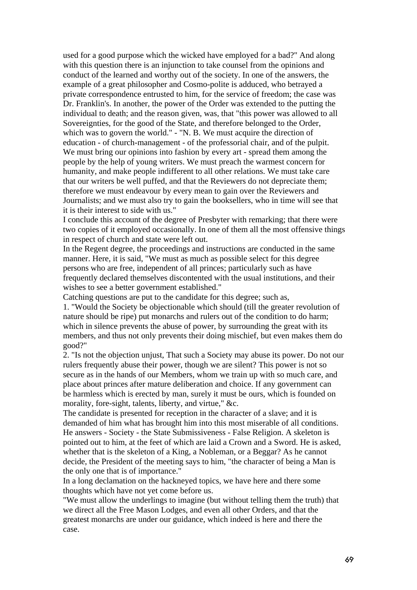used for a good purpose which the wicked have employed for a bad?" And along with this question there is an injunction to take counsel from the opinions and conduct of the learned and worthy out of the society. In one of the answers, the example of a great philosopher and Cosmo-polite is adduced, who betrayed a private correspondence entrusted to him, for the service of freedom; the case was Dr. Franklin's. In another, the power of the Order was extended to the putting the individual to death; and the reason given, was, that "this power was allowed to all Sovereignties, for the good of the State, and therefore belonged to the Order, which was to govern the world." - "N. B. We must acquire the direction of education - of church-management - of the professorial chair, and of the pulpit. We must bring our opinions into fashion by every art - spread them among the people by the help of young writers. We must preach the warmest concern for humanity, and make people indifferent to all other relations. We must take care that our writers be well puffed, and that the Reviewers do not depreciate them; therefore we must endeavour by every mean to gain over the Reviewers and Journalists; and we must also try to gain the booksellers, who in time will see that it is their interest to side with us."

I conclude this account of the degree of Presbyter with remarking; that there were two copies of it employed occasionally. In one of them all the most offensive things in respect of church and state were left out.

In the Regent degree, the proceedings and instructions are conducted in the same manner. Here, it is said, "We must as much as possible select for this degree persons who are free, independent of all princes; particularly such as have frequently declared themselves discontented with the usual institutions, and their wishes to see a better government established."

Catching questions are put to the candidate for this degree; such as,

1. "Would the Society be objectionable which should (till the greater revolution of nature should be ripe) put monarchs and rulers out of the condition to do harm; which in silence prevents the abuse of power, by surrounding the great with its members, and thus not only prevents their doing mischief, but even makes them do good?"

2. "Is not the objection unjust, That such a Society may abuse its power. Do not our rulers frequently abuse their power, though we are silent? This power is not so secure as in the hands of our Members, whom we train up with so much care, and place about princes after mature deliberation and choice. If any government can be harmless which is erected by man, surely it must be ours, which is founded on morality, fore-sight, talents, liberty, and virtue," &c.

The candidate is presented for reception in the character of a slave; and it is demanded of him what has brought him into this most miserable of all conditions. He answers - Society - the State Submissiveness - False Religion. A skeleton is pointed out to him, at the feet of which are laid a Crown and a Sword. He is asked, whether that is the skeleton of a King, a Nobleman, or a Beggar? As he cannot decide, the President of the meeting says to him, "the character of being a Man is the only one that is of importance."

In a long declamation on the hackneyed topics, we have here and there some thoughts which have not yet come before us.

"We must allow the underlings to imagine (but without telling them the truth) that we direct all the Free Mason Lodges, and even all other Orders, and that the greatest monarchs are under our guidance, which indeed is here and there the case.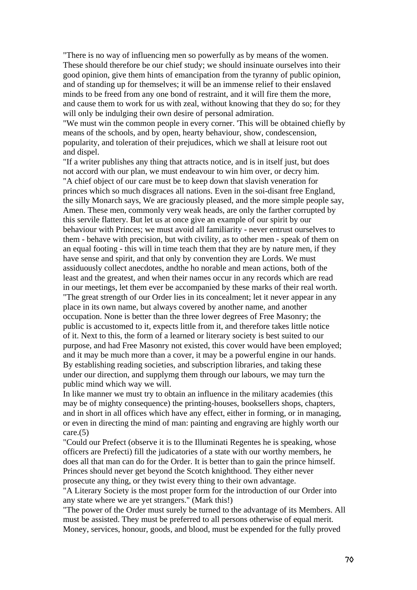"There is no way of influencing men so powerfully as by means of the women. These should therefore be our chief study; we should insinuate ourselves into their good opinion, give them hints of emancipation from the tyranny of public opinion, and of standing up for themselves; it will be an immense relief to their enslaved minds to be freed from any one bond of restraint, and it will fire them the more, and cause them to work for us with zeal, without knowing that they do so; for they will only be indulging their own desire of personal admiration.

"We must win the common people in every corner. 'This will be obtained chiefly by means of the schools, and by open, hearty behaviour, show, condescension, popularity, and toleration of their prejudices, which we shall at leisure root out and dispel.

"If a writer publishes any thing that attracts notice, and is in itself just, but does not accord with our plan, we must endeavour to win him over, or decry him. "A chief object of our care must be to keep down that slavish veneration for princes which so much disgraces all nations. Even in the soi-disant free England, the silly Monarch says, We are graciously pleased, and the more simple people say, Amen. These men, commonly very weak heads, are only the farther corrupted by this servile flattery. But let us at once give an example of our spirit by our behaviour with Princes; we must avoid all familiarity - never entrust ourselves to them - behave with precision, but with civility, as to other men - speak of them on an equal footing - this will in time teach them that they are by nature men, if they have sense and spirit, and that only by convention they are Lords. We must assiduously collect anecdotes, andthe ho norable and mean actions, both of the least and the greatest, and when their names occur in any records which are read in our meetings, let them ever be accompanied by these marks of their real worth. "The great strength of our Order lies in its concealment; let it never appear in any place in its own name, but always covered by another name, and another occupation. None is better than the three lower degrees of Free Masonry; the public is accustomed to it, expects little from it, and therefore takes little notice of it. Next to this, the form of a learned or literary society is best suited to our purpose, and had Free Masonry not existed, this cover would have been employed; and it may be much more than a cover, it may be a powerful engine in our hands. By establishing reading societies, and subscription libraries, and taking these under our direction, and supplymg them through our labours, we may turn the public mind which way we will.

In like manner we must try to obtain an influence in the military academies (this may be of mighty consequence) the printing-houses, booksellers shops, chapters, and in short in all offices which have any effect, either in forming, or in managing, or even in directing the mind of man: painting and engraving are highly worth our  $care.(5)$ 

"Could our Prefect (observe it is to the Illuminati Regentes he is speaking, whose officers are Prefecti) fill the judicatories of a state with our worthy members, he does all that man can do for the Order. It is better than to gain the prince himself. Princes should never get beyond the Scotch knighthood. They either never prosecute any thing, or they twist every thing to their own advantage.

"A Literary Society is the most proper form for the introduction of our Order into any state where we are yet strangers." (Mark this!)

"The power of the Order must surely be turned to the advantage of its Members. All must be assisted. They must be preferred to all persons otherwise of equal merit. Money, services, honour, goods, and blood, must be expended for the fully proved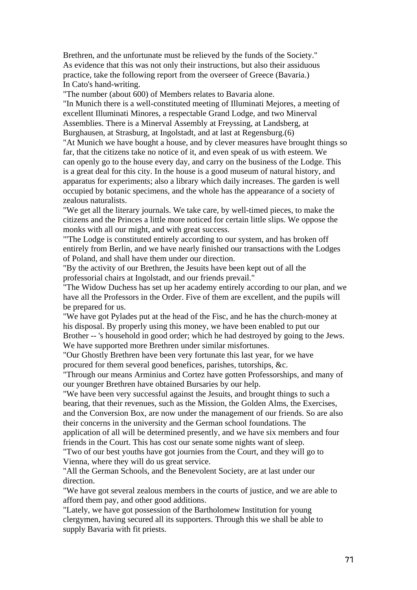Brethren, and the unfortunate must be relieved by the funds of the Society." As evidence that this was not only their instructions, but also their assiduous practice, take the following report from the overseer of Greece (Bavaria.) In Cato's hand-writing.

"The number (about 600) of Members relates to Bavaria alone.

"In Munich there is a well-constituted meeting of Illuminati Mejores, a meeting of excellent Illuminati Minores, a respectable Grand Lodge, and two Minerval Assemblies. There is a Minerval Assembly at Freyssing, at Landsberg, at Burghausen, at Strasburg, at Ingolstadt, and at last at Regensburg.(6)

"At Munich we have bought a house, and by clever measures have brought things so far, that the citizens take no notice of it, and even speak of us with esteem. We can openly go to the house every day, and carry on the business of the Lodge. This is a great deal for this city. In the house is a good museum of natural history, and apparatus for experiments; also a library which daily increases. The garden is well occupied by botanic specimens, and the whole has the appearance of a society of zealous naturalists.

"We get all the literary journals. We take care, by well-timed pieces, to make the citizens and the Princes a little more noticed for certain little slips. We oppose the monks with all our might, and with great success.

"'The Lodge is constituted entirely according to our system, and has broken off entirely from Berlin, and we have nearly finished our transactions with the Lodges of Poland, and shall have them under our direction.

"By the activity of our Brethren, the Jesuits have been kept out of all the professorial chairs at Ingolstadt, and our friends prevail."

"The Widow Duchess has set up her academy entirely according to our plan, and we have all the Professors in the Order. Five of them are excellent, and the pupils will be prepared for us.

"We have got Pylades put at the head of the Fisc, and he has the church-money at his disposal. By properly using this money, we have been enabled to put our Brother -- 's household in good order; which he had destroyed by going to the Jews. We have supported more Brethren under similar misfortunes.

"Our Ghostly Brethren have been very fortunate this last year, for we have procured for them several good benefices, parishes, tutorships, &c.

"Through our means Arminius and Cortez have gotten Professorships, and many of our younger Brethren have obtained Bursaries by our help.

"We have been very successful against the Jesuits, and brought things to such a bearing, that their revenues, such as the Mission, the Golden Alms, the Exercises, and the Conversion Box, are now under the management of our friends. So are also their concerns in the university and the German school foundations. The application of all will be determined presently, and we have six members and four friends in the Court. This has cost our senate some nights want of sleep.

"Two of our best youths have got journies from the Court, and they will go to Vienna, where they will do us great service.

"All the German Schools, and the Benevolent Society, are at last under our direction.

"We have got several zealous members in the courts of justice, and we are able to afford them pay, and other good additions.

"Lately, we have got possession of the Bartholomew Institution for young clergymen, having secured all its supporters. Through this we shall be able to supply Bavaria with fit priests.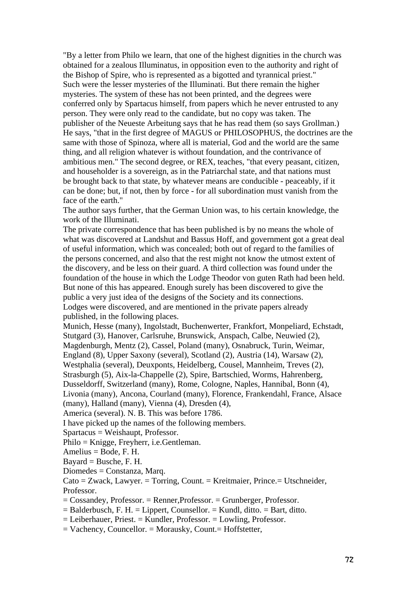"By a letter from Philo we learn, that one of the highest dignities in the church was obtained for a zealous Illuminatus, in opposition even to the authority and right of the Bishop of Spire, who is represented as a bigotted and tyrannical priest." Such were the lesser mysteries of the Illuminati. But there remain the higher mysteries. The system of these has not been printed, and the degrees were conferred only by Spartacus himself, from papers which he never entrusted to any person. They were only read to the candidate, but no copy was taken. The publisher of the Neueste Arbeitung says that he has read them (so says Grollman.) He says, "that in the first degree of MAGUS or PHILOSOPHUS, the doctrines are the same with those of Spinoza, where all is material, God and the world are the same thing, and all religion whatever is without foundation, and the contrivance of ambitious men." The second degree, or REX, teaches, "that every peasant, citizen, and householder is a sovereign, as in the Patriarchal state, and that nations must be brought back to that state, by whatever means are conducible - peaceably, if it can be done; but, if not, then by force - for all subordination must vanish from the face of the earth."

The author says further, that the German Union was, to his certain knowledge, the work of the Illuminati.

The private correspondence that has been published is by no means the whole of what was discovered at Landshut and Bassus Hoff, and government got a great deal of useful information, which was concealed; both out of regard to the families of the persons concerned, and also that the rest might not know the utmost extent of the discovery, and be less on their guard. A third collection was found under the foundation of the house in which the Lodge Theodor von guten Rath had been held. But none of this has appeared. Enough surely has been discovered to give the public a very just idea of the designs of the Society and its connections. Lodges were discovered, and are mentioned in the private papers already published, in the following places.

Munich, Hesse (many), Ingolstadt, Buchenwerter, Frankfort, Monpeliard, Echstadt, Stutgard (3), Hanover, Carlsruhe, Brunswick, Anspach, Calbe, Neuwied (2), Magdenburgh, Mentz (2), Cassel, Poland (many), Osnabruck, Turin, Weimar, England (8), Upper Saxony (several), Scotland (2), Austria (14), Warsaw (2),

Westphalia (several), Deuxponts, Heidelberg, Cousel, Mannheim, Treves (2),

Strasburgh (5), Aix-la-Chappelle (2), Spire, Bartschied, Worms, Hahrenberg,

Dusseldorff, Switzerland (many), Rome, Cologne, Naples, Hannibal, Bonn (4),

Livonia (many), Ancona, Courland (many), Florence, Frankendahl, France, Alsace

(many), Halland (many), Vienna (4), Dresden (4),

America (several). N. B. This was before 1786.

I have picked up the names of the following members.

Spartacus = Weishaupt, Professor.

Philo = Knigge, Freyherr, i.e.Gentleman.

$$
Amelius = Bode, F. H.
$$

Bayard = Busche, F. H.

Diomedes = Constanza, Marq.

Cato = Zwack, Lawyer. = Torring, Count. = Kreitmaier, Prince.= Utschneider, Professor.

= Cossandey, Professor. = Renner,Professor. = Grunberger, Professor.

 $=$  Balderbusch, F. H.  $=$  Lippert, Counsellor.  $=$  Kundl, ditto.  $=$  Bart, ditto.

= Leiberhauer, Priest. = Kundler, Professor. = Lowling, Professor.

= Vachency, Councellor. = Morausky, Count.= Hoffstetter,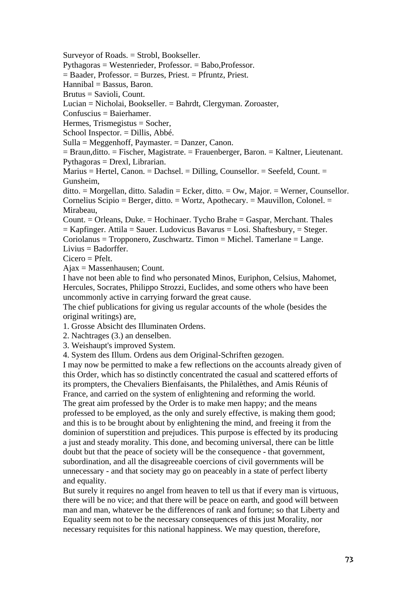Surveyor of Roads. = Strobl, Bookseller.

Pythagoras = Westenrieder, Professor. = Babo,Professor.

= Baader, Professor. = Burzes, Priest. = Pfruntz, Priest.

 $Hannibal = Bassus$ , Baron.

Brutus = Savioli, Count.

Lucian = Nicholai, Bookseller. = Bahrdt, Clergyman. Zoroaster,

Confuscius = Baierhamer.

Hermes, Trismegistus = Socher,

School Inspector. = Dillis, Abbé.

Sulla = Meggenhoff, Paymaster. = Danzer, Canon.

= Braun,ditto. = Fischer, Magistrate. = Frauenberger, Baron. = Kaltner, Lieutenant. Pythagoras = Drexl, Librarian.

Marius = Hertel, Canon. = Dachsel. = Dilling, Counsellor. = Seefeld, Count. = Gunsheim,

ditto. = Morgellan, ditto. Saladin = Ecker, ditto. = Ow, Major. = Werner, Counsellor. Cornelius Scipio = Berger, ditto. = Wortz, Apothecary. = Mauvillon, Colonel. = Mirabeau,

Count. = Orleans, Duke. = Hochinaer. Tycho Brahe = Gaspar, Merchant. Thales  $=$  Kapfinger. Attila  $=$  Sauer. Ludovicus Bavarus  $=$  Losi. Shaftesbury,  $=$  Steger.

Coriolanus = Tropponero, Zuschwartz. Timon = Michel. Tamerlane = Lange. Livius = Badorffer.

 $Cicero = Pfelt$ 

Ajax = Massenhausen; Count.

I have not been able to find who personated Minos, Euriphon, Celsius, Mahomet, Hercules, Socrates, Philippo Strozzi, Euclides, and some others who have been uncommonly active in carrying forward the great cause.

The chief publications for giving us regular accounts of the whole (besides the original writings) are,

1. Grosse Absicht des Illuminaten Ordens.

2. Nachtrages (3.) an denselben.

3. Weishaupt's improved System.

4. System des Illum. Ordens aus dem Original-Schriften gezogen.

I may now be permitted to make a few reflections on the accounts already given of this Order, which has so distinctly concentrated the casual and scattered efforts of its prompters, the Chevaliers Bienfaisants, the Philalèthes, and Amis Réunis of France, and carried on the system of enlightening and reforming the world. The great aim professed by the Order is to make men happy; and the means professed to be employed, as the only and surely effective, is making them good; and this is to be brought about by enlightening the mind, and freeing it from the dominion of superstition and prejudices. This purpose is effected by its producing a just and steady morality. This done, and becoming universal, there can be little doubt but that the peace of society will be the consequence - that government, subordination, and all the disagreeable coercions of civil governments will be unnecessary - and that society may go on peaceably in a state of perfect liberty and equality.

But surely it requires no angel from heaven to tell us that if every man is virtuous, there will be no vice; and that there will be peace on earth, and good will between man and man, whatever be the differences of rank and fortune; so that Liberty and Equality seem not to be the necessary consequences of this just Morality, nor necessary requisites for this national happiness. We may question, therefore,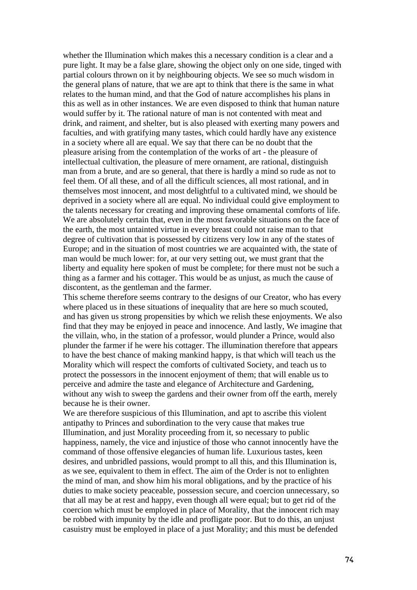whether the Illumination which makes this a necessary condition is a clear and a pure light. It may be a false glare, showing the object only on one side, tinged with partial colours thrown on it by neighbouring objects. We see so much wisdom in the general plans of nature, that we are apt to think that there is the same in what relates to the human mind, and that the God of nature accomplishes his plans in this as well as in other instances. We are even disposed to think that human nature would suffer by it. The rational nature of man is not contented with meat and drink, and raiment, and shelter, but is also pleased with exerting many powers and faculties, and with gratifying many tastes, which could hardly have any existence in a society where all are equal. We say that there can be no doubt that the pleasure arising from the contemplation of the works of art - the pleasure of intellectual cultivation, the pleasure of mere ornament, are rational, distinguish man from a brute, and are so general, that there is hardly a mind so rude as not to feel them. Of all these, and of all the difficult sciences, all most rational, and in themselves most innocent, and most delightful to a cultivated mind, we should be deprived in a society where all are equal. No individual could give employment to the talents necessary for creating and improving these ornamental comforts of life. We are absolutely certain that, even in the most favorable situations on the face of the earth, the most untainted virtue in every breast could not raise man to that degree of cultivation that is possessed by citizens very low in any of the states of Europe; and in the situation of most countries we are acquainted with, the state of man would be much lower: for, at our very setting out, we must grant that the liberty and equality here spoken of must be complete; for there must not be such a thing as a farmer and his cottager. This would be as unjust, as much the cause of discontent, as the gentleman and the farmer.

This scheme therefore seems contrary to the designs of our Creator, who has every where placed us in these situations of inequality that are here so much scouted, and has given us strong propensities by which we relish these enjoyments. We also find that they may be enjoyed in peace and innocence. And lastly, We imagine that the villain, who, in the station of a professor, would plunder a Prince, would also plunder the farmer if he were his cottager. The illumination therefore that appears to have the best chance of making mankind happy, is that which will teach us the Morality which will respect the comforts of cultivated Society, and teach us to protect the possessors in the innocent enjoyment of them; that will enable us to perceive and admire the taste and elegance of Architecture and Gardening, without any wish to sweep the gardens and their owner from off the earth, merely because he is their owner.

We are therefore suspicious of this Illumination, and apt to ascribe this violent antipathy to Princes and subordination to the very cause that makes true Illumination, and just Morality proceeding from it, so necessary to public happiness, namely, the vice and injustice of those who cannot innocently have the command of those offensive elegancies of human life. Luxurious tastes, keen desires, and unbridled passions, would prompt to all this, and this Illumination is, as we see, equivalent to them in effect. The aim of the Order is not to enlighten the mind of man, and show him his moral obligations, and by the practice of his duties to make society peaceable, possession secure, and coercion unnecessary, so that all may be at rest and happy, even though all were equal; but to get rid of the coercion which must be employed in place of Morality, that the innocent rich may be robbed with impunity by the idle and profligate poor. But to do this, an unjust casuistry must be employed in place of a just Morality; and this must be defended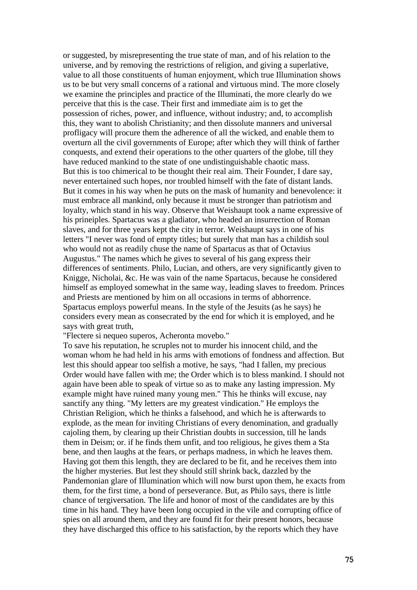or suggested, by misrepresenting the true state of man, and of his relation to the universe, and by removing the restrictions of religion, and giving a superlative, value to all those constituents of human enjoyment, which true Illumination shows us to be but very small concerns of a rational and virtuous mind. The more closely we examine the principles and practice of the Illuminati, the more clearly do we perceive that this is the case. Their first and immediate aim is to get the possession of riches, power, and influence, without industry; and, to accomplish this, they want to abolish Christianity; and then dissolute manners and universal profligacy will procure them the adherence of all the wicked, and enable them to overturn all the civil governments of Europe; after which they will think of farther conquests, and extend their operations to the other quarters of the globe, till they have reduced mankind to the state of one undistinguishable chaotic mass. But this is too chimerical to be thought their real aim. Their Founder, I dare say, never entertained such hopes, nor troubled himself with the fate of distant lands. But it comes in his way when he puts on the mask of humanity and benevolence: it must embrace all mankind, only because it must be stronger than patriotism and loyalty, which stand in his way. Observe that Weishaupt took a name expressive of his prineiples. Spartacus was a gladiator, who headed an insurrection of Roman slaves, and for three years kept the city in terror. Weishaupt says in one of his letters "I never was fond of empty titles; but surely that man has a childish soul who would not as readily chuse the name of Spartacus as that of Octavius Augustus." The names which he gives to several of his gang express their differences of sentiments. Philo, Lucian, and others, are very significantly given to Knigge, Nicholai, &c. He was vain of the name Spartacus, because he considered himself as employed somewhat in the same way, leading slaves to freedom. Princes and Priests are mentioned by him on all occasions in terms of abhorrence. Spartacus employs powerful means. In the style of the Jesuits (as he says) he considers every mean as consecrated by the end for which it is employed, and he says with great truth,

"Flectere si nequeo superos, Acheronta movebo."

To save his reputation, he scruples not to murder his innocent child, and the woman whom he had held in his arms with emotions of fondness and affection. But lest this should appear too selfish a motive, he says, "had I fallen, my precious Order would have fallen with me; the Order which is to bless mankind. I should not again have been able to speak of virtue so as to make any lasting impression. My example might have ruined many young men." This he thinks will excuse, nay sanctify any thing. "My letters are my greatest vindication." He employs the Christian Religion, which he thinks a falsehood, and which he is afterwards to explode, as the mean for inviting Christians of every denomination, and gradually cajoling them, by clearing up their Christian doubts in succession, till he lands them in Deism; or. if he finds them unfit, and too religious, he gives them a Sta bene, and then laughs at the fears, or perhaps madness, in which he leaves them. Having got them this length, they are declared to be fit, and he receives them into the higher mysteries. But lest they should still shrink back, dazzled by the Pandemonian glare of Illumination which will now burst upon them, he exacts from them, for the first time, a bond of perseverance. But, as Philo says, there is little chance of tergiversation. The life and honor of most of the candidates are by this time in his hand. They have been long occupied in the vile and corrupting office of spies on all around them, and they are found fit for their present honors, because they have discharged this office to his satisfaction, by the reports which they have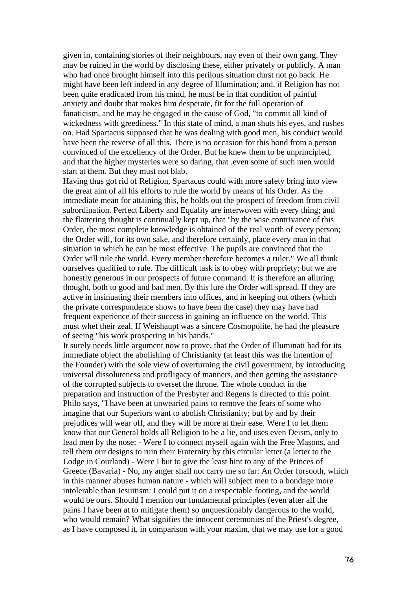given in, containing stories of their neighbours, nay even of their own gang. They may be ruined in the world by disclosing these, either privately or publicly. A man who had once brought himself into this perilous situation durst not go back. He might have been left indeed in any degree of Illumination; and, if Religion has not been quite eradicated from his mind, he must be in that condition of painful anxiety and doubt that makes him desperate, fit for the full operation of fanaticism, and he may be engaged in the cause of God, "to commit all kind of wickedness with greediness." In this state of mind, a man shuts his eyes, and rushes on. Had Spartacus supposed that he was dealing with good men, his conduct would have been the reverse of all this. There is no occasion for this bond from a person convinced of the excellency of the Order. But he knew them to be unprincipled, and that the higher mysteries were so daring, that .even some of such men would start at them. But they must not blab.

Having thus got rid of Religion, Spartacus could with more safety bring into view the great aim of all his efforts to rule the world by means of his Order. As the immediate mean for attaining this, he holds out the prospect of freedom from civil subordination. Perfect Liberty and Equality are interwoven with every thing; and the flattering thought is continually kept up, that "by the wise contrivance of this Order, the most complete knowledge is obtained of the real worth of every person; the Order will, for its own sake, and therefore certainly, place every man in that situation in which he can be most effective. The pupils are convinced that the Order will rule the world. Every member therefore becomes a ruler." We all think ourselves qualified to rule. The difficult task is to obey with propriety; but we are honestly generous in our prospects of future command. It is therefore an alluring thought, both to good and bad men. By this lure the Order will spread. If they are active in insinuating their members into offices, and in keeping out others (which the private correspondence shows to have been the case) they may have had frequent experience of their success in gaining an influence on the world. This must whet their zeal. If Weishaupt was a sincere Cosmopolite, he had the pleasure of seeing "his work prospering in his hands."

It surely needs little argument now to prove, that the Order of Illuminati had for its immediate object the abolishing of Christianity (at least this was the intention of the Founder) with the sole view of overturning the civil government, by introducing universal dissoluteness and profligacy of manners, and then getting the assistance of the corrupted subjects to overset the throne. The whole conduct in the preparation and instruction of the Presbyter and Regens is directed to this point. Philo says, "I have been at unwearied pains to remove the fears of some who imagine that our Superiors want to abolish Christianity; but by and by their prejudices will wear off, and they will be more at their ease. Were I to let them know that our General holds all Religion to be a lie, and uses even Deism, only to lead men by the nose: - Were I to connect myself again with the Free Masons, and tell them our designs to ruin their Fraternity by this circular letter (a letter to the Lodge in Courland) - Were I but to give the least hint to any of the Princes of Greece (Bavaria) - No, my anger shall not carry me so far: An Order forsooth, which in this manner abuses human nature - which will subject men to a bondage more intolerable than Jesuitism: I could put it on a respectable footing, and the world would be ours. Should I mention our fundamental principles (even after alI the pains I have been at to mitigate them) so unquestionably dangerous to the world, who would remain? What signifies the innocent ceremonies of the Priest's degree, as I have composed it, in comparison with your maxim, that we may use for a good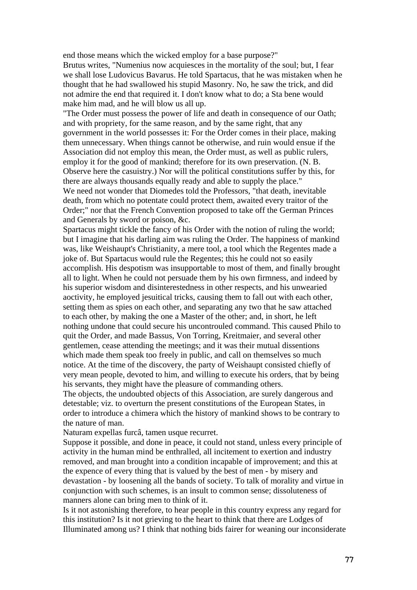end those means which the wicked employ for a base purpose?" Brutus writes, "Numenius now acquiesces in the mortality of the soul; but, I fear we shall lose Ludovicus Bavarus. He told Spartacus, that he was mistaken when he thought that he had swallowed his stupid Masonry. No, he saw the trick, and did not admire the end that required it. I don't know what to do; a Sta bene would make him mad, and he will blow us all up.

"The Order must possess the power of life and death in consequence of our Oath; and with propriety, for the same reason, and by the same right, that any government in the world possesses it: For the Order comes in their place, making them unnecessary. When things cannot be otherwise, and ruin would ensue if the Association did not employ this mean, the Order must, as well as public rulers, employ it for the good of mankind; therefore for its own preservation. (N. B. Observe here the casuistry.) Nor will the political constitutions suffer by this, for there are always thousands equally ready and able to supply the place." We need not wonder that Diomedes told the Professors, "that death, inevitable death, from which no potentate could protect them, awaited every traitor of the Order;" nor that the French Convention proposed to take off the German Princes and Generals by sword or poison, &c.

Spartacus might tickle the fancy of his Order with the notion of ruling the world; but I imagine that his darling aim was ruling the Order. The happiness of mankind was, like Weishaupt's Christianity, a mere tool, a tool which the Regentes made a joke of. But Spartacus would rule the Regentes; this he could not so easily accomplish. His despotism was insupportable to most of them, and finally brought all to light. When he could not persuade them by his own firmness, and indeed by his superior wisdom and disinterestedness in other respects, and his unwearied aoctivity, he employed jesuitical tricks, causing them to fall out with each other, setting them as spies on each other, and separating any two that he saw attached to each other, by making the one a Master of the other; and, in short, he left nothing undone that could secure his uncontrouled command. This caused Philo to quit the Order, and made Bassus, Von Torring, Kreitmaier, and several other gentlemen, cease attending the meetings; and it was their mutual dissentions which made them speak too freely in public, and call on themselves so much notice. At the time of the discovery, the party of Weishaupt consisted chiefly of very mean people, devoted to him, and willing to execute his orders, that by being his servants, they might have the pleasure of commanding others.

The objects, the undoubted objects of this Association, are surely dangerous and detestable; viz. to overturn the present constitutions of the European States, in order to introduce a chimera which the history of mankind shows to be contrary to the nature of man.

Naturam expellas furcâ, tamen usque recurret.

Suppose it possible, and done in peace, it could not stand, unless every principle of activity in the human mind be enthralled, all incitement to exertion and industry removed, and man brought into a condition incapable of improvement; and this at the expence of every thing that is valued by the best of men - by misery and devastation - by loosening all the bands of society. To talk of morality and virtue in conjunction with such schemes, is an insult to common sense; dissoluteness of manners alone can bring men to think of it.

Is it not astonishing therefore, to hear people in this country express any regard for this institution? Is it not grieving to the heart to think that there are Lodges of Illuminated among us? I think that nothing bids fairer for weaning our inconsiderate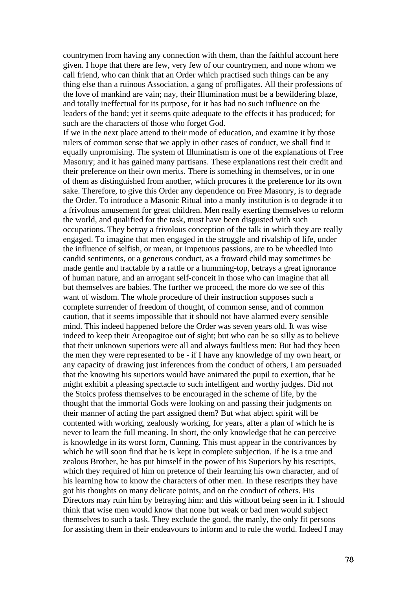countrymen from having any connection with them, than the faithful account here given. I hope that there are few, very few of our countrymen, and none whom we call friend, who can think that an Order which practised such things can be any thing else than a ruinous Association, a gang of profligates. All their professions of the love of mankind are vain; nay, their Illumination must be a bewildering blaze, and totally ineffectual for its purpose, for it has had no such influence on the leaders of the band; yet it seems quite adequate to the effects it has produced; for such are the characters of those who forget God.

If we in the next place attend to their mode of education, and examine it by those rulers of common sense that we apply in other cases of conduct, we shall find it equally unpromising. The system of Illuminatism is one of the explanations of Free Masonry; and it has gained many partisans. These explanations rest their credit and their preference on their own merits. There is something in themselves, or in one of them as distinguished from another, which procures it the preference for its own sake. Therefore, to give this Order any dependence on Free Masonry, is to degrade the Order. To introduce a Masonic Ritual into a manly institution is to degrade it to a frivolous amusement for great children. Men really exerting themselves to reform the world, and qualified for the task, must have been disgusted with such occupations. They betray a frivolous conception of the talk in which they are really engaged. To imagine that men engaged in the struggle and rivalship of life, under the influence of selfish, or mean, or impetuous passions, are to be wheedled into candid sentiments, or a generous conduct, as a froward child may sometimes be made gentle and tractable by a rattle or a humming-top, betrays a great ignorance of human nature, and an arrogant self-conceit in those who can imagine that all but themselves are babies. The further we proceed, the more do we see of this want of wisdom. The whole procedure of their instruction supposes such a complete surrender of freedom of thought, of common sense, and of common caution, that it seems impossible that it should not have alarmed every sensible mind. This indeed happened before the Order was seven years old. It was wise indeed to keep their Areopagitoe out of sight; but who can be so silly as to believe that their unknown superiors were all and always faultless men: But had they been the men they were represented to be - if I have any knowledge of my own heart, or any capacity of drawing just inferences from the conduct of others, I am persuaded that the knowing his superiors would have animated the pupil to exertion, that he might exhibit a pleasing spectacle to such intelligent and worthy judges. Did not the Stoics profess themselves to be encouraged in the scheme of life, by the thought that the immortal Gods were looking on and passing their judgments on their manner of acting the part assigned them? But what abject spirit will be contented with working, zealously working, for years, after a plan of which he is never to learn the full meaning. In short, the only knowledge that he can perceive is knowledge in its worst form, Cunning. This must appear in the contrivances by which he will soon find that he is kept in complete subjection. If he is a true and zealous Brother, he has put himself in the power of his Superiors by his rescripts, which they required of him on pretence of their learning his own character, and of his learning how to know the characters of other men. In these rescripts they have got his thoughts on many delicate points, and on the conduct of others. His Directors may ruin him by betraying him: and this without being seen in it. I should think that wise men would know that none but weak or bad men would subject themselves to such a task. They exclude the good, the manly, the only fit persons for assisting them in their endeavours to inform and to rule the world. Indeed I may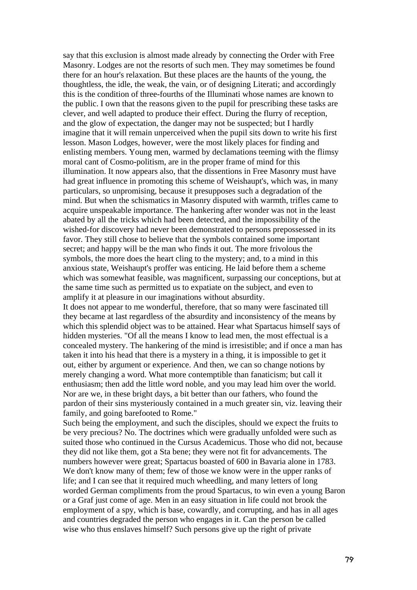say that this exclusion is almost made already by connecting the Order with Free Masonry. Lodges are not the resorts of such men. They may sometimes be found there for an hour's relaxation. But these places are the haunts of the young, the thoughtless, the idle, the weak, the vain, or of designing Literati; and accordingly this is the condition of three-fourths of the Illuminati whose names are known to the public. I own that the reasons given to the pupil for prescribing these tasks are clever, and well adapted to produce their effect. During the flurry of reception, and the glow of expectation, the danger may not be suspected; but I hardly imagine that it will remain unperceived when the pupil sits down to write his first lesson. Mason Lodges, however, were the most likely places for finding and enlisting members. Young men, warmed by declamations teeming with the flimsy moral cant of Cosmo-politism, are in the proper frame of mind for this illumination. It now appears also, that the dissentions in Free Masonry must have had great influence in promoting this scheme of Weishaupt's, which was, in many particulars, so unpromising, because it presupposes such a degradation of the mind. But when the schismatics in Masonry disputed with warmth, trifles came to acquire unspeakable importance. The hankering after wonder was not in the least abated by all the tricks which had been detected, and the impossibility of the wished-for discovery had never been demonstrated to persons prepossessed in its favor. They still chose to believe that the symbols contained some important secret; and happy will be the man who finds it out. The more frivolous the symbols, the more does the heart cling to the mystery; and, to a mind in this anxious state, Weishaupt's proffer was enticing. He laid before them a scheme which was somewhat feasible, was magnificent, surpassing our conceptions, but at the same time such as permitted us to expatiate on the subject, and even to amplify it at pleasure in our imaginations without absurdity.

It does not appear to me wonderful, therefore, that so many were fascinated till they became at last regardless of the absurdity and inconsistency of the means by which this splendid object was to be attained. Hear what Spartacus himself says of hidden mysteries. "Of all the means I know to lead men, the most effectual is a concealed mystery. The hankering of the mind is irresistible; and if once a man has taken it into his head that there is a mystery in a thing, it is impossible to get it out, either by argument or experience. And then, we can so change notions by merely changing a word. What more contemptible than fanaticism; but call it enthusiasm; then add the little word noble, and you may lead him over the world. Nor are we, in these bright days, a bit better than our fathers, who found the pardon of their sins mysteriously contained in a much greater sin, viz. leaving their family, and going barefooted to Rome."

Such being the employment, and such the disciples, should we expect the fruits to be very precious? No. The doctrines which were gradually unfolded were such as suited those who continued in the Cursus Academicus. Those who did not, because they did not like them, got a Sta bene; they were not fit for advancements. The numbers however were great; Spartacus boasted of 600 in Bavaria alone in 1783. We don't know many of them; few of those we know were in the upper ranks of life; and I can see that it required much wheedling, and many letters of long worded German compliments from the proud Spartacus, to win even a young Baron or a Graf just come of age. Men in an easy situation in life could not brook the employment of a spy, which is base, cowardly, and corrupting, and has in all ages and countries degraded the person who engages in it. Can the person be called wise who thus enslaves himself? Such persons give up the right of private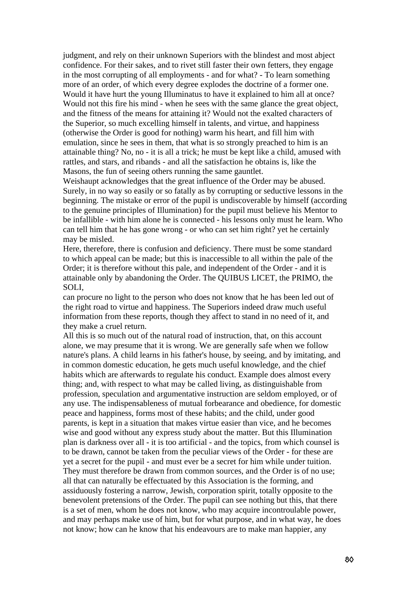judgment, and rely on their unknown Superiors with the blindest and most abject confidence. For their sakes, and to rivet still faster their own fetters, they engage in the most corrupting of all employments - and for what? - To learn something more of an order, of which every degree explodes the doctrine of a former one. Would it have hurt the young Illuminatus to have it explained to him all at once? Would not this fire his mind - when he sees with the same glance the great object, and the fitness of the means for attaining it? Would not the exalted characters of the Superior, so much excelling himself in talents, and virtue, and happiness (otherwise the Order is good for nothing) warm his heart, and fill him with emulation, since he sees in them, that what is so strongly preached to him is an attainable thing? No, no - it is all a trick; he must be kept like a child, amused with rattles, and stars, and ribands - and all the satisfaction he obtains is, like the Masons, the fun of seeing others running the same gauntlet.

Weishaupt acknowledges that the great influence of the Order may be abused. Surely, in no way so easily or so fatally as by corrupting or seductive lessons in the beginning. The mistake or error of the pupil is undiscoverable by himself (according to the genuine principles of Illumination) for the pupil must believe his Mentor to be infallible - with him alone he is connected - his lessons only must he learn. Who can tell him that he has gone wrong - or who can set him right? yet he certainly may be misled.

Here, therefore, there is confusion and deficiency. There must be some standard to which appeal can be made; but this is inaccessible to all within the pale of the Order; it is therefore without this pale, and independent of the Order - and it is attainable only by abandoning the Order. The QUIBUS LICET, the PRIMO, the SOLI,

can procure no light to the person who does not know that he has been led out of the right road to virtue and happiness. The Superiors indeed draw much useful information from these reports, though they affect to stand in no need of it, and they make a cruel return.

All this is so much out of the natural road of instruction, that, on this account alone, we may presume that it is wrong. We are generally safe when we follow nature's plans. A child learns in his father's house, by seeing, and by imitating, and in common domestic education, he gets much useful knowledge, and the chief habits which are afterwards to regulate his conduct. Example does almost every thing; and, with respect to what may be called living, as distinguishable from profession, speculation and argumentative instruction are seldom employed, or of any use. The indispensableness of mutual forbearance and obedience, for domestic peace and happiness, forms most of these habits; and the child, under good parents, is kept in a situation that makes virtue easier than vice, and he becomes wise and good without any express study about the matter. But this Illumination plan is darkness over all - it is too artificial - and the topics, from which counsel is to be drawn, cannot be taken from the peculiar views of the Order - for these are yet a secret for the pupil - and must ever be a secret for him while under tuition. They must therefore be drawn from common sources, and the Order is of no use; all that can naturally be effectuated by this Association is the forming, and assiduously fostering a narrow, Jewish, corporation spirit, totally opposite to the benevolent pretensions of the Order. The pupil can see nothing but this, that there is a set of men, whom he does not know, who may acquire incontroulable power, and may perhaps make use of him, but for what purpose, and in what way, he does not know; how can he know that his endeavours are to make man happier, any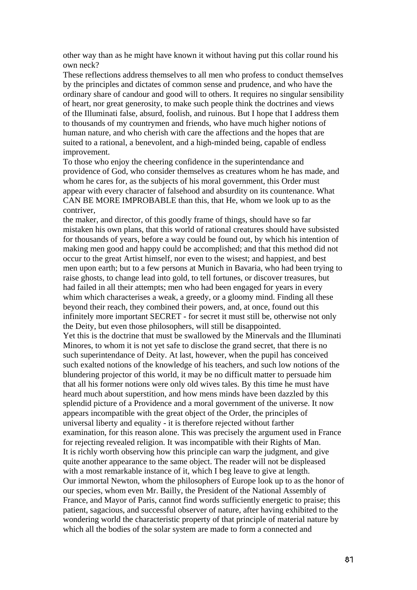other way than as he might have known it without having put this collar round his own neck?

These reflections address themselves to all men who profess to conduct themseIves by the principles and dictates of common sense and prudence, and who have the ordinary share of candour and good will to others. It requires no singular sensibility of heart, nor great generosity, to make such people think the doctrines and views of the Illuminati false, absurd, foolish, and ruinous. But I hope that I address them to thousands of my countrymen and friends, who have much higher notions of human nature, and who cherish with care the affections and the hopes that are suited to a rational, a benevolent, and a high-minded being, capable of endless improvement.

To those who enjoy the cheering confidence in the superintendance and providence of God, who consider themselves as creatures whom he has made, and whom he cares for, as the subjects of his moral government, this Order must appear with every character of falsehood and absurdity on its countenance. What CAN BE MORE IMPROBABLE than this, that He, whom we look up to as the contriver,

the maker, and director, of this goodly frame of things, should have so far mistaken his own plans, that this world of rational creatures should have subsisted for thousands of years, before a way could be found out, by which his intention of making men good and happy could be accomplished; and that this method did not occur to the great Artist himself, nor even to the wisest; and happiest, and best men upon earth; but to a few persons at Munich in Bavaria, who had been trying to raise ghosts, to change lead into gold, to tell fortunes, or discover treasures, but had failed in all their attempts; men who had been engaged for years in every whim which characterises a weak, a greedy, or a gloomy mind. Finding all these beyond their reach, they combined their powers, and, at once, found out this infinitely more important SECRET - for secret it must still be, otherwise not only the Deity, but even those philosophers, will still be disappointed.

Yet this is the doctrine that must be swallowed by the Minervals and the Illuminati Minores, to whom it is not yet safe to disclose the grand secret, that there is no such superintendance of Deity. At last, however, when the pupil has conceived such exalted notions of the knowledge of his teachers, and such low notions of the blundering projector of this world, it may be no difficult matter to persuade him that all his former notions were only old wives tales. By this time he must have heard much about superstition, and how mens minds have been dazzled by this splendid picture of a Providence and a moral government of the universe. It now appears incompatible with the great object of the Order, the principles of universal liberty and equality - it is therefore rejected without farther examination, for this reason alone. This was precisely the argument used in France for rejecting revealed religion. It was incompatible with their Rights of Man. It is richly worth observing how this principle can warp the judgment, and give quite another appearance to the same object. The reader will not be displeased with a most remarkable instance of it, which I beg leave to give at length. Our immortal Newton, whom the philosophers of Europe look up to as the honor of our species, whom even Mr. Bailly, the President of the National Assembly of France, and Mayor of Paris, cannot find words sufficiently energetic to praise; this patient, sagacious, and successful observer of nature, after having exhibited to the wondering world the characteristic property of that principle of material nature by which all the bodies of the solar system are made to form a connected and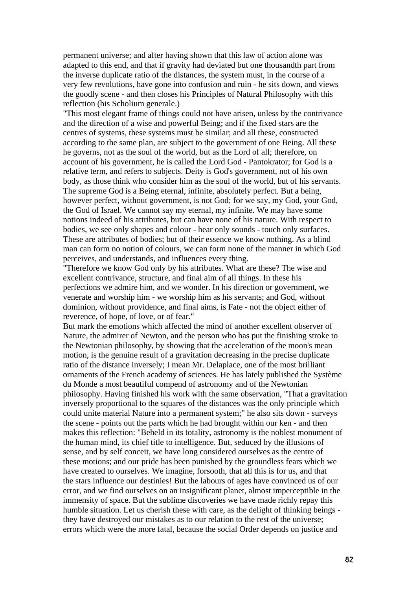permanent universe; and after having shown that this law of action alone was adapted to this end, and that if gravity had deviated but one thousandth part from the inverse duplicate ratio of the distances, the system must, in the course of a very few revolutions, have gone into confusion and ruin - he sits down, and views the goodly scene - and then closes his Principles of Natural Philosophy with this reflection (his Scholium generale.)

"This most elegant frame of things could not have arisen, unless by the contrivance and the direction of a wise and powerful Being; and if the fixed stars are the centres of systems, these systems must be similar; and all these, constructed according to the same plan, are subject to the government of one Being. All these he governs, not as the soul of the world, but as the Lord of all; therefore, on account of his government, he is called the Lord God - Pantokrator; for God is a relative term, and refers to subjects. Deity is God's government, not of his own body, as those think who consider him as the soul of the world, but of his servants. The supreme God is a Being eternal, infinite, absolutely perfect. But a being, however perfect, without government, is not God; for we say, my God, your God, the God of Israel. We cannot say my eternal, my infinite. We may have some notions indeed of his attributes, but can have none of his nature. With respect to bodies, we see only shapes and colour - hear only sounds - touch only surfaces. These are attributes of bodies; but of their essence we know nothing. As a blind man can form no notion of colours, we can form none of the manner in which God perceives, and understands, and influences every thing.

"Therefore we know God only by his attributes. What are these? The wise and excellent contrivance, structure, and final aim of all things. In these his perfections we admire him, and we wonder. In his direction or government, we venerate and worship him - we worship him as his servants; and God, without dominion, without providence, and final aims, is Fate - not the object either of reverence, of hope, of love, or of fear."

But mark the emotions which affected the mind of another excellent observer of Nature, the admirer of Newton, and the person who has put the finishing stroke to the Newtonian philosophy, by showing that the acceleration of the moon's mean motion, is the genuine result of a gravitation decreasing in the precise duplicate ratio of the distance inversely; I mean Mr. Delaplace, one of the most brilliant ornaments of the French academy of sciences. He has lately published the Système du Monde a most beautiful compend of astronomy and of the Newtonian philosophy. Having finished his work with the same observation, "That a gravitation inversely proportional to the squares of the distances was the only principle which could unite material Nature into a permanent system;" he also sits down - surveys the scene - points out the parts which he had brought within our ken - and then makes this reflection: "Beheld in its totality, astronomy is the noblest monument of the human mind, its chief title to intelligence. But, seduced by the illusions of sense, and by self conceit, we have long considered ourselves as the centre of these motions; and our pride has been punished by the groundless fears which we have created to ourselves. We imagine, forsooth, that all this is for us, and that the stars influence our destinies! But the labours of ages have convinced us of our error, and we find ourselves on an insignificant planet, almost imperceptible in the immensity of space. But the sublime discoveries we have made richly repay this humble situation. Let us cherish these with care, as the delight of thinking beings they have destroyed our mistakes as to our relation to the rest of the universe; errors which were the more fatal, because the social Order depends on justice and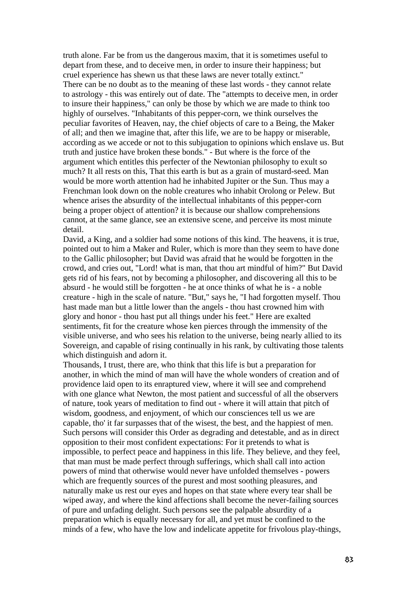truth alone. Far be from us the dangerous maxim, that it is sometimes useful to depart from these, and to deceive men, in order to insure their happiness; but cruel experience has shewn us that these laws are never totally extinct." There can be no doubt as to the meaning of these last words - they cannot relate to astrology - this was entirely out of date. The "attempts to deceive men, in order to insure their happiness," can only be those by which we are made to think too highly of ourselves. "Inhabitants of this pepper-corn, we think ourselves the peculiar favorites of Heaven, nay, the chief objects of care to a Being, the Maker of all; and then we imagine that, after this life, we are to be happy or miserable, according as we accede or not to this subjugation to opinions which enslave us. But truth and justice have broken these bonds." - But where is the force of the argument which entitles this perfecter of the Newtonian philosophy to exult so much? It all rests on this, That this earth is but as a grain of mustard-seed. Man would be more worth attention had he inhabited Jupiter or the Sun. Thus may a Frenchman look down on the noble creatures who inhabit Orolong or Pelew. But whence arises the absurdity of the intellectual inhabitants of this pepper-corn being a proper object of attention? it is because our shallow comprehensions cannot, at the same glance, see an extensive scene, and perceive its most minute detail.

David, a King, and a soldier had some notions of this kind. The heavens, it is true, pointed out to him a Maker and Ruler, which is more than they seem to have done to the Gallic philosopher; but David was afraid that he would be forgotten in the crowd, and cries out, "Lord! what is man, that thou art mindful of him?" But David gets rid of his fears, not by becoming a philosopher, and discovering all this to be absurd - he would still be forgotten - he at once thinks of what he is - a noble creature - high in the scale of nature. "But," says he, "I had forgotten myself. Thou hast made man but a little lower than the angels - thou hast crowned him with glory and honor - thou hast put all things under his feet." Here are exalted sentiments, fit for the creature whose ken pierces through the immensity of the visible universe, and who sees his relation to the universe, being nearly allied to its Sovereign, and capable of rising continually in his rank, by cultivating those talents which distinguish and adorn it.

Thousands, I trust, there are, who think that this life is but a preparation for another, in which the mind of man will have the whole wonders of creation and of providence laid open to its enraptured view, where it will see and comprehend with one glance what Newton, the most patient and successful of all the observers of nature, took years of meditation to find out - where it will attain that pitch of wisdom, goodness, and enjoyment, of which our consciences tell us we are capable, tho' it far surpasses that of the wisest, the best, and the happiest of men. Such persons will consider this Order as degrading and detestable, and as in direct opposition to their most confident expectations: For it pretends to what is impossible, to perfect peace and happiness in this life. They believe, and they feel, that man must be made perfect through sufferings, which shall call into action powers of mind that otherwise would never have unfolded themselves - powers which are frequently sources of the purest and most soothing pleasures, and naturally make us rest our eyes and hopes on that state where every tear shall be wiped away, and where the kind affections shall become the never-failing sources of pure and unfading delight. Such persons see the palpable absurdity of a preparation which is equally necessary for all, and yet must be confined to the minds of a few, who have the low and indelicate appetite for frivolous play-things,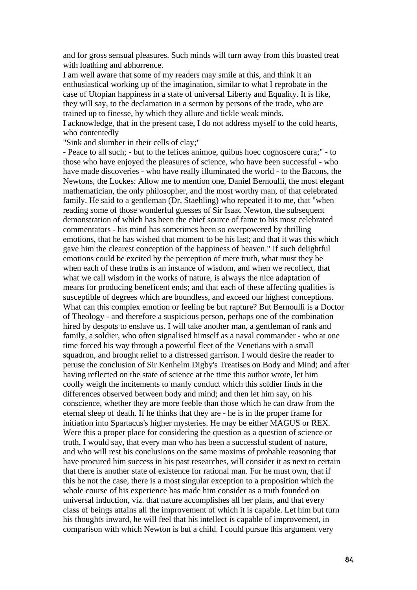and for gross sensual pleasures. Such minds will turn away from this boasted treat with loathing and abhorrence.

I am well aware that some of my readers may smile at this, and think it an enthusiastical working up of the imagination, similar to what I reprobate in the case of Utopian happiness in a state of universal Liberty and Equality. It is like, they will say, to the declamation in a sermon by persons of the trade, who are trained up to finesse, by which they allure and tickle weak minds.

I acknowledge, that in the present case, I do not address myself to the cold hearts, who contentedly

"Sink and slumber in their cells of clay;"

- Peace to all such; - but to the felices animoe, quibus hoec cognoscere cura;" - to those who have enjoyed the pleasures of science, who have been successful - who have made discoveries - who have really illuminated the world - to the Bacons, the Newtons, the Lockes: Allow me to mention one, Daniel Bernoulli, the most elegant mathematician, the only philosopher, and the most worthy man, of that celebrated family. He said to a gentleman (Dr. Staehling) who repeated it to me, that "when reading some of those wonderful guesses of Sir Isaac Newton, the subsequent demonstration of which has been the chief source of fame to his most celebrated commentators - his mind has sometimes been so overpowered by thrilling emotions, that he has wished that moment to be his last; and that it was this which gave him the clearest conception of the happiness of heaven." If such delightful emotions could be excited by the perception of mere truth, what must they be when each of these truths is an instance of wisdom, and when we recollect, that what we call wisdom in the works of nature, is always the nice adaptation of means for producing beneficent ends; and that each of these affecting qualities is susceptible of degrees which are boundless, and exceed our highest conceptions. What can this complex emotion or feeling be but rapture? But Bernoulli is a Doctor of Theology - and therefore a suspicious person, perhaps one of the combination hired by despots to enslave us. I will take another man, a gentleman of rank and family, a soldier, who often signalised himself as a naval commander - who at one time forced his way through a powerful fleet of the Venetians with a small squadron, and brought relief to a distressed garrison. I would desire the reader to peruse the conclusion of Sir Kenhelm Digby's Treatises on Body and Mind; and after having reflected on the state of science at the time this author wrote, let him coolly weigh the incitements to manly conduct which this soldier finds in the differences observed between body and mind; and then let him say, on his conscience, whether they are more feeble than those which he can draw from the eternal sleep of death. If he thinks that they are - he is in the proper frame for initiation into Spartacus's higher mysteries. He may be either MAGUS or REX. Were this a proper place for considering the question as a question of science or truth, I would say, that every man who has been a successful student of nature, and who will rest his conclusions on the same maxims of probable reasoning that have procured him success in his past researches, will consider it as next to certain that there is another state of existence for rational man. For he must own, that if this be not the case, there is a most singular exception to a proposition which the whole course of his experience has made him consider as a truth founded on universal induction, viz. that nature accomplishes all her plans, and that every class of beings attains all the improvement of which it is capable. Let him but turn his thoughts inward, he will feel that his intellect is capable of improvement, in comparison with which Newton is but a child. I could pursue this argument very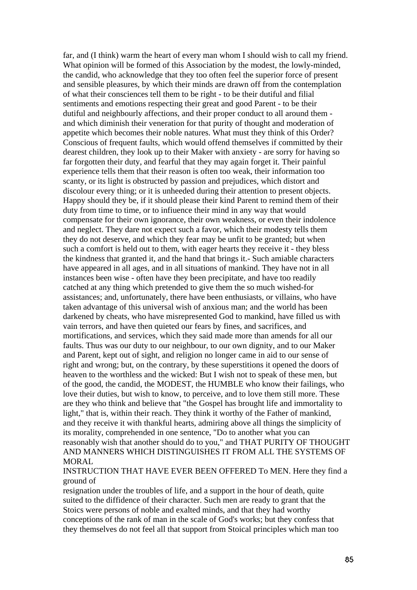far, and (I think) warm the heart of every man whom I should wish to call my friend. What opinion will be formed of this Association by the modest, the lowly-minded, the candid, who acknowledge that they too often feel the superior force of present and sensible pleasures, by which their minds are drawn off from the contemplation of what their consciences tell them to be right - to be their dutiful and filial sentiments and emotions respecting their great and good Parent - to be their dutiful and neighbourly affections, and their proper conduct to all around them and which diminish their veneration for that purity of thought and moderation of appetite which becomes their noble natures. What must they think of this Order? Conscious of frequent faults, which would offend themselves if committed by their dearest children, they look up to their Maker with anxiety - are sorry for having so far forgotten their duty, and fearful that they may again forget it. Their painful experience tells them that their reason is often too weak, their information too scanty, or its light is obstructed by passion and prejudices, which distort and discolour every thing; or it is unheeded during their attention to present objects. Happy should they be, if it should please their kind Parent to remind them of their duty from time to time, or to infiuence their mind in any way that would compensate for their own ignorance, their own weakness, or even their indolence and neglect. They dare not expect such a favor, which their modesty tells them they do not deserve, and which they fear may be unfit to be granted; but when such a comfort is held out to them, with eager hearts they receive it - they bless the kindness that granted it, and the hand that brings it.- Such amiable characters have appeared in all ages, and in all situations of mankind. They have not in all instances been wise - often have they been precipitate, and have too readily catched at any thing which pretended to give them the so much wished-for assistances; and, unfortunately, there have been enthusiasts, or villains, who have taken advantage of this universal wish of anxious man; and the world has been darkened by cheats, who have misrepresented God to mankind, have filled us with vain terrors, and have then quieted our fears by fines, and sacrifices, and mortifications, and services, which they said made more than amends for all our faults. Thus was our duty to our neighbour, to our own dignity, and to our Maker and Parent, kept out of sight, and religion no longer came in aid to our sense of right and wrong; but, on the contrary, by these superstitions it opened the doors of heaven to the worthless and the wicked: But I wish not to speak of these men, but of the good, the candid, the MODEST, the HUMBLE who know their failings, who love their duties, but wish to know, to perceive, and to love them still more. These are they who think and believe that "the Gospel has brought life and immortality to light," that is, within their reach. They think it worthy of the Father of mankind, and they receive it with thankful hearts, admiring above all things the simplicity of its morality, comprehended in one sentence, "Do to another what you can reasonably wish that another should do to you," and THAT PURITY OF THOUGHT AND MANNERS WHICH DISTINGUISHES IT FROM ALL THE SYSTEMS OF MORAL

INSTRUCTION THAT HAVE EVER BEEN OFFERED To MEN. Here they find a ground of

resignation under the troubles of life, and a support in the hour of death, quite suited to the diffidence of their character. Such men are ready to grant that the Stoics were persons of noble and exalted minds, and that they had worthy conceptions of the rank of man in the scale of God's works; but they confess that they themselves do not feel all that support from Stoical principles which man too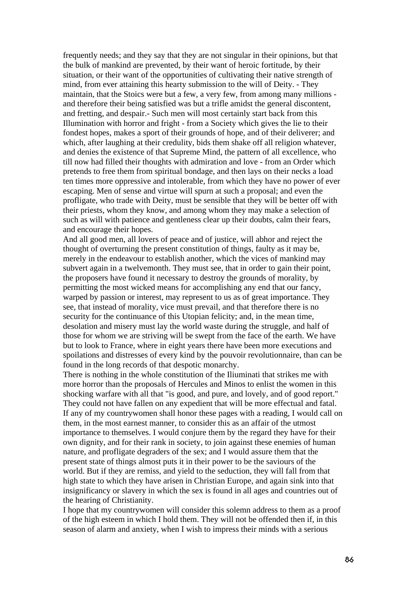frequently needs; and they say that they are not singular in their opinions, but that the bulk of mankind are prevented, by their want of heroic fortitude, by their situation, or their want of the opportunities of cultivating their native strength of mind, from ever attaining this hearty submission to the will of Deity. - They maintain, that the Stoics were but a few, a very few, from among many millions and therefore their being satisfied was but a trifle amidst the general discontent, and fretting, and despair.- Such men will most certainly start back from this Illumination with horror and fright - from a Society which gives the lie to their fondest hopes, makes a sport of their grounds of hope, and of their deliverer; and which, after laughing at their credulity, bids them shake off all religion whatever, and denies the existence of that Supreme Mind, the pattern of all excellence, who till now had filled their thoughts with admiration and love - from an Order which pretends to free them from spiritual bondage, and then lays on their necks a load ten times more oppressive and intolerable, from which they have no power of ever escaping. Men of sense and virtue will spurn at such a proposal; and even the profligate, who trade with Deity, must be sensible that they will be better off with their priests, whom they know, and among whom they may make a selection of such as will with patience and gentleness clear up their doubts, calm their fears, and encourage their hopes.

And all good men, all lovers of peace and of justice, will abhor and reject the thought of overturning the present constitution of things, faulty as it may be, merely in the endeavour to establish another, which the vices of mankind may subvert again in a twelvemonth. They must see, that in order to gain their point, the proposers have found it necessary to destroy the grounds of morality, by permitting the most wicked means for accomplishing any end that our fancy, warped by passion or interest, may represent to us as of great importance. They see, that instead of morality, vice must prevail, and that therefore there is no security for the continuance of this Utopian felicity; and, in the mean time, desolation and misery must lay the world waste during the struggle, and half of those for whom we are striving will be swept from the face of the earth. We have but to look to France, where in eight years there have been more executions and spoilations and distresses of every kind by the pouvoir revolutionnaire, than can be found in the long records of that despotic monarchy.

There is nothing in the whole constitution of the Iliuminati that strikes me with more horror than the proposals of Hercules and Minos to enlist the women in this shocking warfare with all that "is good, and pure, and lovely, and of good report." They could not have fallen on any expedient that will be more effectual and fatal. If any of my countrywomen shall honor these pages with a reading, I would call on them, in the most earnest manner, to consider this as an affair of the utmost importance to themselves. I would conjure them by the regard they have for their own dignity, and for their rank in society, to join against these enemies of human nature, and profligate degraders of the sex; and I would assure them that the present state of things almost puts it in their power to be the saviours of the world. But if they are remiss, and yield to the seduction, they will fall from that high state to which they have arisen in Christian Europe, and again sink into that insignificancy or slavery in which the sex is found in all ages and countries out of the hearing of Christianity.

I hope that my countrywomen will consider this solemn address to them as a proof of the high esteem in which I hold them. They will not be offended then if, in this season of alarm and anxiety, when I wish to impress their minds with a serious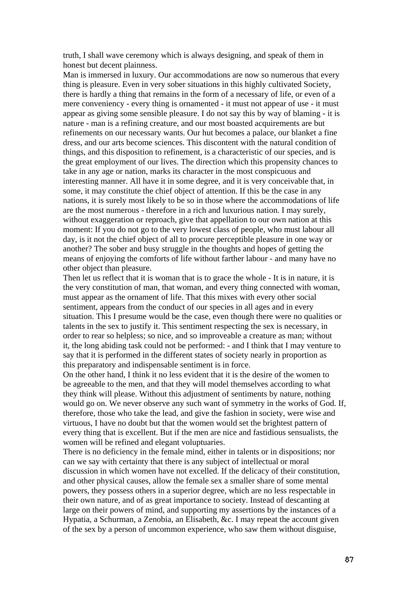truth, I shall wave ceremony which is always designing, and speak of them in honest but decent plainness.

Man is immersed in luxury. Our accommodations are now so numerous that every thing is pleasure. Even in very sober situations in this highly cultivated Society, there is hardly a thing that remains in the form of a necessary of life, or even of a mere conveniency - every thing is ornamented - it must not appear of use - it must appear as giving some sensible pleasure. I do not say this by way of blaming - it is nature - man is a refining creature, and our most boasted acquirements are but refinements on our necessary wants. Our hut becomes a palace, our blanket a fine dress, and our arts become sciences. This discontent with the natural condition of things, and this disposition to refinement, is a characteristic of our species, and is the great employment of our lives. The direction which this propensity chances to take in any age or nation, marks its character in the most conspicuous and interesting manner. All have it in some degree, and it is very conceivable that, in some, it may constitute the chief object of attention. If this be the case in any nations, it is surely most likely to be so in those where the accommodations of life are the most numerous - therefore in a rich and luxurious nation. I may surely, without exaggeration or reproach, give that appellation to our own nation at this moment: If you do not go to the very lowest class of people, who must labour all day, is it not the chief object of all to procure perceptible pleasure in one way or another? The sober and busy struggle in the thoughts and hopes of getting the means of enjoying the comforts of life without farther labour - and many have no other object than pleasure.

Then let us reflect that it is woman that is to grace the whole - It is in nature, it is the very constitution of man, that woman, and every thing connected with woman, must appear as the ornament of life. That this mixes with every other social sentiment, appears from the conduct of our species in all ages and in every situation. This I presume would be the case, even though there were no qualities or talents in the sex to justify it. This sentiment respecting the sex is necessary, in order to rear so helpless; so nice, and so improveable a creature as man; without it, the long abiding task could not be performed: - and I think that I may venture to say that it is performed in the different states of society nearly in proportion as this preparatory and indispensable sentiment is in force.

On the other hand, I think it no less evident that it is the desire of the women to be agreeable to the men, and that they will model themselves according to what they think will please. Without this adjustment of sentiments by nature, nothing would go on. We never observe any such want of symmetry in the works of God. If, therefore, those who take the lead, and give the fashion in society, were wise and virtuous, I have no doubt but that the women would set the brightest pattern of every thing that is excellent. But if the men are nice and fastidious sensualists, the women will be refined and elegant voluptuaries.

There is no deficiency in the female mind, either in talents or in dispositions; nor can we say with certainty that there is any subject of intellectual or moral discussion in which women have not excelled. If the delicacy of their constitution, and other physical causes, allow the female sex a smaller share of some mental powers, they possess others in a superior degree, which are no less respectable in their own nature, and of as great importance to society. Instead of descanting at large on their powers of mind, and supporting my assertions by the instances of a Hypatia, a Schurman, a Zenobia, an Elisabeth, &c. I may repeat the account given of the sex by a person of uncommon experience, who saw them without disguise,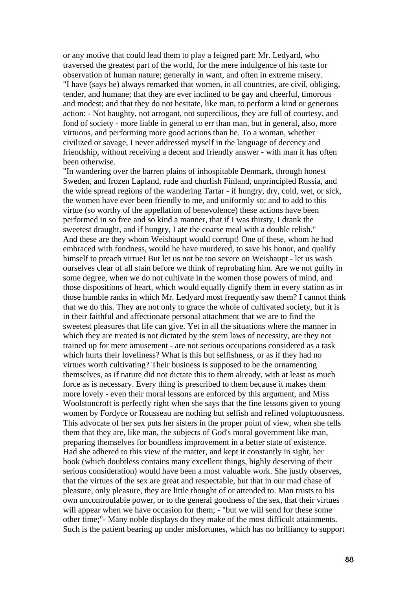or any motive that could lead them to play a feigned part: Mr. Ledyard, who traversed the greatest part of the world, for the mere indulgence of his taste for observation of human nature; generally in want, and often in extreme misery. "I have (says he) always remarked that women, in all countries, are civil, obliging, tender, and humane; that they are ever inclined to be gay and cheerful, timorous and modest; and that they do not hesitate, like man, to perform a kind or generous action: - Not haughty, not arrogant, not supercilious, they are full of courtesy, and fond of society - more liable in general to err than man, but in general, also, more virtuous, and performing more good actions than he. To a woman, whether civilized or savage, I never addressed myself in the language of decency and friendship, without receiving a decent and friendly answer - with man it has often been otherwise.

"In wandering over the barren plains of inhospitable Denmark, through honest Sweden, and frozen Lapland, rude and churlish Finland, unprincipled Russia, and the wide spread regions of the wandering Tartar - if hungry, dry, cold, wet, or sick, the women have ever been friendly to me, and uniformly so; and to add to this virtue (so worthy of the appellation of benevolence) these actions have been performed in so free and so kind a manner, that if I was thirsty, I drank the sweetest draught, and if hungry, I ate the coarse meal with a double relish." And these are they whom Weishaupt would corrupt! One of these, whom he had embraced with fondness, would he have murdered, to save his honor, and qualify himself to preach virtue! But let us not be too severe on Weishaupt - let us wash ourselves clear of all stain before we think of reprobating him. Are we not guilty in some degree, when we do not cultivate in the women those powers of mind, and those dispositions of heart, which would equally dignify them in every station as in those humble ranks in which Mr. Ledyard most frequently saw them? I cannot think that we do this. They are not only to grace the whole of cultivated society, but it is in their faithful and affectionate personal attachment that we are to find the sweetest pleasures that life can give. Yet in all the situations where the manner in which they are treated is not dictated by the stern laws of necessity, are they not trained up for mere amusement - are not serious occupations considered as a task which hurts their loveliness? What is this but selfishness, or as if they had no virtues worth cultivating? Their business is supposed to be the ornamenting themselves, as if nature did not dictate this to them already, with at least as much force as is necessary. Every thing is prescribed to them because it makes them more lovely - even their moral lessons are enforced by this argument, and Miss Woolstoncroft is perfectly right when she says that the fine lessons given to young women by Fordyce or Rousseau are nothing but selfish and refined voluptuousness. This advocate of her sex puts her sisters in the proper point of view, when she tells them that they are, like man, the subjects of God's moral government like man, preparing themselves for boundless improvement in a better state of existence. Had she adhered to this view of the matter, and kept it constantly in sight, her book (which doubtless contains many excellent things, highly deserving of their serious consideration) would have been a most valuable work. She justly observes, that the virtues of the sex are great and respectable, but that in our mad chase of pleasure, only pleasure, they are little thought of or attended to. Man trusts to his own uncontroulable power, or to the general goodness of the sex, that their virtues will appear when we have occasion for them; - "but we will send for these some other time;"- Many noble displays do they make of the most difficult attainments. Such is the patient bearing up under misfortunes, which has no brilliancy to support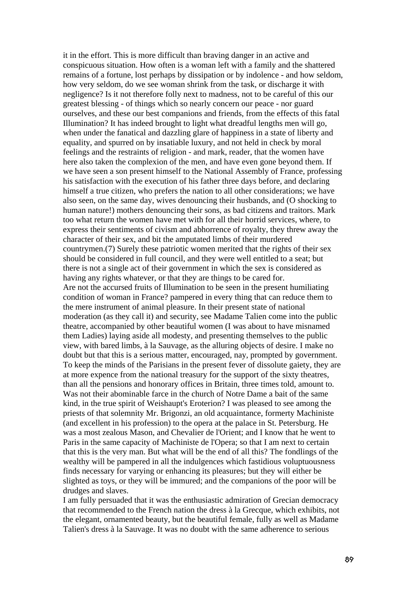it in the effort. This is more difficult than braving danger in an active and conspicuous situation. How often is a woman left with a family and the shattered remains of a fortune, lost perhaps by dissipation or by indolence - and how seldom, how very seldom, do we see woman shrink from the task, or discharge it with negligence? Is it not therefore folly next to madness, not to be careful of this our greatest blessing - of things which so nearly concern our peace - nor guard ourselves, and these our best companions and friends, from the effects of this fatal Illumination? It has indeed brought to light what dreadful lengths men will go, when under the fanatical and dazzling glare of happiness in a state of liberty and equality, and spurred on by insatiable luxury, and not held in check by moral feelings and the restraints of religion - and mark, reader, that the women have here also taken the complexion of the men, and have even gone beyond them. If we have seen a son present himself to the National Assembly of France, professing his satisfaction with the execution of his father three days before, and declaring himself a true citizen, who prefers the nation to all other considerations; we have also seen, on the same day, wives denouncing their husbands, and (O shocking to human nature!) mothers denouncing their sons, as bad citizens and traitors. Mark too what return the women have met with for all their horrid services, where, to express their sentiments of civism and abhorrence of royalty, they threw away the character of their sex, and bit the amputated limbs of their murdered countrymen.(7) Surely these patriotic women merited that the rights of their sex should be considered in full council, and they were well entitled to a seat; but there is not a single act of their government in which the sex is considered as having any rights whatever, or that they are things to be cared for. Are not the accursed fruits of Illumination to be seen in the present humiliating condition of woman in France? pampered in every thing that can reduce them to the mere instrument of animal pleasure. In their present state of national moderation (as they call it) and security, see Madame Talien come into the public theatre, accompanied by other beautiful women (I was about to have misnamed them Ladies) laying aside all modesty, and presenting themselves to the public view, with bared limbs, à la Sauvage, as the alluring objects of desire. I make no doubt but that this is a serious matter, encouraged, nay, prompted by government. To keep the minds of the Parisians in the present fever of dissolute gaiety, they are at more expence from the national treasury for the support of the sixty theatres, than all the pensions and honorary offices in Britain, three times told, amount to. Was not their abominable farce in the church of Notre Dame a bait of the same kind, in the true spirit of Weishaupt's Eroterion? I was pleased to see among the priests of that solemnity Mr. Brigonzi, an old acquaintance, formerty Machiniste (and excellent in his profession) to the opera at the palace in St. Petersburg. He was a most zealous Mason, and Chevalier de l'Orient; and I know that he went to Paris in the same capacity of Machiniste de l'Opera; so that I am next to certain that this is the very man. But what will be the end of all this? The fondlings of the wealthy will be pampered in all the indulgences which fastidious voluptuousness finds necessary for varying or enhancing its pleasures; but they will either be slighted as toys, or they will be immured; and the companions of the poor will be drudges and slaves.

I am fully persuaded that it was the enthusiastic admiration of Grecian democracy that recommended to the French nation the dress à la Grecque, which exhibits, not the elegant, ornamented beauty, but the beautiful female, fully as well as Madame Talien's dress à la Sauvage. It was no doubt with the same adherence to serious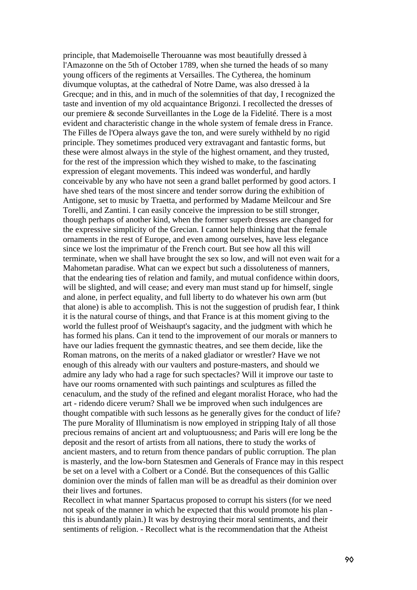principle, that Mademoiselle Therouanne was most beautifully dressed à l'Amazonne on the 5th of October 1789, when she turned the heads of so many young officers of the regiments at Versailles. The Cytherea, the hominum divumque voluptas, at the cathedral of Notre Dame, was also dressed à la Grecque; and in this, and in much of the solemnities of that day, I recognized the taste and invention of my old acquaintance Brigonzi. I recollected the dresses of our premiere & seconde Surveillantes in the Loge de la Fidelité. There is a most evident and characteristic change in the whole system of female dress in France. The Filles de l'Opera always gave the ton, and were surely withheld by no rigid principle. They sometimes produced very extravagant and fantastic forms, but these were almost always in the style of the highest ornament, and they trusted, for the rest of the impression which they wished to make, to the fascinating expression of elegant movements. This indeed was wonderful, and hardly conceivable by any who have not seen a grand ballet performed by good actors. I have shed tears of the most sincere and tender sorrow during the exhibition of Antigone, set to music by Traetta, and performed by Madame Meilcour and Sre Torelli, and Zantini. I can easily conceive the impression to be still stronger, though perhaps of another kind, when the former superb dresses are changed for the expressive simplicity of the Grecian. I cannot help thinking that the female ornaments in the rest of Europe, and even among ourselves, have less elegance since we lost the imprimatur of the French court. But see how all this will terminate, when we shall have brought the sex so low, and will not even wait for a Mahometan paradise. What can we expect but such a dissoluteness of manners, that the endearing ties of relation and family, and mutual confidence within doors, will be slighted, and will cease; and every man must stand up for himself, single and alone, in perfect equality, and full liberty to do whatever his own arm (but that alone) is able to accomplish. This is not the suggestion of prudish fear, I think it is the natural course of things, and that France is at this moment giving to the world the fullest proof of Weishaupt's sagacity, and the judgment with which he has formed his plans. Can it tend to the improvement of our morals or manners to have our ladies frequent the gymnastic theatres, and see them decide, like the Roman matrons, on the merits of a naked gladiator or wrestler? Have we not enough of this already with our vaulters and posture-masters, and should we admire any lady who had a rage for such spectacles? Will it improve our taste to have our rooms ornamented with such paintings and sculptures as filled the cenaculum, and the study of the refined and elegant moralist Horace, who had the art - ridendo dicere verum? Shall we be improved when such indulgences are thought compatible with such lessons as he generally gives for the conduct of life? The pure Morality of Illuminatism is now employed in stripping Italy of all those precious remains of ancient art and voluptuousness; and Paris will ere long be the deposit and the resort of artists from all nations, there to study the works of ancient masters, and to return from thence pandars of public corruption. The plan is masterly, and the low-born Statesmen and Generals of France may in this respect be set on a level with a Colbert or a Condé. But the consequences of this Gallic dominion over the minds of fallen man will be as dreadful as their dominion over their lives and fortunes.

Recollect in what manner Spartacus proposed to corrupt his sisters (for we need not speak of the manner in which he expected that this would promote his plan this is abundantly plain.) It was by destroying their moral sentiments, and their sentiments of religion. - Recollect what is the recommendation that the Atheist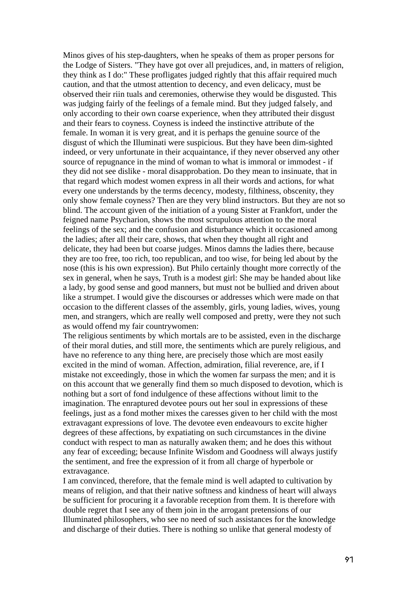Minos gives of his step-daughters, when he speaks of them as proper persons for the Lodge of Sisters. "They have got over all prejudices, and, in matters of religion, they think as I do:" These profligates judged rightly that this affair required much caution, and that the utmost attention to decency, and even delicacy, must be observed their riin tuals and ceremonies, otherwise they would be disgusted. This was judging fairly of the feelings of a female mind. But they judged falsely, and only according to their own coarse experience, when they attributed their disgust and their fears to coyness. Coyness is indeed the instinctive attribute of the female. In woman it is very great, and it is perhaps the genuine source of the disgust of which the Illuminati were suspicious. But they have been dim-sighted indeed, or very unfortunate in their acquaintance, if they never observed any other source of repugnance in the mind of woman to what is immoral or immodest - if they did not see dislike - moral disapprobation. Do they mean to insinuate, that in that regard which modest women express in all their words and actions, for what every one understands by the terms decency, modesty, filthiness, obscenity, they only show female coyness? Then are they very blind instructors. But they are not so blind. The account given of the initiation of a young Sister at Frankfort, under the feigned name Psycharion, shows the most scrupulous attention to the moral feelings of the sex; and the confusion and disturbance which it occasioned among the ladies; after all their care, shows, that when they thought all right and delicate, they had been but coarse judges. Minos damns the ladies there, because they are too free, too rich, too republican, and too wise, for being led about by the nose (this is his own expression). But Philo certainly thought more correctly of the sex in general, when he says, Truth is a modest girl: She may be handed about like a lady, by good sense and good manners, but must not be bullied and driven about like a strumpet. I would give the discourses or addresses which were made on that occasion to the different classes of the assembly, girls, young ladies, wives, young men, and strangers, which are really well composed and pretty, were they not such as would offend my fair countrywomen:

The religious sentiments by which mortals are to be assisted, even in the discharge of their moral duties, and still more, the sentiments which are purely religious, and have no reference to any thing here, are precisely those which are most easily excited in the mind of woman. Affection, admiration, filial reverence, are, if I mistake not exceedingly, those in which the women far surpass the men; and it is on this account that we generally find them so much disposed to devotion, which is nothing but a sort of fond indulgence of these affections without limit to the imagination. The enraptured devotee pours out her soul in expressions of these feelings, just as a fond mother mixes the caresses given to her child with the most extravagant expressions of love. The devotee even endeavours to excite higher degrees of these affections, by expatiating on such circumstances in the divine conduct with respect to man as naturally awaken them; and he does this without any fear of exceeding; because Infinite Wisdom and Goodness will always justify the sentiment, and free the expression of it from all charge of hyperbole or extravagance.

I am convinced, therefore, that the female mind is well adapted to cultivation by means of religion, and that their native softness and kindness of heart will always be sufficient for procuring it a favorable reception from them. It is therefore with double regret that I see any of them join in the arrogant pretensions of our Illuminated philosophers, who see no need of such assistances for the knowledge and discharge of their duties. There is nothing so unlike that general modesty of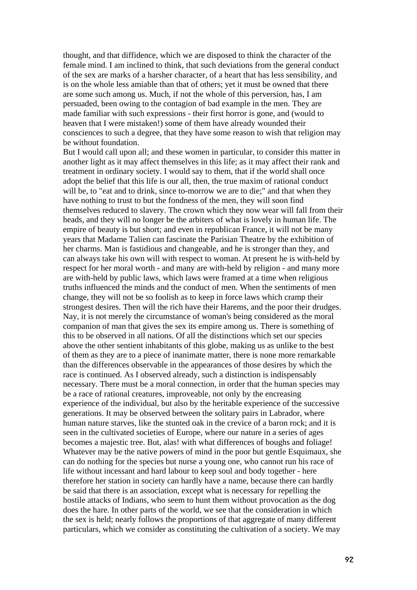thought, and that diffidence, which we are disposed to think the character of the female mind. I am inclined to think, that such deviations from the general conduct of the sex are marks of a harsher character, of a heart that has less sensibility, and is on the whole less amiable than that of others; yet it must be owned that there are some such among us. Much, if not the whole of this perversion, has, I am persuaded, been owing to the contagion of bad example in the men. They are made familiar with such expressions - their first horror is gone, and (would to heaven that I were mistaken!) some of them have already wounded their consciences to such a degree, that they have some reason to wish that religion may be without foundation.

But I would call upon all; and these women in particular, to consider this matter in another light as it may affect themselves in this life; as it may affect their rank and treatment in ordinary society. I would say to them, that if the world shall once adopt the belief that this life is our all, then, the true maxim of rational conduct will be, to "eat and to drink, since to-morrow we are to die;" and that when they have nothing to trust to but the fondness of the men, they will soon find themselves reduced to slavery. The crown which they now wear will fall from their heads, and they will no longer be the arbiters of what is lovely in human life. The empire of beauty is but short; and even in republican France, it will not be many years that Madame Talien can fascinate the Parisian Theatre by the exhibition of her charms. Man is fastidious and changeable, and he is stronger than they, and can always take his own will with respect to woman. At present he is with-held by respect for her moral worth - and many are with-held by religion - and many more are with-held by public laws, which laws were framed at a time when religious truths influenced the minds and the conduct of men. When the sentiments of men change, they will not be so foolish as to keep in force laws which cramp their strongest desires. Then will the rich have their Harems, and the poor their drudges. Nay, it is not merely the circumstance of woman's being considered as the moral companion of man that gives the sex its empire among us. There is something of this to be observed in all nations. Of all the distinctions which set our species above the other sentient inhabitants of this globe, making us as unlike to the best of them as they are to a piece of inanimate matter, there is none more remarkable than the differences observable in the appearances of those desires by which the race is continued. As I observed already, such a distinction is indispensably necessary. There must be a moral connection, in order that the human species may be a race of rational creatures, improveable, not only by the encreasing experience of the individual, but also by the heritable experience of the successive generations. It may be observed between the solitary pairs in Labrador, where human nature starves, like the stunted oak in the crevice of a baron rock; and it is seen in the cultivated societies of Europe, where our nature in a series of ages becomes a majestic tree. But, alas! with what differences of boughs and foliage! Whatever may be the native powers of mind in the poor but gentle Esquimaux, she can do nothing for the species but nurse a young one, who cannot run his race of life without incessant and hard labour to keep soul and body together - here therefore her station in society can hardly have a name, because there can hardly be said that there is an association, except what is necessary for repelling the hostile attacks of Indians, who seem to hunt them without provocation as the dog does the hare. In other parts of the world, we see that the consideration in which the sex is held; nearly follows the proportions of that aggregate of many different particulars, which we consider as constituting the cultivation of a society. We may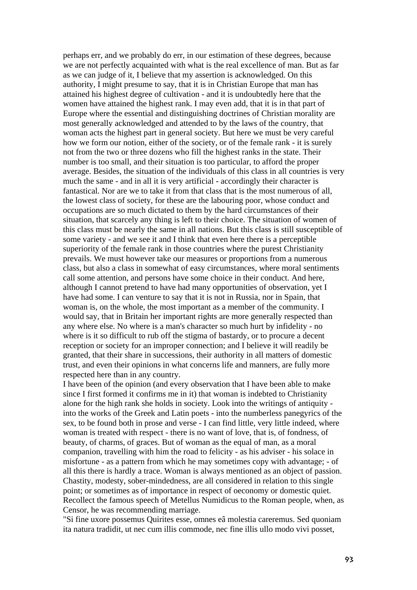perhaps err, and we probably do err, in our estimation of these degrees, because we are not perfectly acquainted with what is the real excellence of man. But as far as we can judge of it, I believe that my assertion is acknowledged. On this authority, I might presume to say, that it is in Christian Europe that man has attained his highest degree of cultivation - and it is undoubtedly here that the women have attained the highest rank. I may even add, that it is in that part of Europe where the essential and distinguishing doctrines of Christian morality are most generally acknowledged and attended to by the laws of the country, that woman acts the highest part in general society. But here we must be very careful how we form our notion, either of the society, or of the female rank - it is surely not from the two or three dozens who fill the highest ranks in the state. Their number is too small, and their situation is too particular, to afford the proper average. Besides, the situation of the individuals of this class in all countries is very much the same - and in all it is very artificial - accordingly their character is fantastical. Nor are we to take it from that class that is the most numerous of all, the lowest class of society, for these are the labouring poor, whose conduct and occupations are so much dictated to them by the hard circumstances of their situation, that scarcely any thing is left to their choice. The situation of women of this class must be nearly the same in all nations. But this class is still susceptible of some variety - and we see it and I think that even here there is a perceptible superiority of the female rank in those countries where the purest Christianity prevails. We must however take our measures or proportions from a numerous class, but also a class in somewhat of easy circumstances, where moral sentiments call some attention, and persons have some choice in their conduct. And here, although I cannot pretend to have had many opportunities of observation, yet I have had some. I can venture to say that it is not in Russia, nor in Spain, that woman is, on the whole, the most important as a member of the community. I would say, that in Britain her important rights are more generally respected than any where else. No where is a man's character so much hurt by infidelity - no where is it so difficult to rub off the stigma of bastardy, or to procure a decent reception or society for an improper connection; and I believe it will readily be granted, that their share in successions, their authority in all matters of domestic trust, and even their opinions in what concerns life and manners, are fully more respected here than in any country.

I have been of the opinion (and every observation that I have been able to make since I first formed it confirms me in it) that woman is indebted to Christianity alone for the high rank she holds in society. Look into the writings of antiquity into the works of the Greek and Latin poets - into the numberless panegyrics of the sex, to be found both in prose and verse - I can find little, very little indeed, where woman is treated with respect - there is no want of love, that is, of fondness, of beauty, of charms, of graces. But of woman as the equal of man, as a moral companion, travelling with him the road to felicity - as his adviser - his solace in misfortune - as a pattern from which he may sometimes copy with advantage; - of all this there is hardly a trace. Woman is always mentioned as an object of passion. Chastity, modesty, sober-mindedness, are all considered in relation to this single point; or sometimes as of importance in respect of oeconomy or domestic quiet. Recollect the famous speech of Metellus Numidicus to the Roman people, when, as Censor, he was recommending marriage.

"Si fine uxore possemus Quirites esse, omnes eâ molestia careremus. Sed quoniam ita natura tradidit, ut nec cum illis commode, nec fine illis ullo modo vivi posset,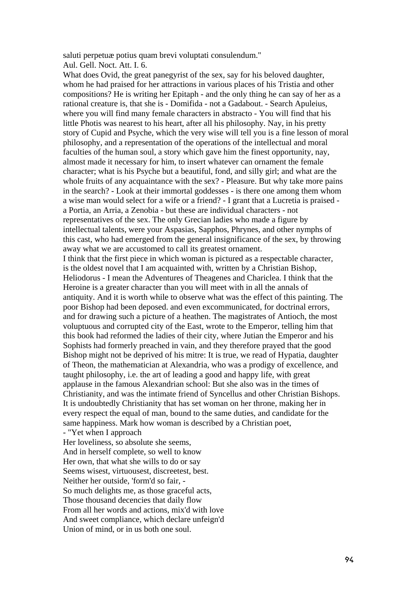saluti perpetuæ potius quam brevi voluptati consulendum." Aul. Gell. Noct. Att. I. 6.

What does Ovid, the great panegyrist of the sex, say for his beloved daughter, whom he had praised for her attractions in various places of his Tristia and other compositions? He is writing her Epitaph - and the only thing he can say of her as a rational creature is, that she is - Domifida - not a Gadabout. - Search Apuleius, where you will find many female characters in abstracto - You will find that his little Photis was nearest to his heart, after all his philosophy. Nay, in his pretty story of Cupid and Psyche, which the very wise will tell you is a fine lesson of moral philosophy, and a representation of the operations of the intellectual and moral faculties of the human soul, a story which gave him the finest opportunity, nay, almost made it necessary for him, to insert whatever can ornament the female character; what is his Psyche but a beautiful, fond, and silly girl; and what are the whole fruits of any acquaintance with the sex? - Pleasure. But why take more pains in the search? - Look at their immortal goddesses - is there one among them whom a wise man would select for a wife or a friend? - I grant that a Lucretia is praised a Portia, an Arria, a Zenobia - but these are individual characters - not representatives of the sex. The only Grecian ladies who made a figure by intellectual talents, were your Aspasias, Sapphos, Phrynes, and other nymphs of this cast, who had emerged from the general insignificance of the sex, by throwing away what we are accustomed to call its greatest ornament.

I think that the first piece in which woman is pictured as a respectable character, is the oldest novel that I am acquainted with, written by a Christian Bishop, Heliodorus - I mean the Adventures of Theagenes and Chariclea. I think that the Heroine is a greater character than you will meet with in all the annals of antiquity. And it is worth while to observe what was the effect of this painting. The poor Bishop had been deposed. and even excommunicated, for doctrinal errors, and for drawing such a picture of a heathen. The magistrates of Antioch, the most voluptuous and corrupted city of the East, wrote to the Emperor, telling him that this book had reformed the ladies of their city, where Jutian the Emperor and his Sophists had formerly preached in vain, and they therefore prayed that the good Bishop might not be deprived of his mitre: It is true, we read of Hypatia, daughter of Theon, the mathematician at Alexandria, who was a prodigy of excellence, and taught philosophy, i.e. the art of leading a good and happy life, with great applause in the famous Alexandrian school: But she also was in the times of Christianity, and was the intimate friend of Syncellus and other Christian Bishops. It is undoubtedly Christianity that has set woman on her throne, making her in every respect the equal of man, bound to the same duties, and candidate for the same happiness. Mark how woman is described by a Christian poet,

- "Yet when I approach Her loveliness, so absolute she seems, And in herself complete, so well to know

Her own, that what she wills to do or say Seems wisest, virtuousest, discreetest, best. Neither her outside, 'form'd so fair, - So much delights me, as those graceful acts, Those thousand decencies that daily flow From all her words and actions, mix'd with love And sweet compliance, which declare unfeign'd Union of mind, or in us both one soul.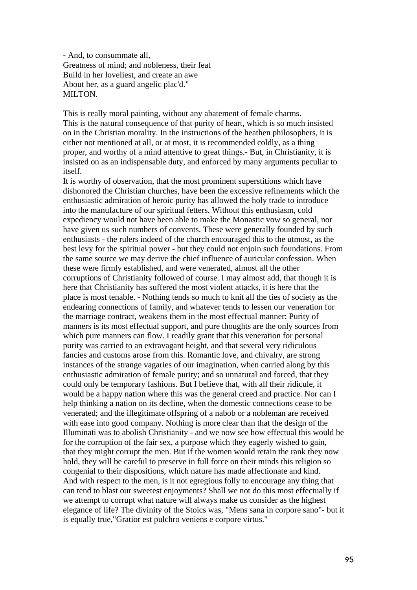- And, to consummate all, Greatness of mind; and nobleness, their feat Build in her loveliest, and create an awe About her, as a guard angelic plac'd." MILTON.

This is really moral painting, without any abatement of female charms. This is the natural consequence of that purity of heart, which is so much insisted on in the Christian morality. In the instructions of the heathen philosophers, it is either not mentioned at all, or at most, it is recommended coldly, as a thing proper, and worthy of a mind attentive to great things.- But, in Christianity, it is insisted on as an indispensable duty, and enforced by many arguments peculiar to itself.

It is worthy of observation, that the most prominent superstitions which have dishonored the Christian churches, have been the excessive refinements which the enthusiastic admiration of heroic purity has allowed the holy trade to introduce into the manufacture of our spiritual fetters. Without this enthusiasm, cold expediency would not have been able to make the Monastic vow so general, nor have given us such numbers of convents. These were generally founded by such enthusiasts - the rulers indeed of the church encouraged this to the utmost, as the best levy for the spiritual power - but they could not enjoin such foundations. From the same source we may derive the chief influence of auricular confession. When these were firmly established, and were venerated, almost all the other corruptions of Christianity followed of course. I may almost add, that though it is here that Christianity has suffered the most violent attacks, it is here that the place is most tenable. - Nothing tends so much to knit all the ties of society as the endearing connections of family, and whatever tends to lessen our veneration for the marriage contract, weakens them in the most effectual manner: Purity of manners is its most effectual support, and pure thoughts are the only sources from which pure manners can flow. I readily grant that this veneration for personal purity was carried to an extravagant height, and that several very ridiculous fancies and customs arose from this. Romantic love, and chivalry, are strong instances of the strange vagaries of our imagination, when carried along by this enthusiastic admiration of female purity; and so unnatural and forced, that they could only be temporary fashions. But I believe that, with all their ridicule, it would be a happy nation where this was the general creed and practice. Nor can I help thinking a nation on its decline, when the domestic connections cease to be venerated; and the illegitimate offspring of a nabob or a nobleman are received with ease into good company. Nothing is more clear than that the design of the Illuminati was to abolish Christianity - and we now see how effectual this would be for the corruption of the fair sex, a purpose which they eagerly wished to gain, that they might corrupt the men. But if the women would retain the rank they now hold, they will be careful to preserve in full force on their minds this religion so congenial to their dispositions, which nature has made affectionate and kind. And with respect to the men, is it not egregious folly to encourage any thing that can tend to blast our sweetest enjoyments? Shall we not do this most effectually if we attempt to corrupt what nature will always make us consider as the highest elegance of life? The divinity of the Stoics was, "Mens sana in corpore sano"- but it is equally true,"Gratior est pulchro veniens e corpore virtus."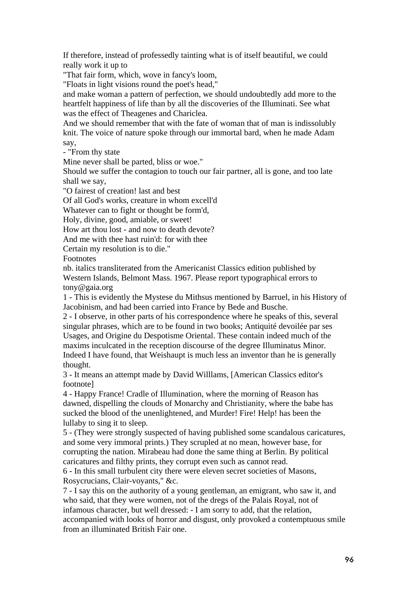If therefore, instead of professedly tainting what is of itself beautiful, we could really work it up to

"That fair form, which, wove in fancy's loom,

"Floats in light visions round the poet's head,"

and make woman a pattern of perfection, we should undoubtedly add more to the heartfelt happiness of life than by all the discoveries of the Illuminati. See what was the effect of Theagenes and Chariclea.

And we should remember that with the fate of woman that of man is indissolubly knit. The voice of nature spoke through our immortal bard, when he made Adam say,

- "From thy state

Mine never shall be parted, bliss or woe."

Should we suffer the contagion to touch our fair partner, all is gone, and too late shall we say,

"O fairest of creation! last and best

Of all God's works, creature in whom excell'd

Whatever can to fight or thought be form'd,

Holy, divine, good, amiable, or sweet!

How art thou lost - and now to death devote?

And me with thee hast ruin'd: for with thee

Certain my resolution is to die."

Footnotes

nb. italics transliterated from the Americanist Classics edition published by Western Islands, Belmont Mass. 1967. Please report typographical errors to tony@gaia.org

1 - This is evidently the Mystese du Mithsus mentioned by Barruel, in his History of Jacobinism, and had been carried into France by Bede and Busche.

2 - I observe, in other parts of his correspondence where he speaks of this, several singular phrases, which are to be found in two books; Antiquité devoilée par ses Usages, and Origine du Despotisme Oriental. These contain indeed much of the maxims inculcated in the reception discourse of the degree Illuminatus Minor. Indeed I have found, that Weishaupt is much less an inventor than he is generally thought.

3 - It means an attempt made by David Willlams, [American Classics editor's footnote]

4 - Happy France! Cradle of Illumination, where the morning of Reason has dawned, dispelling the clouds of Monarchy and Christianity, where the babe has sucked the blood of the unenlightened, and Murder! Fire! Help! has been the lullaby to sing it to sleep.

5 - (They were strongly suspected of having published some scandalous caricatures, and some very immoral prints.) They scrupled at no mean, however base, for corrupting the nation. Mirabeau had done the same thing at Berlin. By political caricatures and filthy prints, they corrupt even such as cannot read.

6 - In this small turbulent city there were eleven secret societies of Masons, Rosycrucians, Clair-voyants," &c.

7 - I say this on the authority of a young gentleman, an emigrant, who saw it, and who said, that they were women, not of the dregs of the Palais Royal, not of infamous character, but well dressed: - I am sorry to add, that the relation, accompanied with looks of horror and disgust, only provoked a contemptuous smile from an illuminated British Fair one.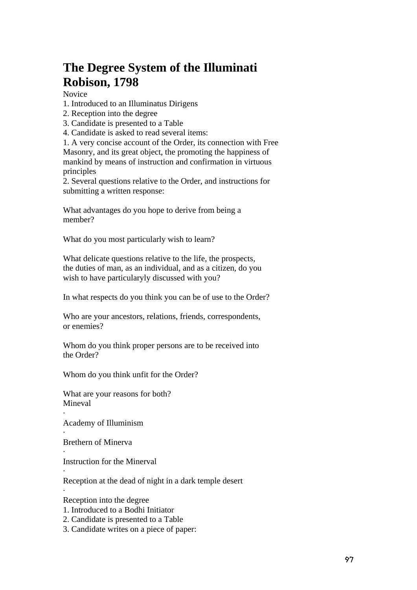## **The Degree System of the Illuminati Robison, 1798**

Novice

- 1. Introduced to an Illuminatus Dirigens
- 2. Reception into the degree
- 3. Candidate is presented to a Table
- 4. Candidate is asked to read several items:

1. A very concise account of the Order, its connection with Free Masonry, and its great object, the promoting the happiness of mankind by means of instruction and confirmation in virtuous principles

2. Several questions relative to the Order, and instructions for submitting a written response:

What advantages do you hope to derive from being a member?

What do you most particularly wish to learn?

What delicate questions relative to the life, the prospects, the duties of man, as an individual, and as a citizen, do you wish to have particularyly discussed with you?

In what respects do you think you can be of use to the Order?

Who are your ancestors, relations, friends, correspondents, or enemies?

Whom do you think proper persons are to be received into the Order?

Whom do you think unfit for the Order?

What are your reasons for both? Mineval

Academy of Illuminism

Brethern of Minerva

·

·

·

·

·

Instruction for the Minerval

Reception at the dead of night in a dark temple desert

Reception into the degree

- 1. Introduced to a Bodhi Initiator
- 2. Candidate is presented to a Table
- 3. Candidate writes on a piece of paper: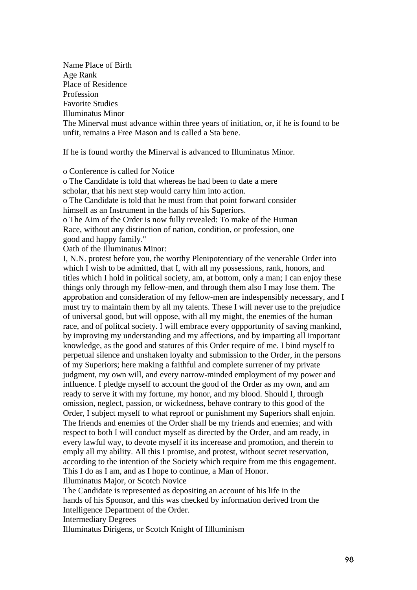Name Place of Birth Age Rank Place of Residence Profession Favorite Studies Illuminatus Minor The Minerval must advance within three years of initiation, or, if he is found to be unfit, remains a Free Mason and is called a Sta bene.

If he is found worthy the Minerval is advanced to Illuminatus Minor.

o Conference is called for Notice

o The Candidate is told that whereas he had been to date a mere scholar, that his next step would carry him into action. o The Candidate is told that he must from that point forward consider himself as an Instrument in the hands of his Superiors. o The Aim of the Order is now fully revealed: To make of the Human Race, without any distinction of nation, condition, or profession, one good and happy family." Oath of the Illuminatus Minor: I, N.N. protest before you, the worthy Plenipotentiary of the venerable Order into which I wish to be admitted, that I, with all my possessions, rank, honors, and titles which I hold in political society, am, at bottom, only a man; I can enjoy these things only through my fellow-men, and through them also I may lose them. The approbation and consideration of my fellow-men are indespensibly necessary, and I must try to maintain them by all my talents. These I will never use to the prejudice

of universal good, but will oppose, with all my might, the enemies of the human race, and of politcal society. I will embrace every oppportunity of saving mankind, by improving my understanding and my affections, and by imparting all important knowledge, as the good and statures of this Order require of me. I bind myself to perpetual silence and unshaken loyalty and submission to the Order, in the persons of my Superiors; here making a faithful and complete surrener of my private judgment, my own will, and every narrow-minded employment of my power and influence. I pledge myself to account the good of the Order as my own, and am ready to serve it with my fortune, my honor, and my blood. Should I, through omission, neglect, passion, or wickedness, behave contrary to this good of the Order, I subject myself to what reproof or punishment my Superiors shall enjoin. The friends and enemies of the Order shall be my friends and enemies; and with respect to both I will conduct myself as directed by the Order, and am ready, in every lawful way, to devote myself it its incerease and promotion, and therein to emply all my ability. All this I promise, and protest, without secret reservation, according to the intention of the Society which require from me this engagement. This I do as I am, and as I hope to continue, a Man of Honor.

Illuminatus Major, or Scotch Novice

The Candidate is represented as depositing an account of his life in the hands of his Sponsor, and this was checked by information derived from the

Intelligence Department of the Order.

Intermediary Degrees

Illuminatus Dirigens, or Scotch Knight of Illluminism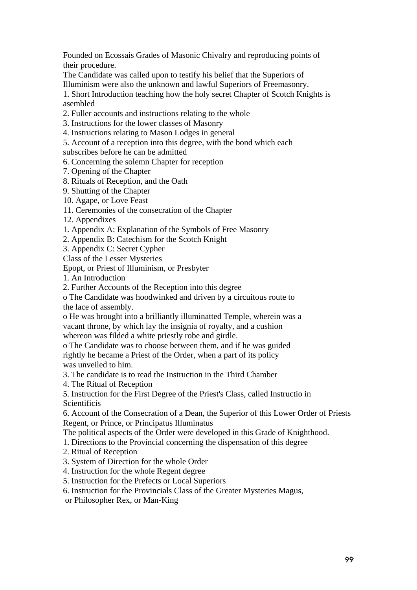Founded on Ecossais Grades of Masonic Chivalry and reproducing points of their procedure.

The Candidate was called upon to testify his belief that the Superiors of Illuminism were also the unknown and lawful Superiors of Freemasonry.

1. Short Introduction teaching how the holy secret Chapter of Scotch Knights is asembled

- 2. Fuller accounts and instructions relating to the whole
- 3. Instructions for the lower classes of Masonry
- 4. Instructions relating to Mason Lodges in general

5. Account of a reception into this degree, with the bond which each subscribes before he can be admitted

6. Concerning the solemn Chapter for reception

- 7. Opening of the Chapter
- 8. Rituals of Reception, and the Oath
- 9. Shutting of the Chapter
- 10. Agape, or Love Feast
- 11. Ceremonies of the consecration of the Chapter
- 12. Appendixes
- 1. Appendix A: Explanation of the Symbols of Free Masonry
- 2. Appendix B: Catechism for the Scotch Knight
- 3. Appendix C: Secret Cypher

Class of the Lesser Mysteries

Epopt, or Priest of Illuminism, or Presbyter

1. An Introduction

2. Further Accounts of the Reception into this degree

o The Candidate was hoodwinked and driven by a circuitous route to the lace of assembly.

o He was brought into a brilliantly illuminatted Temple, wherein was a vacant throne, by which lay the insignia of royalty, and a cushion whereon was filded a white priestly robe and girdle.

o The Candidate was to choose between them, and if he was guided rightly he became a Priest of the Order, when a part of its policy was unveiled to him.

3. The candidate is to read the Instruction in the Third Chamber

4. The Ritual of Reception

5. Instruction for the First Degree of the Priest's Class, called Instructio in **Scientificis** 

6. Account of the Consecration of a Dean, the Superior of this Lower Order of Priests Regent, or Prince, or Principatus Illuminatus

The political aspects of the Order were developed in this Grade of Knighthood.

1. Directions to the Provincial concerning the dispensation of this degree

- 2. Ritual of Reception
- 3. System of Direction for the whole Order
- 4. Instruction for the whole Regent degree
- 5. Instruction for the Prefects or Local Superiors
- 6. Instruction for the Provincials Class of the Greater Mysteries Magus,
- or Philosopher Rex, or Man-King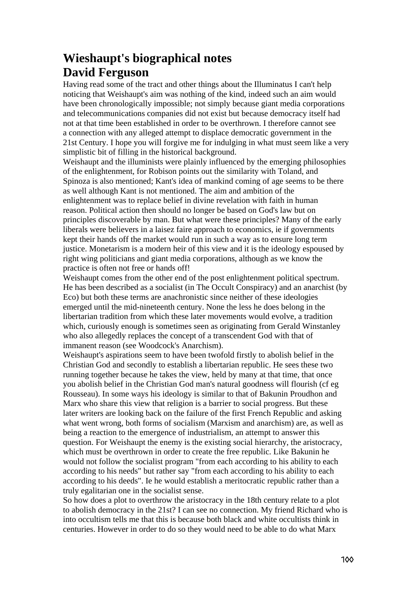## **Wieshaupt's biographical notes David Ferguson**

Having read some of the tract and other things about the Illuminatus I can't help noticing that Weishaupt's aim was nothing of the kind, indeed such an aim would have been chronologically impossible; not simply because giant media corporations and telecommunications companies did not exist but because democracy itself had not at that time been established in order to be overthrown. I therefore cannot see a connection with any alleged attempt to displace democratic government in the 21st Century. I hope you will forgive me for indulging in what must seem like a very simplistic bit of filling in the historical background.

Weishaupt and the illuminists were plainly influenced by the emerging philosophies of the enlightenment, for Robison points out the similarity with Toland, and Spinoza is also mentioned; Kant's idea of mankind coming of age seems to be there as well although Kant is not mentioned. The aim and ambition of the enlightenment was to replace belief in divine revelation with faith in human reason. Political action then should no longer be based on God's law but on principles discoverable by man. But what were these principles? Many of the early liberals were believers in a laisez faire approach to economics, ie if governments kept their hands off the market would run in such a way as to ensure long term justice. Monetarism is a modern heir of this view and it is the ideology espoused by right wing politicians and giant media corporations, although as we know the practice is often not free or hands off!

Weishaupt comes from the other end of the post enlightenment political spectrum. He has been described as a socialist (in The Occult Conspiracy) and an anarchist (by Eco) but both these terms are anachronistic since neither of these ideologies emerged until the mid-nineteenth century. None the less he does belong in the libertarian tradition from which these later movements would evolve, a tradition which, curiously enough is sometimes seen as originating from Gerald Winstanley who also allegedly replaces the concept of a transcendent God with that of immanent reason (see Woodcock's Anarchism).

Weishaupt's aspirations seem to have been twofold firstly to abolish belief in the Christian God and secondly to establish a libertarian republic. He sees these two running together because he takes the view, held by many at that time, that once you abolish belief in the Christian God man's natural goodness will flourish (cf eg Rousseau). In some ways his ideology is similar to that of Bakunin Proudhon and Marx who share this view that religion is a barrier to social progress. But these later writers are looking back on the failure of the first French Republic and asking what went wrong, both forms of socialism (Marxism and anarchism) are, as well as being a reaction to the emergence of industrialism, an attempt to answer this question. For Weishaupt the enemy is the existing social hierarchy, the aristocracy, which must be overthrown in order to create the free republic. Like Bakunin he would not follow the socialist program "from each according to his ability to each according to his needs" but rather say "from each according to his ability to each according to his deeds". Ie he would establish a meritocratic republic rather than a truly egalitarian one in the socialist sense.

So how does a plot to overthrow the aristocracy in the 18th century relate to a plot to abolish democracy in the 21st? I can see no connection. My friend Richard who is into occultism tells me that this is because both black and white occultists think in centuries. However in order to do so they would need to be able to do what Marx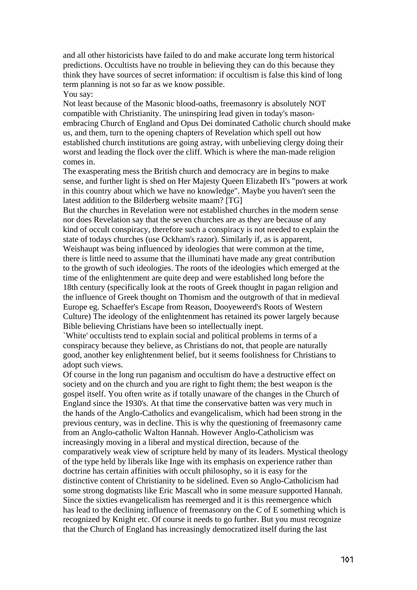and all other historicists have failed to do and make accurate long term historical predictions. Occultists have no trouble in believing they can do this because they think they have sources of secret information: if occultism is false this kind of long term planning is not so far as we know possible.

You say:

Not least because of the Masonic blood-oaths, freemasonry is absolutely NOT compatible with Christianity. The uninspiring lead given in today's masonembracing Church of England and Opus Dei dominated Catholic church should make us, and them, turn to the opening chapters of Revelation which spell out how established church institutions are going astray, with unbelieving clergy doing their worst and leading the flock over the cliff. Which is where the man-made religion comes in.

The exasperating mess the British church and democracy are in begins to make sense, and further light is shed on Her Majesty Queen Elizabeth II's "powers at work in this country about which we have no knowledge". Maybe you haven't seen the latest addition to the Bilderberg website maam? [TG]

But the churches in Revelation were not established churches in the modern sense nor does Revelation say that the seven churches are as they are because of any kind of occult conspiracy, therefore such a conspiracy is not needed to explain the state of todays churches (use Ockham's razor). Similarly if, as is apparent, Weishaupt was being influenced by ideologies that were common at the time, there is little need to assume that the illuminati have made any great contribution to the growth of such ideologies. The roots of the ideologies which emerged at the time of the enlightenment are quite deep and were established long before the 18th century (specifically look at the roots of Greek thought in pagan religion and the influence of Greek thought on Thomism and the outgrowth of that in medieval Europe eg. Schaeffer's Escape from Reason, Dooyeweerd's Roots of Western Culture) The ideology of the enlightenment has retained its power largely because Bible believing Christians have been so intellectually inept.

`White' occultists tend to explain social and political problems in terms of a conspiracy because they believe, as Christians do not, that people are naturally good, another key enlightenment belief, but it seems foolishness for Christians to adopt such views.

Of course in the long run paganism and occultism do have a destructive effect on society and on the church and you are right to fight them; the best weapon is the gospel itself. You often write as if totally unaware of the changes in the Church of England since the 1930's. At that time the conservative batten was very much in the hands of the Anglo-Catholics and evangelicalism, which had been strong in the previous century, was in decline. This is why the questioning of freemasonry came from an Anglo-catholic Walton Hannah. However Anglo-Catholicism was increasingly moving in a liberal and mystical direction, because of the comparatively weak view of scripture held by many of its leaders. Mystical theology of the type held by liberals like Inge with its emphasis on experience rather than doctrine has certain affinities with occult philosophy, so it is easy for the distinctive content of Christianity to be sidelined. Even so Anglo-Catholicism had some strong dogmatists like Eric Mascall who in some measure supported Hannah. Since the sixties evangelicalism has reemerged and it is this reemergence which has lead to the declining influence of freemasonry on the C of E something which is recognized by Knight etc. Of course it needs to go further. But you must recognize that the Church of England has increasingly democratized itself during the last